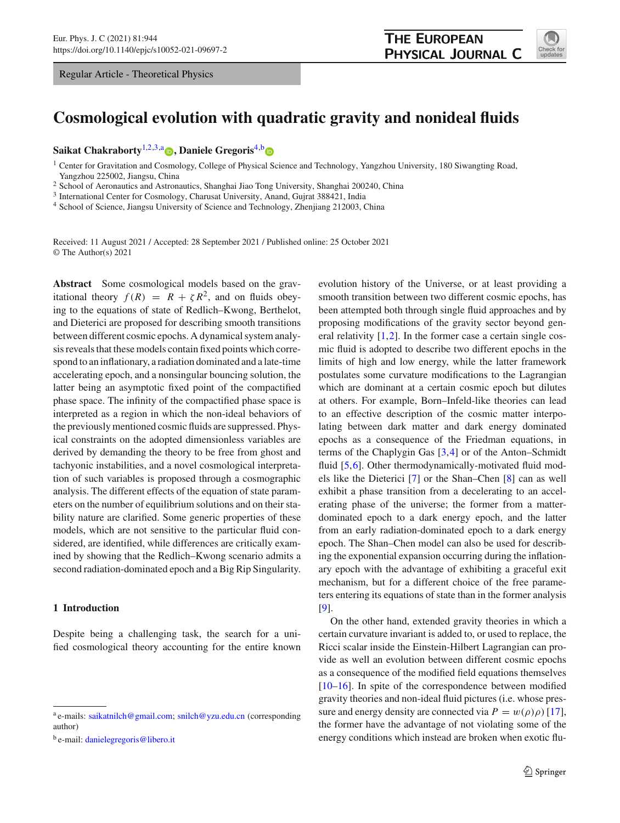Regular Article - Theoretical Physics



# **Cosmological evolution with quadratic gravity and nonideal fluids**

**Saikat Chakraborty**[1,2](#page-0-0)[,3,](#page-0-1)a **[,](http://orcid.org/0000-0002-5472-304X) Daniele Gregoris**[4,](#page-0-2)[b](https://orcid.org/0000-0002-0448-3447)

<span id="page-0-0"></span><sup>1</sup> Center for Gravitation and Cosmology, College of Physical Science and Technology, Yangzhou University, 180 Siwangting Road, Yangzhou 225002, Jiangsu, China

<sup>2</sup> School of Aeronautics and Astronautics, Shanghai Jiao Tong University, Shanghai 200240, China

<sup>3</sup> International Center for Cosmology, Charusat University, Anand, Gujrat 388421, India

<sup>4</sup> School of Science, Jiangsu University of Science and Technology, Zhenjiang 212003, China

Received: 11 August 2021 / Accepted: 28 September 2021 / Published online: 25 October 2021 © The Author(s) 2021

**Abstract** Some cosmological models based on the gravitational theory  $f(R) = R + \zeta R^2$ , and on fluids obeying to the equations of state of Redlich–Kwong, Berthelot, and Dieterici are proposed for describing smooth transitions between different cosmic epochs. A dynamical system analysis reveals that these models contain fixed points which correspond to an inflationary, a radiation dominated and a late-time accelerating epoch, and a nonsingular bouncing solution, the latter being an asymptotic fixed point of the compactified phase space. The infinity of the compactified phase space is interpreted as a region in which the non-ideal behaviors of the previously mentioned cosmic fluids are suppressed. Physical constraints on the adopted dimensionless variables are derived by demanding the theory to be free from ghost and tachyonic instabilities, and a novel cosmological interpretation of such variables is proposed through a cosmographic analysis. The different effects of the equation of state parameters on the number of equilibrium solutions and on their stability nature are clarified. Some generic properties of these models, which are not sensitive to the particular fluid considered, are identified, while differences are critically examined by showing that the Redlich–Kwong scenario admits a second radiation-dominated epoch and a Big Rip Singularity.

# **1 Introduction**

Despite being a challenging task, the search for a unified cosmological theory accounting for the entire known <span id="page-0-2"></span><span id="page-0-1"></span>evolution history of the Universe, or at least providing a smooth transition between two different cosmic epochs, has been attempted both through single fluid approaches and by proposing modifications of the gravity sector beyond general relativity  $[1,2]$  $[1,2]$  $[1,2]$ . In the former case a certain single cosmic fluid is adopted to describe two different epochs in the limits of high and low energy, while the latter framework postulates some curvature modifications to the Lagrangian which are dominant at a certain cosmic epoch but dilutes at others. For example, Born–Infeld-like theories can lead to an effective description of the cosmic matter interpolating between dark matter and dark energy dominated epochs as a consequence of the Friedman equations, in terms of the Chaplygin Gas [\[3](#page-25-2)[,4](#page-25-3)] or of the Anton–Schmidt fluid [\[5](#page-25-4)[,6](#page-25-5)]. Other thermodynamically-motivated fluid models like the Dieterici [\[7\]](#page-25-6) or the Shan–Chen [\[8\]](#page-25-7) can as well exhibit a phase transition from a decelerating to an accelerating phase of the universe; the former from a matterdominated epoch to a dark energy epoch, and the latter from an early radiation-dominated epoch to a dark energy epoch. The Shan–Chen model can also be used for describing the exponential expansion occurring during the inflationary epoch with the advantage of exhibiting a graceful exit mechanism, but for a different choice of the free parameters entering its equations of state than in the former analysis [\[9](#page-25-8)].

On the other hand, extended gravity theories in which a certain curvature invariant is added to, or used to replace, the Ricci scalar inside the Einstein-Hilbert Lagrangian can provide as well an evolution between different cosmic epochs as a consequence of the modified field equations themselves [\[10](#page-25-9)[–16](#page-25-10)]. In spite of the correspondence between modified gravity theories and non-ideal fluid pictures (i.e. whose pressure and energy density are connected via  $P = w(\rho)\rho$  [\[17](#page-25-11)], the former have the advantage of not violating some of the energy conditions which instead are broken when exotic flu-

<sup>a</sup> e-mails: [saikatnilch@gmail.com;](mailto:saikatnilch@gmail.com) [snilch@yzu.edu.cn](mailto:snilch@yzu.edu.cn) (corresponding author)

<sup>b</sup> e-mail: [danielegregoris@libero.it](mailto:danielegregoris@libero.it)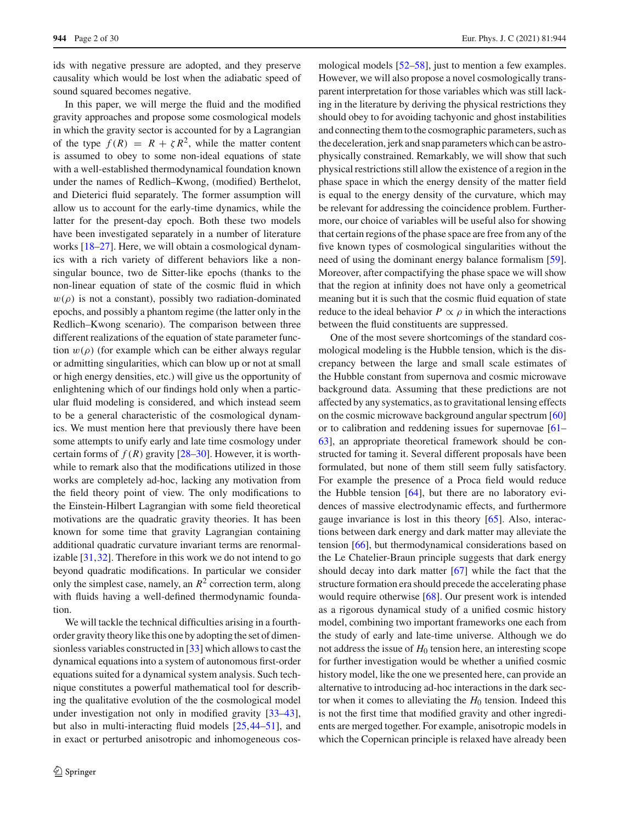ids with negative pressure are adopted, and they preserve causality which would be lost when the adiabatic speed of sound squared becomes negative.

In this paper, we will merge the fluid and the modified gravity approaches and propose some cosmological models in which the gravity sector is accounted for by a Lagrangian of the type  $f(R) = R + \zeta R^2$ , while the matter content is assumed to obey to some non-ideal equations of state with a well-established thermodynamical foundation known under the names of Redlich–Kwong, (modified) Berthelot, and Dieterici fluid separately. The former assumption will allow us to account for the early-time dynamics, while the latter for the present-day epoch. Both these two models have been investigated separately in a number of literature works [\[18](#page-25-12)[–27\]](#page-25-13). Here, we will obtain a cosmological dynamics with a rich variety of different behaviors like a nonsingular bounce, two de Sitter-like epochs (thanks to the non-linear equation of state of the cosmic fluid in which  $w(\rho)$  is not a constant), possibly two radiation-dominated epochs, and possibly a phantom regime (the latter only in the Redlich–Kwong scenario). The comparison between three different realizations of the equation of state parameter function  $w(\rho)$  (for example which can be either always regular or admitting singularities, which can blow up or not at small or high energy densities, etc.) will give us the opportunity of enlightening which of our findings hold only when a particular fluid modeling is considered, and which instead seem to be a general characteristic of the cosmological dynamics. We must mention here that previously there have been some attempts to unify early and late time cosmology under certain forms of  $f(R)$  gravity  $[28-30]$  $[28-30]$ . However, it is worthwhile to remark also that the modifications utilized in those works are completely ad-hoc, lacking any motivation from the field theory point of view. The only modifications to the Einstein-Hilbert Lagrangian with some field theoretical motivations are the quadratic gravity theories. It has been known for some time that gravity Lagrangian containing additional quadratic curvature invariant terms are renormalizable [\[31](#page-26-0)[,32](#page-26-1)]. Therefore in this work we do not intend to go beyond quadratic modifications. In particular we consider only the simplest case, namely, an  $R^2$  correction term, along with fluids having a well-defined thermodynamic foundation.

We will tackle the technical difficulties arising in a fourthorder gravity theory like this one by adopting the set of dimensionless variables constructed in [\[33\]](#page-26-2) which allows to cast the dynamical equations into a system of autonomous first-order equations suited for a dynamical system analysis. Such technique constitutes a powerful mathematical tool for describing the qualitative evolution of the the cosmological model under investigation not only in modified gravity [\[33](#page-26-2)[–43](#page-26-3)], but also in multi-interacting fluid models [\[25](#page-25-16)[,44](#page-26-4)[–51](#page-26-5)], and in exact or perturbed anisotropic and inhomogeneous cosmological models [\[52](#page-26-6)[–58](#page-26-7)], just to mention a few examples. However, we will also propose a novel cosmologically transparent interpretation for those variables which was still lacking in the literature by deriving the physical restrictions they should obey to for avoiding tachyonic and ghost instabilities and connecting them to the cosmographic parameters, such as the deceleration, jerk and snap parameters which can be astrophysically constrained. Remarkably, we will show that such physical restrictions still allow the existence of a region in the phase space in which the energy density of the matter field is equal to the energy density of the curvature, which may be relevant for addressing the coincidence problem. Furthermore, our choice of variables will be useful also for showing that certain regions of the phase space are free from any of the five known types of cosmological singularities without the need of using the dominant energy balance formalism [\[59](#page-26-8)]. Moreover, after compactifying the phase space we will show that the region at infinity does not have only a geometrical meaning but it is such that the cosmic fluid equation of state reduce to the ideal behavior  $P \propto \rho$  in which the interactions between the fluid constituents are suppressed.

One of the most severe shortcomings of the standard cosmological modeling is the Hubble tension, which is the discrepancy between the large and small scale estimates of the Hubble constant from supernova and cosmic microwave background data. Assuming that these predictions are not affected by any systematics, as to gravitational lensing effects on the cosmic microwave background angular spectrum [\[60\]](#page-26-9) or to calibration and reddening issues for supernovae [\[61](#page-26-10)– [63](#page-26-11)], an appropriate theoretical framework should be constructed for taming it. Several different proposals have been formulated, but none of them still seem fully satisfactory. For example the presence of a Proca field would reduce the Hubble tension  $[64]$  $[64]$ , but there are no laboratory evidences of massive electrodynamic effects, and furthermore gauge invariance is lost in this theory [\[65](#page-27-1)]. Also, interactions between dark energy and dark matter may alleviate the tension [\[66](#page-27-2)], but thermodynamical considerations based on the Le Chatelier-Braun principle suggests that dark energy should decay into dark matter [\[67](#page-27-3)] while the fact that the structure formation era should precede the accelerating phase would require otherwise [\[68](#page-27-4)]. Our present work is intended as a rigorous dynamical study of a unified cosmic history model, combining two important frameworks one each from the study of early and late-time universe. Although we do not address the issue of  $H_0$  tension here, an interesting scope for further investigation would be whether a unified cosmic history model, like the one we presented here, can provide an alternative to introducing ad-hoc interactions in the dark sector when it comes to alleviating the  $H_0$  tension. Indeed this is not the first time that modified gravity and other ingredients are merged together. For example, anisotropic models in which the Copernican principle is relaxed have already been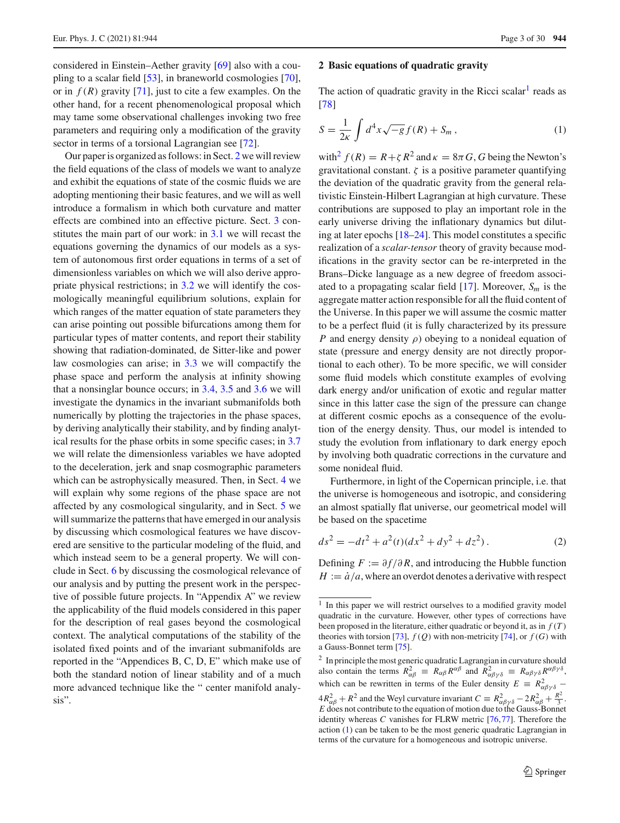considered in Einstein–Aether gravity [\[69\]](#page-27-5) also with a coupling to a scalar field [\[53](#page-26-12)], in braneworld cosmologies [\[70](#page-27-6)], or in  $f(R)$  gravity [\[71](#page-27-7)], just to cite a few examples. On the other hand, for a recent phenomenological proposal which may tame some observational challenges invoking two free parameters and requiring only a modification of the gravity sector in terms of a torsional Lagrangian see [\[72\]](#page-27-8).

Our paper is organized as follows: in Sect. [2](#page-2-0) we will review the field equations of the class of models we want to analyze and exhibit the equations of state of the cosmic fluids we are adopting mentioning their basic features, and we will as well introduce a formalism in which both curvature and matter effects are combined into an effective picture. Sect. [3](#page-4-0) constitutes the main part of our work: in [3.1](#page-4-1) we will recast the equations governing the dynamics of our models as a system of autonomous first order equations in terms of a set of dimensionless variables on which we will also derive appropriate physical restrictions; in [3.2](#page-6-0) we will identify the cosmologically meaningful equilibrium solutions, explain for which ranges of the matter equation of state parameters they can arise pointing out possible bifurcations among them for particular types of matter contents, and report their stability showing that radiation-dominated, de Sitter-like and power law cosmologies can arise; in [3.3](#page-8-0) we will compactify the phase space and perform the analysis at infinity showing that a nonsinglar bounce occurs; in [3.4,](#page-12-0) [3.5](#page-12-1) and [3.6](#page-13-0) we will investigate the dynamics in the invariant submanifolds both numerically by plotting the trajectories in the phase spaces, by deriving analytically their stability, and by finding analytical results for the phase orbits in some specific cases; in [3.7](#page-14-0) we will relate the dimensionless variables we have adopted to the deceleration, jerk and snap cosmographic parameters which can be astrophysically measured. Then, in Sect. [4](#page-15-0) we will explain why some regions of the phase space are not affected by any cosmological singularity, and in Sect. [5](#page-17-0) we will summarize the patterns that have emerged in our analysis by discussing which cosmological features we have discovered are sensitive to the particular modeling of the fluid, and which instead seem to be a general property. We will conclude in Sect. [6](#page-19-0) by discussing the cosmological relevance of our analysis and by putting the present work in the perspective of possible future projects. In "Appendix A" we review the applicability of the fluid models considered in this paper for the description of real gases beyond the cosmological context. The analytical computations of the stability of the isolated fixed points and of the invariant submanifolds are reported in the "Appendices B, C, D, E" which make use of both the standard notion of linear stability and of a much more advanced technique like the " center manifold analysis".

#### <span id="page-2-0"></span>**2 Basic equations of quadratic gravity**

The action of quadratic gravity in the Ricci scalar<sup>1</sup> reads as [\[78](#page-27-9)]

<span id="page-2-3"></span>
$$
S = \frac{1}{2\kappa} \int d^4x \sqrt{-g} f(R) + S_m , \qquad (1)
$$

with<sup>2</sup>  $f(R) = R + \zeta R^2$  and  $\kappa = 8\pi G$ , *G* being the Newton's gravitational constant.  $\zeta$  is a positive parameter quantifying the deviation of the quadratic gravity from the general relativistic Einstein-Hilbert Lagrangian at high curvature. These contributions are supposed to play an important role in the early universe driving the inflationary dynamics but diluting at later epochs [\[18](#page-25-12)[–24\]](#page-25-17). This model constitutes a specific realization of a *scalar-tensor* theory of gravity because modifications in the gravity sector can be re-interpreted in the Brans–Dicke language as a new degree of freedom associated to a propagating scalar field  $[17]$ . Moreover,  $S_m$  is the aggregate matter action responsible for all the fluid content of the Universe. In this paper we will assume the cosmic matter to be a perfect fluid (it is fully characterized by its pressure *P* and energy density *ρ*) obeying to a nonideal equation of state (pressure and energy density are not directly proportional to each other). To be more specific, we will consider some fluid models which constitute examples of evolving dark energy and/or unification of exotic and regular matter since in this latter case the sign of the pressure can change at different cosmic epochs as a consequence of the evolution of the energy density. Thus, our model is intended to study the evolution from inflationary to dark energy epoch by involving both quadratic corrections in the curvature and some nonideal fluid.

Furthermore, in light of the Copernican principle, i.e. that the universe is homogeneous and isotropic, and considering an almost spatially flat universe, our geometrical model will be based on the spacetime

<span id="page-2-4"></span>
$$
ds^{2} = -dt^{2} + a^{2}(t)(dx^{2} + dy^{2} + dz^{2}).
$$
 (2)

Defining  $F := \partial f / \partial R$ , and introducing the Hubble function  $H := \dot{a}/a$ , where an overdot denotes a derivative with respect

<span id="page-2-2"></span><sup>2</sup> In principle the most generic quadratic Lagrangian in curvature should also contain the terms  $R_{\alpha\beta}^2 \equiv R_{\alpha\beta}R^{\alpha\beta}$  and  $R_{\alpha\beta\gamma\delta}^2 \equiv R_{\alpha\beta\gamma\delta}R^{\alpha\beta\gamma\delta}$ , which can be rewritten in terms of the Euler density  $E = R^2_{\alpha\beta\gamma\delta}$  –  $4R_{\alpha\beta}^2 + R^2$  and the Weyl curvature invariant  $C \equiv R_{\alpha\beta\gamma\delta}^2 - 2R_{\alpha\beta}^2 + \frac{R^2}{3}$ .<br>*E* does not contribute to the equation of motion due to the Gauss-Bonnet identity whereas *C* vanishes for FLRW metric [\[76](#page-27-13)[,77](#page-27-14)]. Therefore the action [\(1\)](#page-2-3) can be taken to be the most generic quadratic Lagrangian in terms of the curvature for a homogeneous and isotropic universe.

<span id="page-2-1"></span><sup>&</sup>lt;sup>1</sup> In this paper we will restrict ourselves to a modified gravity model quadratic in the curvature. However, other types of corrections have been proposed in the literature, either quadratic or beyond it, as in *f* (*T* ) theories with torsion [\[73](#page-27-10)],  $f(Q)$  with non-metricity [\[74\]](#page-27-11), or  $f(G)$  with a Gauss-Bonnet term [\[75](#page-27-12)].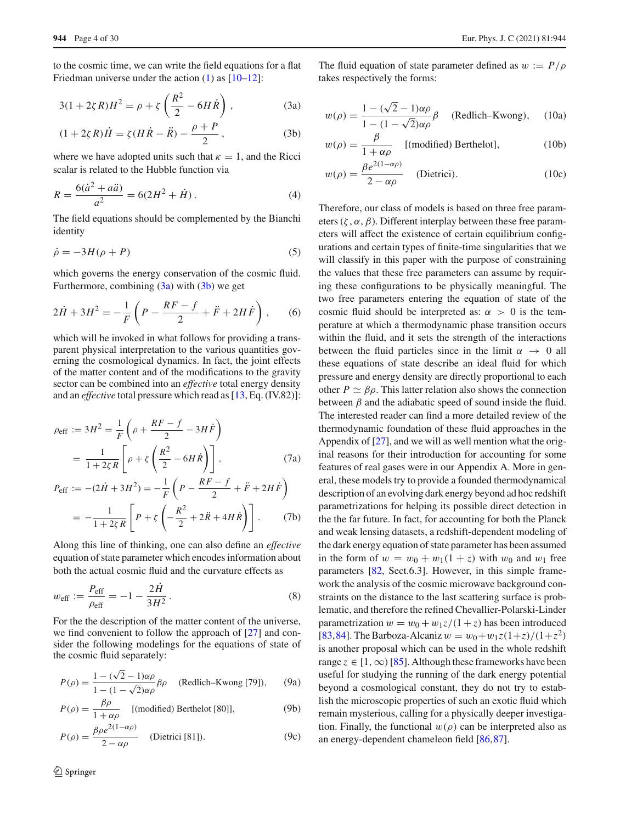to the cosmic time, we can write the field equations for a flat Friedman universe under the action  $(1)$  as  $[10-12]$  $[10-12]$ :

<span id="page-3-0"></span>
$$
3(1+2\zeta R)H^2 = \rho + \zeta \left(\frac{R^2}{2} - 6H\dot{R}\right),
$$
 (3a)

$$
(1 + 2\zeta R)\dot{H} = \zeta (H\dot{R} - \ddot{R}) - \frac{\rho + P}{2},
$$
 (3b)

where we have adopted units such that  $\kappa = 1$ , and the Ricci scalar is related to the Hubble function via

<span id="page-3-2"></span>
$$
R = \frac{6(\dot{a}^2 + a\ddot{a})}{a^2} = 6(2H^2 + \dot{H}).
$$
 (4)

The field equations should be complemented by the Bianchi identity

$$
\dot{\rho} = -3H(\rho + P) \tag{5}
$$

which governs the energy conservation of the cosmic fluid. Furthermore, combining  $(3a)$  with  $(3b)$  we get

<span id="page-3-3"></span>
$$
2\dot{H} + 3H^2 = -\frac{1}{F}\left(P - \frac{RF - f}{2} + \ddot{F} + 2H\dot{F}\right),\qquad(6)
$$

which will be invoked in what follows for providing a transparent physical interpretation to the various quantities governing the cosmological dynamics. In fact, the joint effects of the matter content and of the modifications to the gravity sector can be combined into an *effective* total energy density and an *effective* total pressure which read as [\[13](#page-25-19), Eq. (IV.82)]:

<span id="page-3-6"></span>
$$
\rho_{\text{eff}} := 3H^2 = \frac{1}{F} \left( \rho + \frac{RF - f}{2} - 3H\dot{F} \right)
$$
  
=  $\frac{1}{1 + 2\zeta R} \left[ \rho + \zeta \left( \frac{R^2}{2} - 6H\dot{R} \right) \right],$  (7a)  
 $P = \frac{(\Omega \dot{H} + 2H^2)}{2} = \frac{1}{2} \left( \frac{R}{2} - \frac{RF - f}{2} + \ddot{F} + 2H\dot{F} \right)$ 

$$
P_{\text{eff}} := -(2\dot{H} + 3H^2) = -\frac{1}{F} \left( P - \frac{RF - f}{2} + \ddot{F} + 2H\dot{F} \right)
$$

$$
= -\frac{1}{1 + 2\zeta R} \left[ P + \zeta \left( -\frac{R^2}{2} + 2\ddot{R} + 4H\dot{R} \right) \right]. \tag{7b}
$$

Along this line of thinking, one can also define an *effective* equation of state parameter which encodes information about both the actual cosmic fluid and the curvature effects as

<span id="page-3-5"></span>
$$
w_{\text{eff}} := \frac{P_{\text{eff}}}{\rho_{\text{eff}}} = -1 - \frac{2H}{3H^2}.
$$
 (8)

For the the description of the matter content of the universe, we find convenient to follow the approach of [\[27](#page-25-13)] and consider the following modelings for the equations of state of the cosmic fluid separately:

<span id="page-3-4"></span>
$$
P(\rho) = \frac{1 - (\sqrt{2} - 1)\alpha\rho}{1 - (1 - \sqrt{2})\alpha\rho} \beta\rho \quad \text{(Redlich-Kwong [79]),} \quad \text{(9a)}
$$

$$
P(\rho) = \frac{\beta \rho}{1 + \alpha \rho}
$$
 [(modified) Berthelot [80]], (9b)

$$
P(\rho) = \frac{\beta \rho e^{2(1-\alpha \rho)}}{2 - \alpha \rho}
$$
 (Dietrici [81]). (9c)

<span id="page-3-1"></span>The fluid equation of state parameter defined as  $w := P/\rho$ takes respectively the forms:

$$
w(\rho) = \frac{1 - (\sqrt{2} - 1)\alpha \rho}{1 - (1 - \sqrt{2})\alpha \rho} \beta
$$
 (Redlich-Kwong), (10a)

$$
w(\rho) = \frac{\beta}{1 + \alpha \rho} \quad \text{[(modified) Berthelot]}, \tag{10b}
$$

$$
w(\rho) = \frac{\beta e^{2(1-\alpha\rho)}}{2-\alpha\rho}
$$
 (Dietrici). (10c)

Therefore, our class of models is based on three free parameters ( $\zeta$ ,  $\alpha$ ,  $\beta$ ). Different interplay between these free parameters will affect the existence of certain equilibrium configurations and certain types of finite-time singularities that we will classify in this paper with the purpose of constraining the values that these free parameters can assume by requiring these configurations to be physically meaningful. The two free parameters entering the equation of state of the cosmic fluid should be interpreted as:  $\alpha > 0$  is the temperature at which a thermodynamic phase transition occurs within the fluid, and it sets the strength of the interactions between the fluid particles since in the limit  $\alpha \rightarrow 0$  all these equations of state describe an ideal fluid for which pressure and energy density are directly proportional to each other  $P \simeq \beta \rho$ . This latter relation also shows the connection between  $\beta$  and the adiabatic speed of sound inside the fluid. The interested reader can find a more detailed review of the thermodynamic foundation of these fluid approaches in the Appendix of [\[27\]](#page-25-13), and we will as well mention what the original reasons for their introduction for accounting for some features of real gases were in our Appendix A. More in general, these models try to provide a founded thermodynamical description of an evolving dark energy beyond ad hoc redshift parametrizations for helping its possible direct detection in the the far future. In fact, for accounting for both the Planck and weak lensing datasets, a redshift-dependent modeling of the dark energy equation of state parameter has been assumed in the form of  $w = w_0 + w_1(1 + z)$  with  $w_0$  and  $w_1$  free parameters [\[82](#page-27-15), Sect.6.3]. However, in this simple framework the analysis of the cosmic microwave background constraints on the distance to the last scattering surface is problematic, and therefore the refined Chevallier-Polarski-Linder parametrization  $w = w_0 + w_1z/(1 + z)$  has been introduced [\[83](#page-27-16),[84\]](#page-27-17). The Barboza-Alcaniz  $w = w_0 + w_1 z (1+z)/(1+z^2)$ is another proposal which can be used in the whole redshift range  $z \in [1, \infty)$  [\[85](#page-27-18)]. Although these frameworks have been useful for studying the running of the dark energy potential beyond a cosmological constant, they do not try to establish the microscopic properties of such an exotic fluid which remain mysterious, calling for a physically deeper investigation. Finally, the functional  $w(\rho)$  can be interpreted also as an energy-dependent chameleon field [\[86](#page-27-19)[,87](#page-27-20)].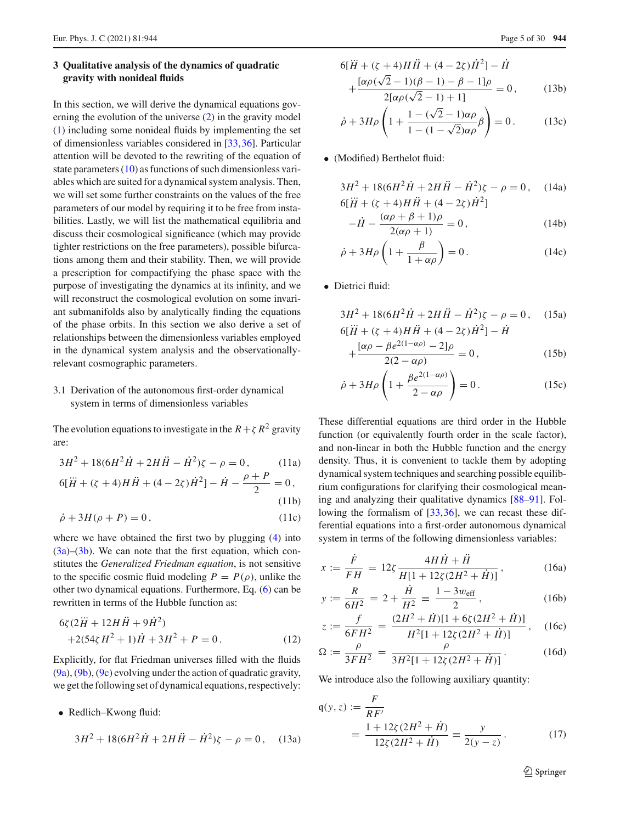# <span id="page-4-0"></span>**3 Qualitative analysis of the dynamics of quadratic gravity with nonideal fluids**

In this section, we will derive the dynamical equations governing the evolution of the universe [\(2\)](#page-2-4) in the gravity model [\(1\)](#page-2-3) including some nonideal fluids by implementing the set of dimensionless variables considered in [\[33](#page-26-2)[,36](#page-26-13)]. Particular attention will be devoted to the rewriting of the equation of state parameters [\(10\)](#page-3-1) as functions of such dimensionless variables which are suited for a dynamical system analysis. Then, we will set some further constraints on the values of the free parameters of our model by requiring it to be free from instabilities. Lastly, we will list the mathematical equilibria and discuss their cosmological significance (which may provide tighter restrictions on the free parameters), possible bifurcations among them and their stability. Then, we will provide a prescription for compactifying the phase space with the purpose of investigating the dynamics at its infinity, and we will reconstruct the cosmological evolution on some invariant submanifolds also by analytically finding the equations of the phase orbits. In this section we also derive a set of relationships between the dimensionless variables employed in the dynamical system analysis and the observationallyrelevant cosmographic parameters.

# <span id="page-4-1"></span>3.1 Derivation of the autonomous first-order dynamical system in terms of dimensionless variables

<span id="page-4-5"></span>The evolution equations to investigate in the  $R + \zeta R^2$  gravity are:

<span id="page-4-3"></span>
$$
3H2 + 18(6H2 \dot{H} + 2H \ddot{H} - \dot{H}^{2})\zeta - \rho = 0, \qquad (11a)
$$
  
6[ $\dddot{H}$  + ( $\zeta$  + 4)H  $\ddot{H}$  + (4 - 2 $\zeta$ ) $\dot{H}$ <sup>2</sup>] -  $\dot{H} - \frac{\rho + P}{2} = 0,$   
(11b)

$$
\dot{\rho} + 3H(\rho + P) = 0, \qquad (11c)
$$

where we have obtained the first two by plugging  $(4)$  into  $(3a)$ – $(3b)$ . We can note that the first equation, which constitutes the *Generalized Friedman equation*, is not sensitive to the specific cosmic fluid modeling  $P = P(\rho)$ , unlike the other two dynamical equations. Furthermore, Eq. [\(6\)](#page-3-3) can be rewritten in terms of the Hubble function as:

$$
6\zeta(2\dddot{H} + 12H\ddot{H} + 9\dot{H}^{2}) + 2(54\zeta H^{2} + 1)\dot{H} + 3H^{2} + P = 0.
$$
 (12)

Explicitly, for flat Friedman universes filled with the fluids [\(9a\)](#page-3-4), [\(9b\)](#page-3-4), [\(9c\)](#page-3-4) evolving under the action of quadratic gravity, we get the following set of dynamical equations, respectively:

• Redlich–Kwong fluid:

$$
3H^2 + 18(6H^2\dot{H} + 2H\ddot{H} - \dot{H}^2)\zeta - \rho = 0, \quad (13a)
$$

$$
6[\ddot{H} + (\zeta + 4)H\ddot{H} + (4 - 2\zeta)\dot{H}^{2}] - \dot{H}
$$
  
+ 
$$
\frac{[\alpha\rho(\sqrt{2} - 1)(\beta - 1) - \beta - 1]\rho}{2[\alpha\rho(\sqrt{2} - 1) + 1]} = 0, \qquad (13b)
$$

$$
\dot{\rho} + 3H\rho \left( 1 + \frac{1 - (\sqrt{2} - 1)\alpha \rho}{1 - (1 - \sqrt{2})\alpha \rho} \beta \right) = 0.
$$
 (13c)

• (Modified) Berthelot fluid:

$$
3H2 + 18(6H2 \dot{H} + 2H \ddot{H} - \dot{H}2)\zeta - \rho = 0, \quad (14a)
$$
  
6[ $\dddot{H}$  + ( $\zeta$  + 4)H  $\ddot{H}$  + (4 - 2 $\zeta$ ) $\dot{H}2$ ]

$$
-\dot{H} - \frac{(\alpha \rho + \beta + 1)\rho}{2(\alpha \rho + 1)} = 0, \qquad (14b)
$$

$$
\dot{\rho} + 3H\rho \left( 1 + \frac{\beta}{1 + \alpha \rho} \right) = 0. \tag{14c}
$$

• Dietrici fluid:

$$
3H2 + 18(6H2 \dot{H} + 2H \ddot{H} - \dot{H}2)\zeta - \rho = 0, \quad (15a)
$$
  
6[ $\dddot{H}$  + ( $\zeta$  + 4)H  $\ddot{H}$  + (4 - 2 $\zeta$ ) $\dot{H}2$ ] -  $\dot{H}$ 

$$
+\frac{[\alpha \rho - \beta e^{2(1-\alpha \rho)} - 2]\rho}{2(2-\alpha \rho)} = 0, \qquad (15b)
$$

$$
\dot{\rho} + 3H\rho \left( 1 + \frac{\beta e^{2(1-\alpha\rho)}}{2 - \alpha\rho} \right) = 0. \tag{15c}
$$

These differential equations are third order in the Hubble function (or equivalently fourth order in the scale factor), and non-linear in both the Hubble function and the energy density. Thus, it is convenient to tackle them by adopting dynamical system techniques and searching possible equilibrium configurations for clarifying their cosmological meaning and analyzing their qualitative dynamics [\[88](#page-27-21)[–91\]](#page-27-22). Following the formalism of [\[33](#page-26-2)[,36](#page-26-13)], we can recast these differential equations into a first-order autonomous dynamical system in terms of the following dimensionless variables:

<span id="page-4-6"></span><span id="page-4-2"></span>
$$
x := \frac{\dot{F}}{FH} = 12\xi \frac{4H\dot{H} + \ddot{H}}{H[1 + 12\xi(2H^2 + \dot{H})]},
$$
 (16a)

$$
y := \frac{R}{6H^2} = 2 + \frac{H}{H^2} \equiv \frac{1 - 3w_{\text{eff}}}{2},
$$
 (16b)

$$
z := \frac{f}{6FH^2} = \frac{(2H^2 + \dot{H})[1 + 6\zeta(2H^2 + \dot{H})]}{H^2[1 + 12\zeta(2H^2 + \dot{H})]},
$$
 (16c)

$$
\Omega := \frac{\rho}{3FH^2} = \frac{\rho}{3H^2[1 + 12\zeta(2H^2 + \dot{H})]}.
$$
 (16d)

We introduce also the following auxiliary quantity:

<span id="page-4-4"></span>
$$
\mathfrak{q}(y, z) := \frac{F}{RF'}
$$
  
= 
$$
\frac{1 + 12\zeta(2H^2 + \dot{H})}{12\zeta(2H^2 + \dot{H})} = \frac{y}{2(y - z)}.
$$
 (17)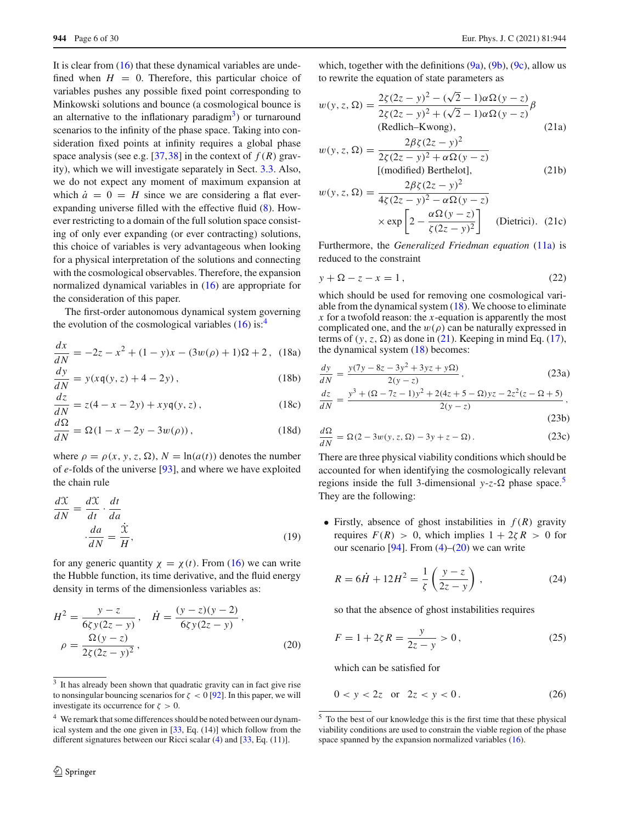It is clear from [\(16\)](#page-4-2) that these dynamical variables are undefined when  $H = 0$ . Therefore, this particular choice of variables pushes any possible fixed point corresponding to Minkowski solutions and bounce (a cosmological bounce is an alternative to the inflationary paradigm $\lambda$ ) or turnaround scenarios to the infinity of the phase space. Taking into consideration fixed points at infinity requires a global phase space analysis (see e.g. [\[37](#page-26-14),[38\]](#page-26-15) in the context of  $f(R)$  gravity), which we will investigate separately in Sect. [3.3.](#page-8-0) Also, we do not expect any moment of maximum expansion at which  $\dot{a} = 0 = H$  since we are considering a flat everexpanding universe filled with the effective fluid [\(8\)](#page-3-5). However restricting to a domain of the full solution space consisting of only ever expanding (or ever contracting) solutions, this choice of variables is very advantageous when looking for a physical interpretation of the solutions and connecting with the cosmological observables. Therefore, the expansion normalized dynamical variables in [\(16\)](#page-4-2) are appropriate for the consideration of this paper.

The first-order autonomous dynamical system governing the evolution of the cosmological variables  $(16)$  is:<sup>[4](#page-5-1)</sup>

$$
\frac{dx}{dN} = -2z - x^2 + (1 - y)x - (3w(\rho) + 1)\Omega + 2, \quad (18a)
$$

$$
\frac{dy}{dN} = y(xq(y, z) + 4 - 2y),\tag{18b}
$$

$$
\frac{dz}{dN} = z(4 - x - 2y) + xyq(y, z),
$$
\n(18c)

$$
\frac{d\Omega}{dN} = \Omega(1 - x - 2y - 3w(\rho)),\tag{18d}
$$

where  $\rho = \rho(x, y, z, \Omega)$ ,  $N = \ln(a(t))$  denotes the number of *e*-folds of the universe [\[93\]](#page-27-23), and where we have exploited the chain rule

$$
\frac{dX}{dN} = \frac{dX}{dt} \cdot \frac{dt}{da}
$$

$$
\frac{da}{dN} = \frac{\dot{X}}{H},
$$
(19)

for any generic quantity  $\chi = \chi(t)$ . From [\(16\)](#page-4-2) we can write the Hubble function, its time derivative, and the fluid energy density in terms of the dimensionless variables as:

<span id="page-5-5"></span>
$$
H^{2} = \frac{y - z}{6\zeta y(2z - y)}, \quad \dot{H} = \frac{(y - z)(y - 2)}{6\zeta y(2z - y)},
$$

$$
\rho = \frac{\Omega(y - z)}{2\zeta(2z - y)^{2}},
$$
(20)

<span id="page-5-3"></span>which, together with the definitions  $(9a)$ ,  $(9b)$ ,  $(9c)$ , allow us to rewrite the equation of state parameters as

<span id="page-5-8"></span>
$$
w(y, z, \Omega) = \frac{2\zeta(2z - y)^2 - (\sqrt{2} - 1)\alpha\Omega(y - z)}{2\zeta(2z - y)^2 + (\sqrt{2} - 1)\alpha\Omega(y - z)}\beta
$$
  
(Redlich-Kwong),  

$$
2\beta\zeta(2z - y)^2
$$
 (21a)

$$
w(y, z, \Omega) = \frac{2\beta\zeta(2z - y)^2}{2\zeta(2z - y)^2 + \alpha\Omega(y - z)}
$$
  
[(modified) Berthelot], (21b)

$$
w(y, z, \Omega) = \frac{2\beta\zeta(2z - y)^2}{4\zeta(2z - y)^2 - \alpha\Omega(y - z)}
$$

$$
\times \exp\left[2 - \frac{\alpha\Omega(y - z)}{\zeta(2z - y)^2}\right] \quad \text{(Dietrici). (21c)}
$$

Furthermore, the *Generalized Friedman equation* [\(11a\)](#page-4-3) is reduced to the constraint

<span id="page-5-10"></span>
$$
y + \Omega - z - x = 1, \tag{22}
$$

<span id="page-5-2"></span>which should be used for removing one cosmological variable from the dynamical system [\(18\)](#page-5-2). We choose to eliminate *x* for a twofold reason: the *x*-equation is apparently the most complicated one, and the  $w(\rho)$  can be naturally expressed in terms of  $(y, z, \Omega)$  as done in [\(21\)](#page-5-3). Keeping in mind Eq. [\(17\)](#page-4-4), the dynamical system [\(18\)](#page-5-2) becomes:

<span id="page-5-9"></span>
$$
\frac{dy}{dN} = \frac{y(7y - 8z - 3y^2 + 3yz + y\Omega)}{2(y - z)},
$$
\n(23a)  
\n
$$
dz = y^3 + (\Omega - 7z - 1)y^2 + 2(4z + 5 - \Omega)yz - 2z^2(z - \Omega + 5)
$$

$$
\frac{dz}{dN} = \frac{y^3 + (\Omega - 7z - 1)y^2 + 2(4z + 5 - \Omega)yz - 2z^2(z - \Omega + 5)}{2(y - z)},
$$

<span id="page-5-6"></span>
$$
(23b)
$$

$$
\frac{d\Omega}{dN} = \Omega(2 - 3w(y, z, \Omega) - 3y + z - \Omega). \tag{23c}
$$

There are three physical viability conditions which should be accounted for when identifying the cosmologically relevant regions inside the full 3-dimensional  $y-z-\Omega$  phase space.<sup>5</sup> They are the following:

• Firstly, absence of ghost instabilities in  $f(R)$  gravity requires  $F(R) > 0$ , which implies  $1 + 2\zeta R > 0$  for our scenario  $[94]$ . From  $(4)$ – $(20)$  we can write

$$
R = 6\dot{H} + 12H^2 = \frac{1}{\zeta} \left( \frac{y - z}{2z - y} \right),
$$
 (24)

so that the absence of ghost instabilities requires

<span id="page-5-7"></span>
$$
F = 1 + 2\zeta R = \frac{y}{2z - y} > 0,
$$
\n(25)

which can be satisfied for

$$
0 < y < 2z \quad \text{or} \quad 2z < y < 0. \tag{26}
$$

<span id="page-5-0"></span><sup>&</sup>lt;sup>3</sup> It has already been shown that quadratic gravity can in fact give rise to nonsingular bouncing scenarios for  $\zeta < 0$  [\[92\]](#page-27-24). In this paper, we will investigate its occurrence for  $\zeta > 0$ .

<span id="page-5-1"></span><sup>&</sup>lt;sup>4</sup> We remark that some differences should be noted between our dynamical system and the one given in [\[33,](#page-26-2) Eq. (14)] which follow from the different signatures between our Ricci scalar [\(4\)](#page-3-2) and [\[33,](#page-26-2) Eq. (11)].

<span id="page-5-4"></span><sup>5</sup> To the best of our knowledge this is the first time that these physical viability conditions are used to constrain the viable region of the phase space spanned by the expansion normalized variables [\(16\)](#page-4-2).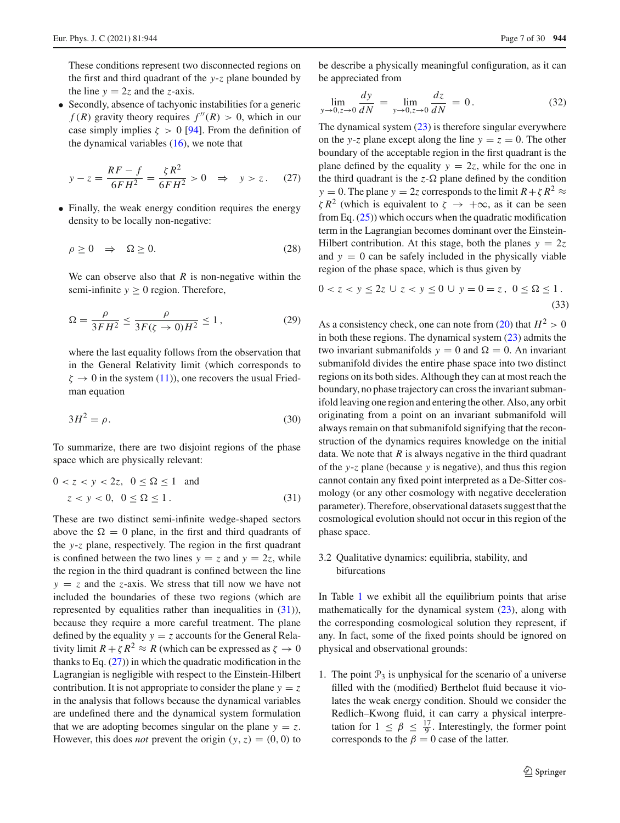These conditions represent two disconnected regions on the first and third quadrant of the *y*-*z* plane bounded by the line  $y = 2z$  and the *z*-axis.

• Secondly, absence of tachyonic instabilities for a generic  $f(R)$  gravity theory requires  $f''(R) > 0$ , which in our case simply implies  $\zeta > 0$  [\[94\]](#page-27-25). From the definition of the dynamical variables  $(16)$ , we note that

<span id="page-6-2"></span>
$$
y - z = \frac{RF - f}{6FH^2} = \frac{\zeta R^2}{6FH^2} > 0 \quad \Rightarrow \quad y > z. \tag{27}
$$

• Finally, the weak energy condition requires the energy density to be locally non-negative:

$$
\rho \ge 0 \quad \Rightarrow \quad \Omega \ge 0. \tag{28}
$$

We can observe also that  $R$  is non-negative within the semi-infinite  $y \ge 0$  region. Therefore,

$$
\Omega = \frac{\rho}{3FH^2} \le \frac{\rho}{3F(\zeta \to 0)H^2} \le 1,
$$
\n(29)

where the last equality follows from the observation that in the General Relativity limit (which corresponds to  $\zeta \to 0$  in the system [\(11\)](#page-4-5)), one recovers the usual Friedman equation

$$
3H^2 = \rho. \tag{30}
$$

To summarize, there are two disjoint regions of the phase space which are physically relevant:

<span id="page-6-1"></span>
$$
0 < z < y < 2z, \quad 0 \le \Omega \le 1 \quad \text{and}
$$
\n
$$
z < y < 0, \quad 0 \le \Omega \le 1. \tag{31}
$$

These are two distinct semi-infinite wedge-shaped sectors above the  $\Omega = 0$  plane, in the first and third quadrants of the *y*-*z* plane, respectively. The region in the first quadrant is confined between the two lines  $y = z$  and  $y = 2z$ , while the region in the third quadrant is confined between the line  $y = z$  and the *z*-axis. We stress that till now we have not included the boundaries of these two regions (which are represented by equalities rather than inequalities in  $(31)$ ), because they require a more careful treatment. The plane defined by the equality  $y = z$  accounts for the General Relativity limit  $R + \zeta R^2 \approx R$  (which can be expressed as  $\zeta \to 0$ thanks to Eq.  $(27)$ ) in which the quadratic modification in the Lagrangian is negligible with respect to the Einstein-Hilbert contribution. It is not appropriate to consider the plane  $y = z$ in the analysis that follows because the dynamical variables are undefined there and the dynamical system formulation that we are adopting becomes singular on the plane  $y = z$ . However, this does *not* prevent the origin  $(y, z) = (0, 0)$  to

be describe a physically meaningful configuration, as it can be appreciated from

$$
\lim_{y \to 0, z \to 0} \frac{dy}{dN} = \lim_{y \to 0, z \to 0} \frac{dz}{dN} = 0.
$$
 (32)

The dynamical system [\(23\)](#page-5-6) is therefore singular everywhere on the *y*-*z* plane except along the line  $y = z = 0$ . The other boundary of the acceptable region in the first quadrant is the plane defined by the equality  $y = 2z$ , while for the one in the third quadrant is the  $z - \Omega$  plane defined by the condition *y* = 0. The plane *y* = 2*z* corresponds to the limit  $R + \zeta R^2 \approx$  $\zeta R^2$  (which is equivalent to  $\zeta \rightarrow +\infty$ , as it can be seen from Eq.  $(25)$ ) which occurs when the quadratic modification term in the Lagrangian becomes dominant over the Einstein-Hilbert contribution. At this stage, both the planes  $y = 2z$ and  $y = 0$  can be safely included in the physically viable region of the phase space, which is thus given by

<span id="page-6-3"></span>
$$
0 < z < y \le 2z \cup z < y \le 0 \cup y = 0 = z, \ 0 \le \Omega \le 1. \tag{33}
$$

As a consistency check, one can note from  $(20)$  that  $H^2 > 0$ in both these regions. The dynamical system  $(23)$  admits the two invariant submanifolds  $y = 0$  and  $\Omega = 0$ . An invariant submanifold divides the entire phase space into two distinct regions on its both sides. Although they can at most reach the boundary, no phase trajectory can cross the invariant submanifold leaving one region and entering the other. Also, any orbit originating from a point on an invariant submanifold will always remain on that submanifold signifying that the reconstruction of the dynamics requires knowledge on the initial data. We note that *R* is always negative in the third quadrant of the *y*-*z* plane (because *y* is negative), and thus this region cannot contain any fixed point interpreted as a De-Sitter cosmology (or any other cosmology with negative deceleration parameter). Therefore, observational datasets suggest that the cosmological evolution should not occur in this region of the phase space.

# <span id="page-6-0"></span>3.2 Qualitative dynamics: equilibria, stability, and bifurcations

In Table [1](#page-7-0) we exhibit all the equilibrium points that arise mathematically for the dynamical system [\(23\)](#page-5-6), along with the corresponding cosmological solution they represent, if any. In fact, some of the fixed points should be ignored on physical and observational grounds:

1. The point  $P_3$  is unphysical for the scenario of a universe filled with the (modified) Berthelot fluid because it violates the weak energy condition. Should we consider the Redlich–Kwong fluid, it can carry a physical interpretation for  $1 \leq \beta \leq \frac{17}{9}$ . Interestingly, the former point corresponds to the  $\beta = 0$  case of the latter.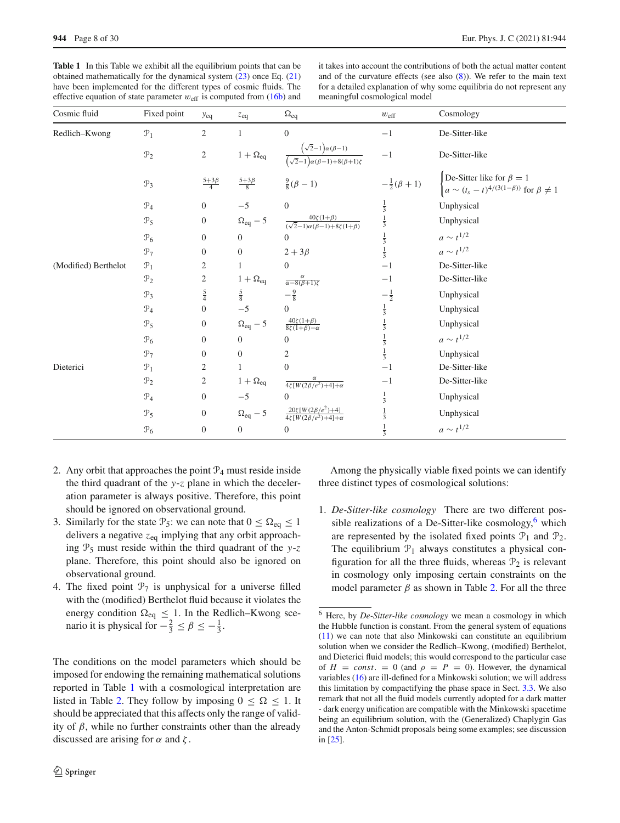<span id="page-7-0"></span>**Table 1** In this Table we exhibit all the equilibrium points that can be obtained mathematically for the dynamical system [\(23\)](#page-5-6) once Eq. [\(21\)](#page-5-3) have been implemented for the different types of cosmic fluids. The effective equation of state parameter  $w_{\text{eff}}$  is computed from [\(16b\)](#page-4-6) and

it takes into account the contributions of both the actual matter content and of the curvature effects (see also  $(8)$ ). We refer to the main text for a detailed explanation of why some equilibria do not represent any meaningful cosmological model

| Cosmic fluid         | Fixed point     | $y_{eq}$                | $z_{eq}$             | $\Omega_{eq}$                                                                     | $w_{\text{eff}}$            | Cosmology                                                                                                                 |
|----------------------|-----------------|-------------------------|----------------------|-----------------------------------------------------------------------------------|-----------------------------|---------------------------------------------------------------------------------------------------------------------------|
| Redlich-Kwong        | $\mathcal{P}_1$ | $\overline{2}$          | $\mathbf{1}$         | $\boldsymbol{0}$                                                                  | $-1$                        | De-Sitter-like                                                                                                            |
|                      | $\mathcal{P}_2$ | $\overline{c}$          | $1+\Omega_{\rm eq}$  | $\frac{(\sqrt{2}-1)\alpha(\beta-1)}{(\sqrt{2}-1)\alpha(\beta-1)+8(\beta+1)\zeta}$ | $-1$                        | De-Sitter-like                                                                                                            |
|                      | $\mathcal{P}_3$ | $\frac{5+3\beta}{4}$    | $\frac{5+3\beta}{8}$ | $\frac{9}{8}(\beta-1)$                                                            | $-\frac{1}{2}(\beta+1)$     | De-Sitter like for $\beta = 1$<br>$\begin{cases} a \sim (t_s - t)^{4/(3(1-\beta))} \text{ for } \beta \neq 1 \end{cases}$ |
|                      | $\mathcal{P}_4$ | $\boldsymbol{0}$        | $-5$                 | $\Omega$                                                                          |                             | Unphysical                                                                                                                |
|                      | $\mathcal{P}_5$ | $\boldsymbol{0}$        | $\Omega_{eq}-5$      | $\frac{40\zeta(1+\beta)}{(\sqrt{2}-1)\alpha(\beta-1)+8\zeta(1+\beta)}$            | $rac{1}{3}$<br>$rac{1}{3}$  | Unphysical                                                                                                                |
|                      | $\mathcal{P}_6$ | $\mathbf{0}$            | $\mathbf{0}$         | $\overline{0}$                                                                    |                             | $a \sim t^{1/2}$                                                                                                          |
|                      | $\mathcal{P}_7$ | $\boldsymbol{0}$        | $\boldsymbol{0}$     | $2+3\beta$                                                                        | $\frac{1}{3}$ $\frac{1}{3}$ | $a \sim t^{1/2}$                                                                                                          |
| (Modified) Berthelot | $\mathcal{P}_1$ | 2                       | $\mathbf{1}$         | $\boldsymbol{0}$                                                                  | $-1$                        | De-Sitter-like                                                                                                            |
|                      | $\mathcal{P}_2$ | $\overline{\mathbf{c}}$ | $1 + \Omega_{eq}$    | $\frac{\alpha}{\alpha-8(\beta+1)\zeta}$                                           | $-1$                        | De-Sitter-like                                                                                                            |
|                      | $\mathcal{P}_3$ | $\frac{5}{4}$           | $rac{5}{8}$          | $-\frac{9}{8}$                                                                    | $-\frac{1}{2}$              | Unphysical                                                                                                                |
|                      | $\mathcal{P}_4$ | $\boldsymbol{0}$        | $-5$                 | 0                                                                                 | $\frac{1}{3}$               | Unphysical                                                                                                                |
|                      | $\mathcal{P}_5$ | $\boldsymbol{0}$        | $\Omega_{eq}-5$      | $\frac{40\zeta(1+\beta)}{8\zeta(1+\beta)-\alpha}$                                 | $\frac{1}{3}$               | Unphysical                                                                                                                |
|                      | $\mathcal{P}_6$ | $\boldsymbol{0}$        | $\overline{0}$       | $\overline{0}$                                                                    | $\frac{1}{3}$               | $a \sim t^{1/2}$                                                                                                          |
|                      | $\mathcal{P}_7$ | $\boldsymbol{0}$        | $\overline{0}$       | 2                                                                                 | $\frac{1}{3}$               | Unphysical                                                                                                                |
| Dieterici            | $\mathcal{P}_1$ | 2                       | $\mathbf{1}$         | $\theta$                                                                          | $^{-1}$                     | De-Sitter-like                                                                                                            |
|                      | $\mathcal{P}_2$ | 2                       | $1 + \Omega_{eq}$    | $\frac{\alpha}{4\zeta[W(2\beta/e^2)+4]+\alpha}$                                   | $^{-1}$                     | De-Sitter-like                                                                                                            |
|                      | $\mathcal{P}_4$ | $\overline{0}$          | $-5$                 | 0                                                                                 | $\frac{1}{3}$               | Unphysical                                                                                                                |
|                      | $\mathcal{P}_5$ | $\mathbf{0}$            | $\Omega_{eq} - 5$    | $\frac{20\zeta[W(2\beta/e^2)+4]}{4\zeta[W(2\beta/e^2)+4]+\alpha}$                 | $\frac{1}{3}$               | Unphysical                                                                                                                |
|                      | $\mathcal{P}_6$ | $\boldsymbol{0}$        | $\mathbf{0}$         | $\boldsymbol{0}$                                                                  | $\frac{1}{3}$               | $a \sim t^{1/2}$                                                                                                          |

- 2. Any orbit that approaches the point  $\mathcal{P}_4$  must reside inside the third quadrant of the *y*-*z* plane in which the deceleration parameter is always positive. Therefore, this point should be ignored on observational ground.
- 3. Similarly for the state  $\mathcal{P}_5$ : we can note that  $0 \leq \Omega_{eq} \leq 1$ delivers a negative *z*eq implying that any orbit approaching  $\mathcal{P}_5$  must reside within the third quadrant of the *y*-*z* plane. Therefore, this point should also be ignored on observational ground.
- 4. The fixed point  $\mathcal{P}_7$  is unphysical for a universe filled with the (modified) Berthelot fluid because it violates the energy condition  $\Omega_{eq} \leq 1$ . In the Redlich–Kwong scenario it is physical for  $-\frac{2}{3} \le \beta \le -\frac{1}{3}$ .

The conditions on the model parameters which should be imposed for endowing the remaining mathematical solutions reported in Table [1](#page-7-0) with a cosmological interpretation are listed in Table [2.](#page-9-0) They follow by imposing  $0 \leq \Omega \leq 1$ . It should be appreciated that this affects only the range of validity of  $\beta$ , while no further constraints other than the already discussed are arising for  $\alpha$  and  $\zeta$ .

Among the physically viable fixed points we can identify three distinct types of cosmological solutions:

1. *De-Sitter-like cosmology* There are two different possible realizations of a De-Sitter-like cosmology, $6$  which are represented by the isolated fixed points  $\mathcal{P}_1$  and  $\mathcal{P}_2$ . The equilibrium  $P_1$  always constitutes a physical configuration for all the three fluids, whereas  $\mathcal{P}_2$  is relevant in cosmology only imposing certain constraints on the model parameter  $\beta$  as shown in Table [2.](#page-9-0) For all the three

<span id="page-7-1"></span><sup>6</sup> Here, by *De-Sitter-like cosmology* we mean a cosmology in which the Hubble function is constant. From the general system of equations [\(11\)](#page-4-5) we can note that also Minkowski can constitute an equilibrium solution when we consider the Redlich–Kwong, (modified) Berthelot, and Dieterici fluid models; this would correspond to the particular case of  $H = const. = 0$  (and  $\rho = P = 0$ ). However, the dynamical variables [\(16\)](#page-4-2) are ill-defined for a Minkowski solution; we will address this limitation by compactifying the phase space in Sect. [3.3.](#page-8-0) We also remark that not all the fluid models currently adopted for a dark matter - dark energy unification are compatible with the Minkowski spacetime being an equilibrium solution, with the (Generalized) Chaplygin Gas and the Anton-Schmidt proposals being some examples; see discussion in [\[25](#page-25-16)].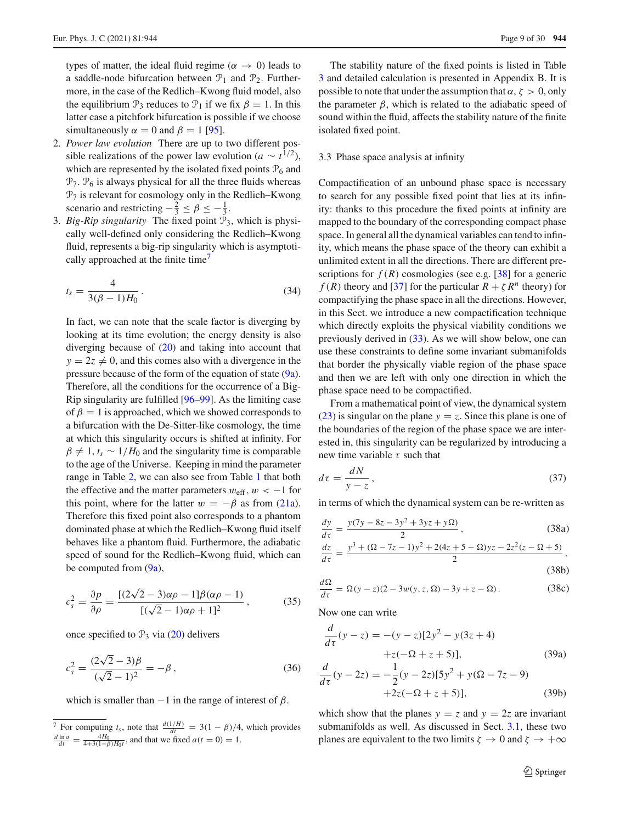types of matter, the ideal fluid regime ( $\alpha \rightarrow 0$ ) leads to a saddle-node bifurcation between  $\mathcal{P}_1$  and  $\mathcal{P}_2$ . Furthermore, in the case of the Redlich–Kwong fluid model, also the equilibrium  $\mathcal{P}_3$  reduces to  $\mathcal{P}_1$  if we fix  $\beta = 1$ . In this latter case a pitchfork bifurcation is possible if we choose simultaneously  $\alpha = 0$  and  $\beta = 1$  [\[95](#page-27-26)].

- 2. *Power law evolution* There are up to two different possible realizations of the power law evolution ( $a \sim t^{1/2}$ ), which are represented by the isolated fixed points  $P_6$  and  $\mathcal{P}_7$ .  $\mathcal{P}_6$  is always physical for all the three fluids whereas  $\mathcal{P}_7$  is relevant for cosmology only in the Redlich–Kwong scenario and restricting  $-\frac{2}{3} \le \beta \le -\frac{1}{3}$ .
- 3. *Big-Rip singularity* The fixed point  $\overline{P}_3$ , which is physically well-defined only considering the Redlich–Kwong fluid, represents a big-rip singularity which is asymptotically approached at the finite time<sup>7</sup>

<span id="page-8-5"></span>
$$
t_s = \frac{4}{3(\beta - 1)H_0} \,. \tag{34}
$$

In fact, we can note that the scale factor is diverging by looking at its time evolution; the energy density is also diverging because of  $(20)$  and taking into account that  $y = 2z \neq 0$ , and this comes also with a divergence in the pressure because of the form of the equation of state [\(9a\)](#page-3-4). Therefore, all the conditions for the occurrence of a Big-Rip singularity are fulfilled [\[96](#page-27-27)[–99\]](#page-27-28). As the limiting case of  $\beta = 1$  is approached, which we showed corresponds to a bifurcation with the De-Sitter-like cosmology, the time at which this singularity occurs is shifted at infinity. For  $\beta \neq 1$ ,  $t_s \sim 1/H_0$  and the singularity time is comparable to the age of the Universe. Keeping in mind the parameter range in Table [2,](#page-9-0) we can also see from Table [1](#page-7-0) that both the effective and the matter parameters  $w_{\text{eff}}$ ,  $w < -1$  for this point, where for the latter  $w = -\beta$  as from [\(21a\)](#page-5-8). Therefore this fixed point also corresponds to a phantom dominated phase at which the Redlich–Kwong fluid itself behaves like a phantom fluid. Furthermore, the adiabatic speed of sound for the Redlich–Kwong fluid, which can be computed from  $(9a)$ ,

$$
c_s^2 = \frac{\partial p}{\partial \rho} = \frac{[(2\sqrt{2} - 3)\alpha \rho - 1]\beta(\alpha \rho - 1)}{[(\sqrt{2} - 1)\alpha \rho + 1]^2},
$$
(35)

once specified to  $\mathcal{P}_3$  via [\(20\)](#page-5-5) delivers

$$
c_s^2 = \frac{(2\sqrt{2} - 3)\beta}{(\sqrt{2} - 1)^2} = -\beta, \qquad (36)
$$

which is smaller than  $-1$  in the range of interest of  $\beta$ .

The stability nature of the fixed points is listed in Table [3](#page-9-1) and detailed calculation is presented in Appendix B. It is possible to note that under the assumption that  $\alpha$ ,  $\zeta > 0$ , only the parameter  $\beta$ , which is related to the adiabatic speed of sound within the fluid, affects the stability nature of the finite isolated fixed point.

# <span id="page-8-0"></span>3.3 Phase space analysis at infinity

Compactification of an unbound phase space is necessary to search for any possible fixed point that lies at its infinity: thanks to this procedure the fixed points at infinity are mapped to the boundary of the corresponding compact phase space. In general all the dynamical variables can tend to infinity, which means the phase space of the theory can exhibit a unlimited extent in all the directions. There are different prescriptions for  $f(R)$  cosmologies (see e.g. [\[38\]](#page-26-15) for a generic *f* (*R*) theory and [\[37](#page-26-14)] for the particular  $R + \zeta R^n$  theory) for compactifying the phase space in all the directions. However, in this Sect. we introduce a new compactification technique which directly exploits the physical viability conditions we previously derived in [\(33\)](#page-6-3). As we will show below, one can use these constraints to define some invariant submanifolds that border the physically viable region of the phase space and then we are left with only one direction in which the phase space need to be compactified.

From a mathematical point of view, the dynamical system [\(23\)](#page-5-6) is singular on the plane  $y = z$ . Since this plane is one of the boundaries of the region of the phase space we are interested in, this singularity can be regularized by introducing a new time variable  $\tau$  such that

<span id="page-8-3"></span>
$$
d\tau = \frac{dN}{y - z},\tag{37}
$$

in terms of which the dynamical system can be re-written as

<span id="page-8-2"></span>
$$
\frac{dy}{d\tau} = \frac{y(7y - 8z - 3y^2 + 3yz + y\Omega)}{2},
$$
(38a)

$$
\frac{dz}{d\tau} = \frac{y^3 + (\Omega - 7z - 1)y^2 + 2(4z + 5 - \Omega)yz - 2z^2(z - \Omega + 5)}{2},
$$
\n(38b)

$$
\frac{d\Omega}{d\tau} = \Omega(y - z)(2 - 3w(y, z, \Omega) - 3y + z - \Omega).
$$
 (38c)

Now one can write

<span id="page-8-4"></span>
$$
\frac{d}{d\tau}(y-z) = -(y-z)[2y^2 - y(3z+4)+z(-\Omega + z + 5)],
$$
\n(39a)

$$
\frac{d}{d\tau}(y - 2z) = -\frac{1}{2}(y - 2z)[5y^2 + y(\Omega - 7z - 9) + 2z(-\Omega + z + 5)],
$$
\n(39b)

which show that the planes  $y = z$  and  $y = 2z$  are invariant submanifolds as well. As discussed in Sect. [3.1,](#page-4-1) these two planes are equivalent to the two limits  $\zeta \to 0$  and  $\zeta \to +\infty$ 

<span id="page-8-1"></span><sup>&</sup>lt;sup>7</sup> For computing  $t_s$ , note that  $\frac{d(1/H)}{dt} = 3(1 - \beta)/4$ , which provides  $\frac{d \ln a}{dt} = \frac{4H_0}{4+3(1-\beta)H_0t}$ , and that we fixed  $a(t = 0) = 1$ .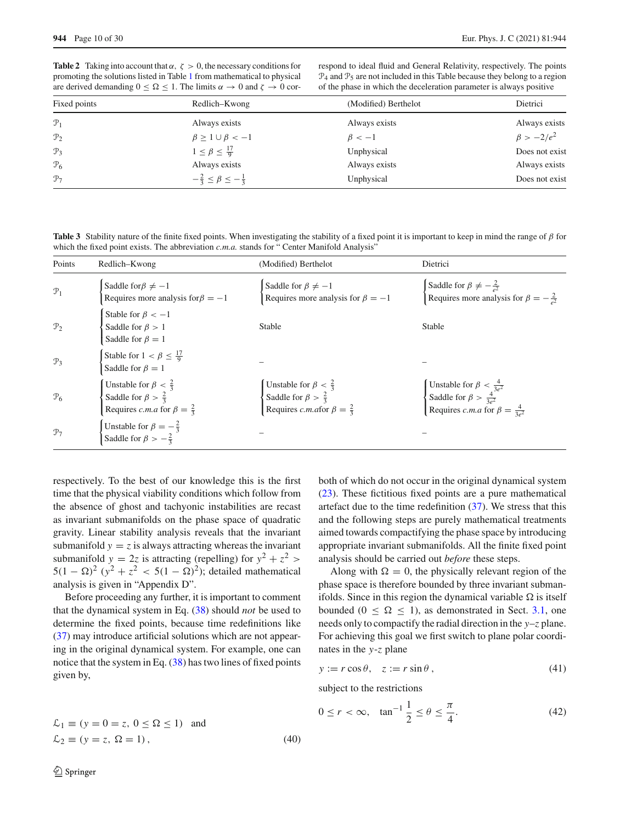<span id="page-9-0"></span>**Table 2** Taking into account that  $\alpha$ ,  $\zeta > 0$ , the necessary conditions for promoting the solutions listed in Table [1](#page-7-0) from mathematical to physical are derived demanding  $0 \leq \Omega \leq 1$ . The limits  $\alpha \to 0$  and  $\zeta \to 0$  correspond to ideal fluid and General Relativity, respectively. The points  $\mathcal{P}_4$  and  $\mathcal{P}_5$  are not included in this Table because they belong to a region of the phase in which the deceleration parameter is always positive

| Fixed points    | Redlich–Kwong                             | (Modified) Berthelot | Dietrici         |
|-----------------|-------------------------------------------|----------------------|------------------|
| $\mathcal{P}_1$ | Always exists                             | Always exists        | Always exists    |
| $\mathcal{P}_2$ | $\beta \geq 1 \cup \beta < -1$            | $\beta < -1$         | $\beta > -2/e^2$ |
| $\mathcal{P}_3$ | $1 \leq \beta \leq \frac{17}{9}$          | Unphysical           | Does not exist   |
| $\mathcal{P}_6$ | Always exists                             | Always exists        | Always exists    |
| $\mathcal{P}_7$ | $-\frac{2}{3} \le \beta \le -\frac{1}{3}$ | Unphysical           | Does not exist   |

<span id="page-9-1"></span>**Table 3** Stability nature of the finite fixed points. When investigating the stability of a fixed point it is important to keep in mind the range of  $\beta$  for which the fixed point exists. The abbreviation *c.m.a.* stands for " Center Manifold Analysis'

| Points          | Redlich–Kwong                                                                                                             | (Modified) Berthelot                                                                                                     | Dietrici                                                                                                                           |
|-----------------|---------------------------------------------------------------------------------------------------------------------------|--------------------------------------------------------------------------------------------------------------------------|------------------------------------------------------------------------------------------------------------------------------------|
| $\mathcal{P}_1$ | Saddle for $\beta \neq -1$<br>Requires more analysis for $\beta = -1$                                                     | Saddle for $\beta \neq -1$<br>Requires more analysis for $\beta = -1$                                                    | Saddle for $\beta \neq -\frac{2}{a^2}$<br>Requires more analysis for $\beta = -\frac{2}{a^2}$                                      |
| $\mathcal{P}_2$ | Stable for $\beta < -1$<br>Saddle for $\beta > 1$<br>Saddle for $\beta = 1$                                               | Stable                                                                                                                   | Stable                                                                                                                             |
| $\mathcal{P}_3$ | Stable for $1 < \beta \leq \frac{17}{9}$<br>Saddle for $\beta = 1$                                                        |                                                                                                                          |                                                                                                                                    |
| $\mathcal{P}_6$ | Unstable for $\beta < \frac{2}{3}$<br>Saddle for $\beta > \frac{2}{3}$<br>Requires <i>c.m.a</i> for $\beta = \frac{2}{3}$ | Unstable for $\beta < \frac{2}{3}$<br>Saddle for $\beta > \frac{2}{3}$<br>Requires <i>c.m.afor</i> $\beta = \frac{2}{3}$ | Unstable for $\beta < \frac{4}{3e^2}$<br>Saddle for $\beta > \frac{4}{3e^2}$<br>Requires <i>c.m.a</i> for $\beta = \frac{4}{3e^2}$ |
| $\mathcal{P}_7$ | Unstable for $\beta = -\frac{2}{3}$<br>Saddle for $\beta > -\frac{2}{3}$                                                  |                                                                                                                          |                                                                                                                                    |

respectively. To the best of our knowledge this is the first time that the physical viability conditions which follow from the absence of ghost and tachyonic instabilities are recast as invariant submanifolds on the phase space of quadratic gravity. Linear stability analysis reveals that the invariant submanifold  $y = z$  is always attracting whereas the invariant submanifold  $y = 2z$  is attracting (repelling) for  $y^2 + z^2$  $5(1 - \Omega)^2$   $(y^2 + z^2 < 5(1 - \Omega)^2)$ ; detailed mathematical analysis is given in "Appendix D".

Before proceeding any further, it is important to comment that the dynamical system in Eq. [\(38\)](#page-8-2) should *not* be used to determine the fixed points, because time redefinitions like [\(37\)](#page-8-3) may introduce artificial solutions which are not appearing in the original dynamical system. For example, one can notice that the system in Eq. [\(38\)](#page-8-2) has two lines of fixed points given by,

both of which do not occur in the original dynamical system [\(23\)](#page-5-6). These fictitious fixed points are a pure mathematical artefact due to the time redefinition [\(37\)](#page-8-3). We stress that this and the following steps are purely mathematical treatments aimed towards compactifying the phase space by introducing appropriate invariant submanifolds. All the finite fixed point analysis should be carried out *before* these steps.

Along with  $\Omega = 0$ , the physically relevant region of the phase space is therefore bounded by three invariant submanifolds. Since in this region the dynamical variable  $\Omega$  is itself bounded ( $0 \leq \Omega \leq 1$ ), as demonstrated in Sect. [3.1,](#page-4-1) one needs only to compactify the radial direction in the *y*–*z* plane. For achieving this goal we first switch to plane polar coordinates in the *y*-*z* plane

<span id="page-9-2"></span>
$$
y := r \cos \theta, \quad z := r \sin \theta, \tag{41}
$$

subject to the restrictions

<span id="page-9-3"></span>
$$
0 \le r < \infty
$$
,  $\tan^{-1} \frac{1}{2} \le \theta \le \frac{\pi}{4}$ . (42)

$$
\mathcal{L}_1 \equiv (y = 0 = z, 0 \le \Omega \le 1)
$$
 and  
\n $\mathcal{L}_2 \equiv (y = z, \Omega = 1),$  (40)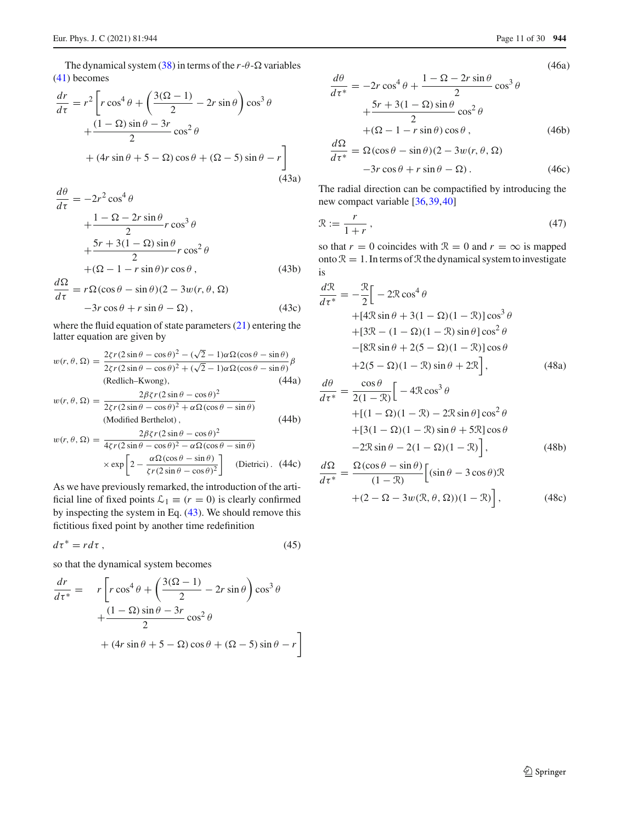<span id="page-10-0"></span>The dynamical system  $(38)$  in terms of the  $r-\theta$ - $\Omega$  variables [\(41\)](#page-9-2) becomes

$$
\frac{dr}{d\tau} = r^2 \left[ r \cos^4 \theta + \left( \frac{3(\Omega - 1)}{2} - 2r \sin \theta \right) \cos^3 \theta + \frac{(1 - \Omega)\sin \theta - 3r}{2} \cos^2 \theta + (4r \sin \theta + 5 - \Omega) \cos \theta + (\Omega - 5) \sin \theta - r \right]
$$
\n(43a)

$$
\frac{d\theta}{d\tau} = -2r^2 \cos^4 \theta
$$
  
+ 
$$
\frac{1 - \Omega - 2r \sin \theta}{2} r \cos^3 \theta
$$
  
+ 
$$
\frac{5r + 3(1 - \Omega) \sin \theta}{2} r \cos^2 \theta
$$
  
+ 
$$
(\Omega - 1 - r \sin \theta) r \cos \theta,
$$
 (43b)

$$
\frac{d\Omega}{d\tau} = r\Omega(\cos\theta - \sin\theta)(2 - 3w(r, \theta, \Omega))
$$
  
-3r cos \theta + r sin \theta - \Omega, (43c)

<span id="page-10-1"></span>where the fluid equation of state parameters [\(21\)](#page-5-3) entering the latter equation are given by

$$
w(r, \theta, \Omega) = \frac{2\zeta r(2\sin\theta - \cos\theta)^2 - (\sqrt{2} - 1)\alpha\Omega(\cos\theta - \sin\theta)}{2\zeta r(2\sin\theta - \cos\theta)^2 + (\sqrt{2} - 1)\alpha\Omega(\cos\theta - \sin\theta)}\beta
$$
  
(Redlich-Kwong), (44a)

$$
w(r, \theta, \Omega) = \frac{2\beta\zeta r(2\sin\theta - \cos\theta)^2}{2\zeta r(2\sin\theta - \cos\theta)^2 + \alpha\Omega(\cos\theta - \sin\theta)}
$$
(Modified Berthelot), (44b)

$$
w(r, \theta, \Omega) = \frac{2\beta\zeta r(2\sin\theta - \cos\theta)^2}{4\zeta r(2\sin\theta - \cos\theta)^2 - \alpha\Omega(\cos\theta - \sin\theta)}
$$

$$
\times \exp\left[2 - \frac{\alpha\Omega(\cos\theta - \sin\theta)}{\zeta r(2\sin\theta - \cos\theta)^2}\right] \text{ (Dietrici). (44c)}
$$

As we have previously remarked, the introduction of the artificial line of fixed points  $\mathcal{L}_1 \equiv (r = 0)$  is clearly confirmed by inspecting the system in Eq. [\(43\)](#page-10-0). We should remove this fictitious fixed point by another time redefinition

$$
d\tau^* = r d\tau \,,\tag{45}
$$

so that the dynamical system becomes

$$
\frac{dr}{d\tau^*} = r \left[ r \cos^4 \theta + \left( \frac{3(\Omega - 1)}{2} - 2r \sin \theta \right) \cos^3 \theta + \frac{(1 - \Omega) \sin \theta - 3r}{2} \cos^2 \theta + (4r \sin \theta + 5 - \Omega) \cos \theta + (\Omega - 5) \sin \theta - r \right]
$$

(46a)

$$
\frac{d\theta}{d\tau^*} = -2r\cos^4\theta + \frac{1-\Omega - 2r\sin\theta}{2}\cos^3\theta
$$

$$
+\frac{5r + 3(1-\Omega)\sin\theta}{2}\cos^2\theta
$$

$$
+(\Omega - 1 - r\sin\theta)\cos\theta,
$$
(46b)

$$
\frac{d\Omega}{d\tau^*} = \Omega(\cos\theta - \sin\theta)(2 - 3w(r, \theta, \Omega))
$$

$$
-3r\cos\theta + r\sin\theta - \Omega). \tag{46c}
$$

The radial direction can be compactified by introducing the new compact variable [\[36](#page-26-13)[,39](#page-26-16)[,40](#page-26-17)]

$$
\mathcal{R} := \frac{r}{1+r},\tag{47}
$$

so that  $r = 0$  coincides with  $\mathcal{R} = 0$  and  $r = \infty$  is mapped onto  $\mathcal{R} = 1$ . In terms of  $\mathcal{R}$  the dynamical system to investigate is

<span id="page-10-2"></span>
$$
\frac{d\mathcal{R}}{d\tau^*} = -\frac{\mathcal{R}}{2} \Big[ -2\mathcal{R}\cos^4\theta
$$
  
+ 
$$
[4\mathcal{R}\sin\theta + 3(1 - \Omega)(1 - \mathcal{R})]\cos^3\theta
$$
  
+ 
$$
[3\mathcal{R} - (1 - \Omega)(1 - \mathcal{R})\sin\theta]\cos^2\theta
$$
  
- 
$$
[8\mathcal{R}\sin\theta + 2(5 - \Omega)(1 - \mathcal{R})]\cos\theta
$$
  
+ 
$$
2(5 - \Omega)(1 - \mathcal{R})\sin\theta + 2\mathcal{R} \Big],
$$
 (48a)

$$
\frac{d\theta}{d\tau^*} = \frac{\cos\theta}{2(1-\mathcal{R})} \Big[ -4\mathcal{R}\cos^3\theta
$$
  
+ 
$$
[ (1-\Omega)(1-\mathcal{R}) - 2\mathcal{R}\sin\theta ] \cos^2\theta
$$
  
+ 
$$
[ 3(1-\Omega)(1-\mathcal{R})\sin\theta + 5\mathcal{R}] \cos\theta
$$
  
- 
$$
-2\mathcal{R}\sin\theta - 2(1-\Omega)(1-\mathcal{R}) \Big],
$$
(48b)

<span id="page-10-3"></span>
$$
\frac{d\Omega}{d\tau^*} = \frac{\Omega(\cos\theta - \sin\theta)}{(1 - \mathcal{R})} \Big[ (\sin\theta - 3\cos\theta) \mathcal{R}
$$

$$
+ (2 - \Omega - 3w(\mathcal{R}, \theta, \Omega)) (1 - \mathcal{R}) \Big], \tag{48c}
$$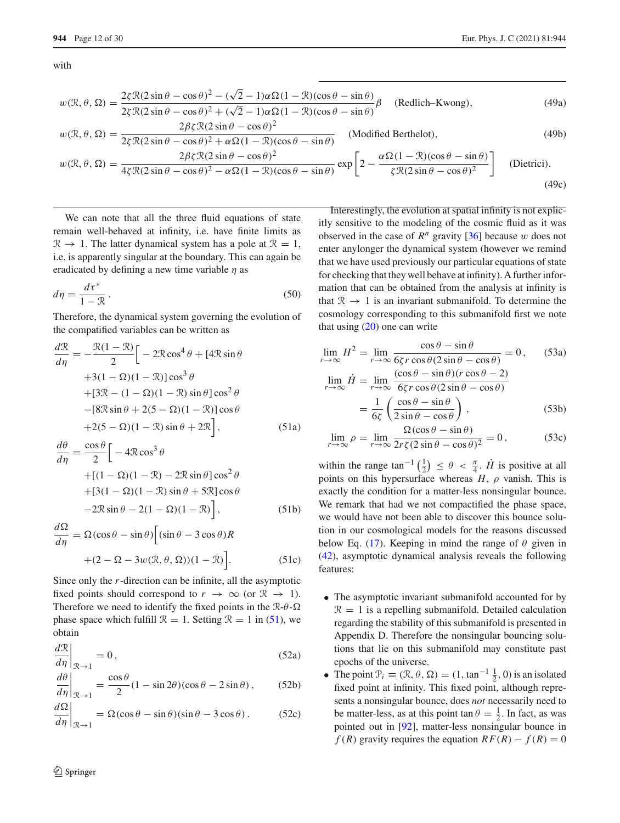with

$$
w(\mathcal{R}, \theta, \Omega) = \frac{2\zeta \mathcal{R}(2\sin\theta - \cos\theta)^2 - (\sqrt{2} - 1)\alpha \Omega (1 - \mathcal{R})(\cos\theta - \sin\theta)}{2\zeta \mathcal{R}(2\sin\theta - \cos\theta)^2 + (\sqrt{2} - 1)\alpha \Omega (1 - \mathcal{R})(\cos\theta - \sin\theta)} \beta
$$
 (Redlich-Kwong), (49a)

$$
w(\mathcal{R}, \theta, \Omega) = \frac{2\beta \zeta \mathcal{R}(2\sin\theta - \cos\theta)^2}{2\zeta \mathcal{R}(2\sin\theta - \cos\theta)^2 + \alpha \Omega (1 - \mathcal{R})(\cos\theta - \sin\theta)}
$$
 (Modified Berthelot), (49b)

$$
w(\mathcal{R}, \theta, \Omega) = \frac{2\beta\zeta\mathcal{R}(2\sin\theta - \cos\theta)^2}{4\zeta\mathcal{R}(2\sin\theta - \cos\theta)^2 - \alpha\Omega(1 - \mathcal{R})(\cos\theta - \sin\theta)} \exp\left[2 - \frac{\alpha\Omega(1 - \mathcal{R})(\cos\theta - \sin\theta)}{\zeta\mathcal{R}(2\sin\theta - \cos\theta)^2}\right]
$$
(Dietrici). (49c)

We can note that all the three fluid equations of state remain well-behaved at infinity, i.e. have finite limits as  $\mathcal{R} \rightarrow 1$ . The latter dynamical system has a pole at  $\mathcal{R} = 1$ , i.e. is apparently singular at the boundary. This can again be eradicated by defining a new time variable  $\eta$  as

$$
d\eta = \frac{d\tau^*}{1 - \mathcal{R}}.\tag{50}
$$

Therefore, the dynamical system governing the evolution of the compatified variables can be written as

<span id="page-11-2"></span>
$$
\frac{d\mathcal{R}}{d\eta} = -\frac{\mathcal{R}(1-\mathcal{R})}{2} \Big[ -2\mathcal{R}\cos^4\theta + [4\mathcal{R}\sin\theta
$$
  
+3(1-\Omega)(1-\mathcal{R})]\cos^3\theta  
+ [3\mathcal{R} - (1-\Omega)(1-\mathcal{R})\sin\theta]\cos^2\theta  
-[8\mathcal{R}\sin\theta + 2(5-\Omega)(1-\mathcal{R})]\cos\theta  
+2(5-\Omega)(1-\mathcal{R})\sin\theta + 2\mathcal{R} \Big], \t(51a)  

$$
\frac{d\theta}{d\eta} = \frac{\cos\theta}{\eta} \Gamma
$$

$$
\frac{d\theta}{d\eta} = \frac{\cos\theta}{2} \Big[ -4\mathcal{R}\cos^3\theta
$$
  
+[(1-\Omega)(1-\mathcal{R})-2\mathcal{R}\sin\theta]\cos^2\theta  
+[3(1-\Omega)(1-\mathcal{R})\sin\theta+5\mathcal{R}]\cos\theta  
-2\mathcal{R}\sin\theta - 2(1-\Omega)(1-\mathcal{R})\Big], (51b)

$$
\frac{d\Omega}{d\eta} = \Omega(\cos\theta - \sin\theta) \Big[ (\sin\theta - 3\cos\theta) R
$$

$$
+ (2 - \Omega - 3w(\mathcal{R}, \theta, \Omega)) (1 - \mathcal{R}) \Big].
$$
(51c)

Since only the *r*-direction can be infinite, all the asymptotic fixed points should correspond to  $r \to \infty$  (or  $\mathcal{R} \to 1$ ). Therefore we need to identify the fixed points in the  $\mathcal{R}-\Omega$ phase space which fulfill  $\mathcal{R} = 1$ . Setting  $\mathcal{R} = 1$  in [\(51\)](#page-11-0), we obtain

<span id="page-11-4"></span><span id="page-11-3"></span>
$$
\left. \frac{d\mathcal{R}}{d\eta} \right|_{\mathcal{R} \to 1} = 0, \tag{52a}
$$

$$
\left. \frac{d\theta}{d\eta} \right|_{\mathcal{R} \to 1} = \frac{\cos \theta}{2} (1 - \sin 2\theta) (\cos \theta - 2\sin \theta) ,\qquad (52b)
$$

$$
\left. \frac{d\Omega}{d\eta} \right|_{\mathcal{R} \to 1} = \Omega (\cos \theta - \sin \theta)(\sin \theta - 3\cos \theta). \tag{52c}
$$

<span id="page-11-1"></span>Interestingly, the evolution at spatial infinity is not explicitly sensitive to the modeling of the cosmic fluid as it was observed in the case of  $R^n$  gravity [\[36\]](#page-26-13) because w does not enter anylonger the dynamical system (however we remind that we have used previously our particular equations of state for checking that they well behave at infinity). A further information that can be obtained from the analysis at infinity is that  $\mathcal{R} \rightarrow 1$  is an invariant submanifold. To determine the cosmology corresponding to this submanifold first we note that using  $(20)$  one can write

<span id="page-11-5"></span><span id="page-11-0"></span>
$$
\lim_{r \to \infty} H^2 = \lim_{r \to \infty} \frac{\cos \theta - \sin \theta}{6\zeta r \cos \theta (2 \sin \theta - \cos \theta)} = 0, \qquad (53a)
$$

$$
\lim_{r \to \infty} \dot{H} = \lim_{r \to \infty} \frac{(\cos \theta - \sin \theta)(r \cos \theta - 2)}{6\zeta r \cos \theta (2 \sin \theta - \cos \theta)}
$$

$$
= \frac{1}{6\zeta} \left( \frac{\cos \theta - \sin \theta}{2 \sin \theta - \cos \theta} \right), \qquad (53b)
$$

$$
\lim_{r \to \infty} \rho = \lim_{r \to \infty} \frac{\Omega(\cos \theta - \sin \theta)}{2r\zeta(2\sin \theta - \cos \theta)^2} = 0, \tag{53c}
$$

within the range  $\tan^{-1}(\frac{1}{2}) \leq \theta < \frac{\pi}{4}$ .  $\dot{H}$  is positive at all points on this hypersurface whereas  $H$ ,  $\rho$  vanish. This is exactly the condition for a matter-less nonsingular bounce. We remark that had we not compactified the phase space, we would have not been able to discover this bounce solution in our cosmological models for the reasons discussed below Eq. [\(17\)](#page-4-4). Keeping in mind the range of  $\theta$  given in [\(42\)](#page-9-3), asymptotic dynamical analysis reveals the following features:

- The asymptotic invariant submanifold accounted for by  $\mathcal{R} = 1$  is a repelling submanifold. Detailed calculation regarding the stability of this submanifold is presented in Appendix D. Therefore the nonsingular bouncing solutions that lie on this submanifold may constitute past epochs of the universe.
- The point  $\mathcal{P}_i \equiv (\mathcal{R}, \theta, \Omega) = (1, \tan^{-1} \frac{1}{2}, 0)$  is an isolated fixed point at infinity. This fixed point, although represents a nonsingular bounce, does *not* necessarily need to be matter-less, as at this point  $\tan \theta = \frac{1}{2}$ . In fact, as was pointed out in [\[92](#page-27-24)], matter-less nonsingular bounce in *f* (*R*) gravity requires the equation  $RF(R) - f(R) = 0$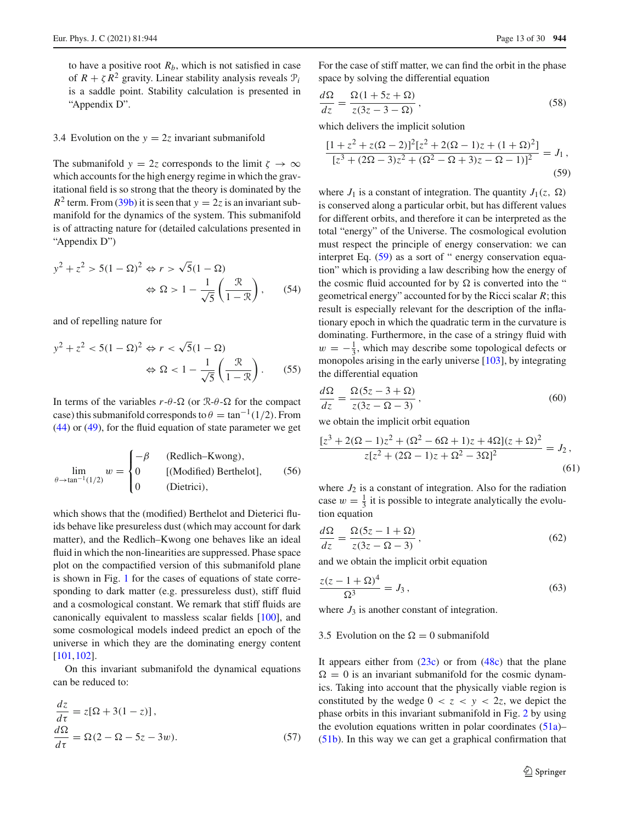to have a positive root  $R<sub>b</sub>$ , which is not satisfied in case of  $R + \zeta R^2$  gravity. Linear stability analysis reveals  $\mathcal{P}_i$ is a saddle point. Stability calculation is presented in "Appendix D".

# <span id="page-12-0"></span>3.4 Evolution on the  $y = 2z$  invariant submanifold

The submanifold  $y = 2z$  corresponds to the limit  $\zeta \to \infty$ which accounts for the high energy regime in which the gravitational field is so strong that the theory is dominated by the  $R^2$  term. From [\(39b\)](#page-8-4) it is seen that  $y = 2z$  is an invariant submanifold for the dynamics of the system. This submanifold is of attracting nature for (detailed calculations presented in "Appendix D")

$$
y^{2} + z^{2} > 5(1 - \Omega)^{2} \Leftrightarrow r > \sqrt{5}(1 - \Omega)
$$

$$
\Leftrightarrow \Omega > 1 - \frac{1}{\sqrt{5}}\left(\frac{\mathcal{R}}{1 - \mathcal{R}}\right), \qquad (54)
$$

and of repelling nature for

$$
y^{2} + z^{2} < 5(1 - \Omega)^{2} \Leftrightarrow r < \sqrt{5}(1 - \Omega)
$$
\n
$$
\Leftrightarrow \Omega < 1 - \frac{1}{\sqrt{5}}\left(\frac{\mathcal{R}}{1 - \mathcal{R}}\right). \tag{55}
$$

In terms of the variables  $r-\theta-\Omega$  (or  $\mathbb{R}-\theta-\Omega$  for the compact case) this submanifold corresponds to  $\theta = \tan^{-1}(1/2)$ . From [\(44\)](#page-10-1) or [\(49\)](#page-11-1), for the fluid equation of state parameter we get

$$
\lim_{\theta \to \tan^{-1}(1/2)} w = \begin{cases}\n-\beta & \text{(Redlich-Kwong)}, \\
0 & \text{[(Modified) Berthelot]}, \\
0 & \text{(Dietrici)},\n\end{cases}
$$
\n(56)

which shows that the (modified) Berthelot and Dieterici fluids behave like presureless dust (which may account for dark matter), and the Redlich–Kwong one behaves like an ideal fluid in which the non-linearities are suppressed. Phase space plot on the compactified version of this submanifold plane is shown in Fig. [1](#page-13-1) for the cases of equations of state corresponding to dark matter (e.g. pressureless dust), stiff fluid and a cosmological constant. We remark that stiff fluids are canonically equivalent to massless scalar fields [\[100](#page-27-29)], and some cosmological models indeed predict an epoch of the universe in which they are the dominating energy content [\[101](#page-27-30),[102](#page-27-31)].

On this invariant submanifold the dynamical equations can be reduced to:

$$
\frac{dz}{d\tau} = z[\Omega + 3(1 - z)],
$$
  
\n
$$
\frac{d\Omega}{d\tau} = \Omega(2 - \Omega - 5z - 3w).
$$
\n(57)

For the case of stiff matter, we can find the orbit in the phase space by solving the differential equation

$$
\frac{d\Omega}{dz} = \frac{\Omega(1+5z+\Omega)}{z(3z-3-\Omega)},\tag{58}
$$

which delivers the implicit solution

<span id="page-12-2"></span>
$$
\frac{[1+z^2+z(\Omega-2)]^2[z^2+2(\Omega-1)z+(1+\Omega)^2]}{[z^3+(2\Omega-3)z^2+(\Omega^2-\Omega+3)z-\Omega-1)]^2} = J_1,
$$
\n(59)

where  $J_1$  is a constant of integration. The quantity  $J_1(z, \Omega)$ is conserved along a particular orbit, but has different values for different orbits, and therefore it can be interpreted as the total "energy" of the Universe. The cosmological evolution must respect the principle of energy conservation: we can interpret Eq. [\(59\)](#page-12-2) as a sort of " energy conservation equation" which is providing a law describing how the energy of the cosmic fluid accounted for by  $\Omega$  is converted into the " geometrical energy" accounted for by the Ricci scalar *R*; this result is especially relevant for the description of the inflationary epoch in which the quadratic term in the curvature is dominating. Furthermore, in the case of a stringy fluid with  $w = -\frac{1}{3}$ , which may describe some topological defects or monopoles arising in the early universe [\[103](#page-27-32)], by integrating the differential equation

$$
\frac{d\Omega}{dz} = \frac{\Omega(5z - 3 + \Omega)}{z(3z - \Omega - 3)},\tag{60}
$$

we obtain the implicit orbit equation

$$
\frac{[z^3 + 2(\Omega - 1)z^2 + (\Omega^2 - 6\Omega + 1)z + 4\Omega](z + \Omega)^2}{z[z^2 + (2\Omega - 1)z + \Omega^2 - 3\Omega]^2} = J_2,
$$
\n(61)

where  $J_2$  is a constant of integration. Also for the radiation case  $w = \frac{1}{3}$  it is possible to integrate analytically the evolution equation

$$
\frac{d\Omega}{dz} = \frac{\Omega(5z - 1 + \Omega)}{z(3z - \Omega - 3)},\tag{62}
$$

and we obtain the implicit orbit equation

$$
\frac{z(z-1+\Omega)^4}{\Omega^3} = J_3,
$$
\n(63)

where  $J_3$  is another constant of integration.

# <span id="page-12-1"></span>3.5 Evolution on the  $\Omega = 0$  submanifold

It appears either from  $(23c)$  or from  $(48c)$  that the plane  $\Omega = 0$  is an invariant submanifold for the cosmic dynamics. Taking into account that the physically viable region is constituted by the wedge  $0 < z < y < 2z$ , we depict the phase orbits in this invariant submanifold in Fig. [2](#page-14-1) by using the evolution equations written in polar coordinates  $(51a)$ – [\(51b\)](#page-11-2). In this way we can get a graphical confirmation that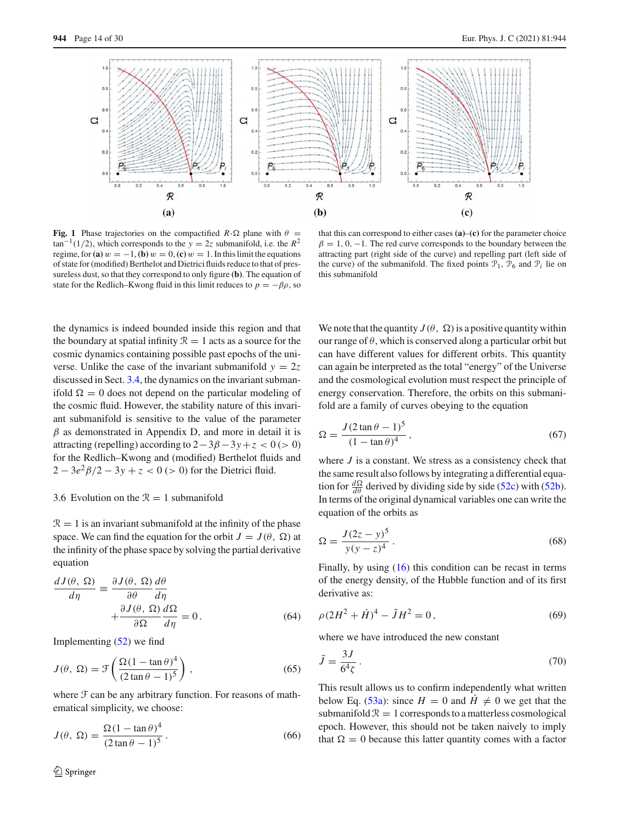

<span id="page-13-1"></span>**Fig. 1** Phase trajectories on the compactified  $R-\Omega$  plane with  $\theta =$  $\tan^{-1}(1/2)$ , which corresponds to the *y* = 2*z* submanifold, i.e. the *R*<sup>2</sup> regime, for **(a)**  $w = -1$ , **(b)**  $w = 0$ , **(c)**  $w = 1$ . In this limit the equations of state for (modified) Berthelot and Dietrici fluids reduce to that of pressureless dust, so that they correspond to only figure **(b)**. The equation of state for the Redlich–Kwong fluid in this limit reduces to  $p = -\beta \rho$ , so

that this can correspond to either cases **(a)**–**(c)** for the parameter choice  $\beta = 1, 0, -1$ . The red curve corresponds to the boundary between the attracting part (right side of the curve) and repelling part (left side of the curve) of the submanifold. The fixed points  $\mathcal{P}_1$ ,  $\mathcal{P}_6$  and  $\mathcal{P}_i$  lie on this submanifold

the dynamics is indeed bounded inside this region and that the boundary at spatial infinity  $\mathcal{R} = 1$  acts as a source for the cosmic dynamics containing possible past epochs of the universe. Unlike the case of the invariant submanifold  $y = 2z$ discussed in Sect. [3.4,](#page-12-0) the dynamics on the invariant submanifold  $\Omega = 0$  does not depend on the particular modeling of the cosmic fluid. However, the stability nature of this invariant submanifold is sensitive to the value of the parameter  $\beta$  as demonstrated in Appendix D, and more in detail it is attracting (repelling) according to  $2-3\beta-3\gamma+z < 0$  (> 0) for the Redlich–Kwong and (modified) Berthelot fluids and  $2 - 3e^2\beta/2 - 3y + z < 0$  (> 0) for the Dietrici fluid.

## <span id="page-13-0"></span>3.6 Evolution on the  $\mathcal{R} = 1$  submanifold

 $\mathcal{R} = 1$  is an invariant submanifold at the infinity of the phase space. We can find the equation for the orbit  $J = J(\theta, \Omega)$  at the infinity of the phase space by solving the partial derivative equation

$$
\frac{dJ(\theta, \Omega)}{d\eta} = \frac{\partial J(\theta, \Omega)}{\partial \theta} \frac{d\theta}{d\eta} + \frac{\partial J(\theta, \Omega)}{\partial \Omega} \frac{d\Omega}{d\eta} = 0.
$$
\n(64)

Implementing [\(52\)](#page-11-3) we find

$$
J(\theta, \Omega) = \mathcal{F}\left(\frac{\Omega(1 - \tan \theta)^4}{(2 \tan \theta - 1)^5}\right),\tag{65}
$$

where  $\mathcal F$  can be any arbitrary function. For reasons of mathematical simplicity, we choose:

$$
J(\theta, \Omega) = \frac{\Omega (1 - \tan \theta)^4}{(2 \tan \theta - 1)^5}.
$$
 (66)

We note that the quantity  $J(\theta, \Omega)$  is a positive quantity within our range of  $\theta$ , which is conserved along a particular orbit but can have different values for different orbits. This quantity can again be interpreted as the total "energy" of the Universe and the cosmological evolution must respect the principle of energy conservation. Therefore, the orbits on this submanifold are a family of curves obeying to the equation

$$
\Omega = \frac{J(2\tan\theta - 1)^5}{(1 - \tan\theta)^4},\tag{67}
$$

where *J* is a constant. We stress as a consistency check that the same result also follows by integrating a differential equation for  $\frac{d\Omega}{d\theta}$  derived by dividing side by side [\(52c\)](#page-11-4) with [\(52b\)](#page-11-4). In terms of the original dynamical variables one can write the equation of the orbits as

<span id="page-13-2"></span>
$$
\Omega = \frac{J(2z - y)^5}{y(y - z)^4}.
$$
\n(68)

Finally, by using [\(16\)](#page-4-2) this condition can be recast in terms of the energy density, of the Hubble function and of its first derivative as:

$$
\rho (2H^2 + \dot{H})^4 - \tilde{J}H^2 = 0, \qquad (69)
$$

where we have introduced the new constant

$$
\tilde{J} = \frac{3J}{6^4\zeta} \,. \tag{70}
$$

This result allows us to confirm independently what written below Eq. [\(53a\)](#page-11-5): since  $H = 0$  and  $\dot{H} \neq 0$  we get that the submanifold  $\mathcal{R} = 1$  corresponds to a matterless cosmological epoch. However, this should not be taken naively to imply that  $\Omega = 0$  because this latter quantity comes with a factor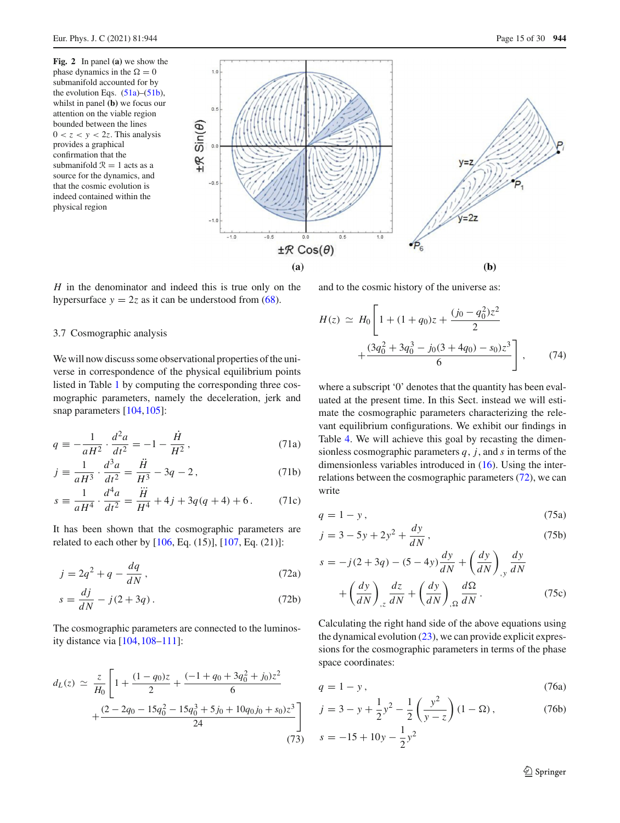<span id="page-14-1"></span>**Fig. 2** In panel **(a)** we show the phase dynamics in the  $\Omega = 0$ submanifold accounted for by the evolution Eqs.  $(51a)$ – $(51b)$ , whilst in panel **(b)** we focus our attention on the viable region bounded between the lines  $0 < z < y < 2z$ . This analysis provides a graphical confirmation that the submanifold  $\mathcal{R} = 1$  acts as a source for the dynamics, and that the cosmic evolution is indeed contained within the physical region



*H* in the denominator and indeed this is true only on the hypersurface  $y = 2z$  as it can be understood from [\(68\)](#page-13-2).

#### <span id="page-14-0"></span>3.7 Cosmographic analysis

We will now discuss some observational properties of the universe in correspondence of the physical equilibrium points listed in Table [1](#page-7-0) by computing the corresponding three cosmographic parameters, namely the deceleration, jerk and snap parameters [\[104](#page-27-33),[105](#page-27-34)]:

$$
q \equiv -\frac{1}{aH^2} \cdot \frac{d^2a}{dt^2} = -1 - \frac{\dot{H}}{H^2},
$$
 (71a)

$$
j \equiv \frac{1}{aH^3} \cdot \frac{d^3a}{dt^2} = \frac{\ddot{H}}{H^3} - 3q - 2, \qquad (71b)
$$

$$
s \equiv \frac{1}{aH^4} \cdot \frac{d^4a}{dt^2} = \frac{\dddot{H}}{H^4} + 4j + 3q(q+4) + 6. \tag{71c}
$$

It has been shown that the cosmographic parameters are related to each other by  $[106, Eq. (15)], [107, Eq. (21)]$  $[106, Eq. (15)], [107, Eq. (21)]$  $[106, Eq. (15)], [107, Eq. (21)]$  $[106, Eq. (15)], [107, Eq. (21)]$ :

$$
j = 2q^2 + q - \frac{dq}{dN},\tag{72a}
$$

$$
s = \frac{dj}{dN} - j(2 + 3q). \tag{72b}
$$

The cosmographic parameters are connected to the luminosity distance via [\[104](#page-27-33)[,108](#page-28-1)[–111](#page-28-2)]:

$$
d_L(z) \simeq \frac{z}{H_0} \left[ 1 + \frac{(1 - q_0)z}{2} + \frac{(-1 + q_0 + 3q_0^2 + j_0)z^2}{6} + \frac{(2 - 2q_0 - 15q_0^2 - 15q_0^3 + 5j_0 + 10q_0j_0 + s_0)z^3}{24} \right]
$$
\n(73)

and to the cosmic history of the universe as:

$$
H(z) \simeq H_0 \left[ 1 + (1 + q_0)z + \frac{(j_0 - q_0^2)z^2}{2} + \frac{(3q_0^2 + 3q_0^3 - j_0(3 + 4q_0) - s_0)z^3}{6} \right],
$$
 (74)

where a subscript '0' denotes that the quantity has been evaluated at the present time. In this Sect. instead we will estimate the cosmographic parameters characterizing the relevant equilibrium configurations. We exhibit our findings in Table [4.](#page-16-0) We will achieve this goal by recasting the dimensionless cosmographic parameters *q*, *j*, and *s* in terms of the dimensionless variables introduced in [\(16\)](#page-4-2). Using the interrelations between the cosmographic parameters  $(72)$ , we can write

$$
q = 1 - y, \tag{75a}
$$

<span id="page-14-2"></span>
$$
j = 3 - 5y + 2y^2 + \frac{dy}{dN},
$$
 (75b)

$$
s = -j(2+3q) - (5-4y)\frac{dy}{dN} + \left(\frac{dy}{dN}\right)_{,y} \frac{dy}{dN}
$$

$$
+ \left(\frac{dy}{dN}\right)_{,z} \frac{dz}{dN} + \left(\frac{dy}{dN}\right)_{,Ω} \frac{dΩ}{dN}.
$$
(75c)

<span id="page-14-3"></span>Calculating the right hand side of the above equations using the dynamical evolution  $(23)$ , we can provide explicit expressions for the cosmographic parameters in terms of the phase space coordinates:

<span id="page-14-4"></span>
$$
q = 1 - y, \tag{76a}
$$

$$
j = 3 - y + \frac{1}{2}y^{2} - \frac{1}{2}\left(\frac{y^{2}}{y - z}\right)(1 - \Omega),
$$
\n
$$
s = -15 + 10y - \frac{1}{2}y^{2}
$$
\n(76b)

$$
y + 10y - \frac{1}{2}y^2
$$

<sup>2</sup> Springer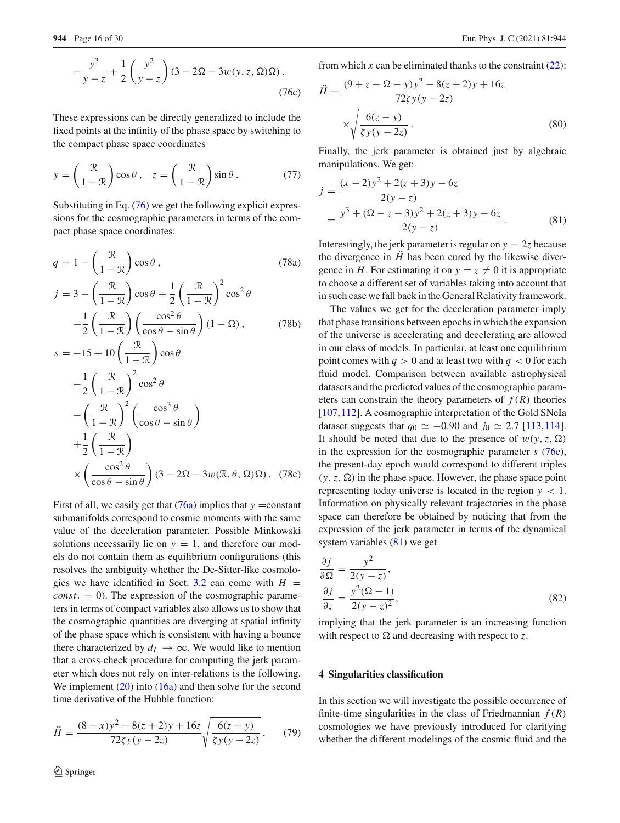$$
-\frac{y^3}{y-z} + \frac{1}{2} \left( \frac{y^2}{y-z} \right) (3 - 2\Omega - 3w(y, z, \Omega)\Omega).
$$
\n(76c)

These expressions can be directly generalized to include the fixed points at the infinity of the phase space by switching to the compact phase space coordinates

$$
y = \left(\frac{\mathcal{R}}{1 - \mathcal{R}}\right) \cos \theta, \quad z = \left(\frac{\mathcal{R}}{1 - \mathcal{R}}\right) \sin \theta. \tag{77}
$$

Substituting in Eq. [\(76\)](#page-14-3) we get the following explicit expressions for the cosmographic parameters in terms of the compact phase space coordinates:

$$
q = 1 - \left(\frac{\mathcal{R}}{1 - \mathcal{R}}\right)\cos\theta, \qquad (78a)
$$
  
\n
$$
j = 3 - \left(\frac{\mathcal{R}}{1 - \mathcal{R}}\right)\cos\theta + \frac{1}{2}\left(\frac{\mathcal{R}}{1 - \mathcal{R}}\right)^{2}\cos^{2}\theta
$$
  
\n
$$
-\frac{1}{2}\left(\frac{\mathcal{R}}{1 - \mathcal{R}}\right)\left(\frac{\cos^{2}\theta}{\cos\theta - \sin\theta}\right)(1 - \Omega), \qquad (78b)
$$
  
\n
$$
s = -15 + 10\left(\frac{\mathcal{R}}{1 - \mathcal{R}}\right)\cos\theta
$$
  
\n
$$
-\frac{1}{2}\left(\frac{\mathcal{R}}{1 - \mathcal{R}}\right)^{2}\cos^{2}\theta
$$
  
\n
$$
-\left(\frac{\mathcal{R}}{1 - \mathcal{R}}\right)^{2}\left(\frac{\cos^{3}\theta}{\cos\theta - \sin\theta}\right)
$$
  
\n
$$
+\frac{1}{2}\left(\frac{\mathcal{R}}{1 - \mathcal{R}}\right)
$$
  
\n
$$
\times \left(\frac{\cos^{2}\theta}{\cos\theta - \sin\theta}\right)(3 - 2\Omega - 3w(\mathcal{R}, \theta, \Omega)\Omega). \qquad (78c)
$$

First of all, we easily get that  $(76a)$  implies that  $y = constant$ submanifolds correspond to cosmic moments with the same value of the deceleration parameter. Possible Minkowski solutions necessarily lie on  $y = 1$ , and therefore our models do not contain them as equilibrium configurations (this resolves the ambiguity whether the De-Sitter-like cosmolo-gies we have identified in Sect. [3.2](#page-6-0) can come with  $H =$  $const. = 0$ ). The expression of the cosmographic parameters in terms of compact variables also allows us to show that the cosmographic quantities are diverging at spatial infinity of the phase space which is consistent with having a bounce there characterized by  $d_L \rightarrow \infty$ . We would like to mention that a cross-check procedure for computing the jerk parameter which does not rely on inter-relations is the following. We implement  $(20)$  into  $(16a)$  and then solve for the second time derivative of the Hubble function:

$$
\ddot{H} = \frac{(8-x)y^2 - 8(z+2)y + 16z}{72\zeta y(y-2z)} \sqrt{\frac{6(z-y)}{\zeta y(y-2z)}},\qquad(79)
$$

from which  $x$  can be eliminated thanks to the constraint  $(22)$ :

<span id="page-15-2"></span>
$$
\ddot{H} = \frac{(9+z-\Omega-y)y^2 - 8(z+2)y + 16z}{72\zeta y(y-2z)}
$$

$$
\times \sqrt{\frac{6(z-y)}{\zeta y(y-2z)}}.
$$
(80)

Finally, the jerk parameter is obtained just by algebraic manipulations. We get:

<span id="page-15-1"></span>
$$
j = \frac{(x-2)y^2 + 2(z+3)y - 6z}{2(y-z)}
$$
  
= 
$$
\frac{y^3 + (2z-3)y^2 + 2(z+3)y - 6z}{2(y-z)}
$$
. (81)

Interestingly, the jerk parameter is regular on  $y = 2z$  because the divergence in  $\ddot{H}$  has been cured by the likewise divergence in *H*. For estimating it on  $y = z \neq 0$  it is appropriate to choose a different set of variables taking into account that in such case we fall back in the General Relativity framework.

The values we get for the deceleration parameter imply that phase transitions between epochs in which the expansion of the universe is accelerating and decelerating are allowed in our class of models. In particular, at least one equilibrium point comes with  $q > 0$  and at least two with  $q < 0$  for each fluid model. Comparison between available astrophysical datasets and the predicted values of the cosmographic parameters can constrain the theory parameters of  $f(R)$  theories [\[107](#page-28-0),[112\]](#page-28-3). A cosmographic interpretation of the Gold SNeIa dataset suggests that  $q_0 \simeq -0.90$  and  $j_0 \simeq 2.7$  [\[113](#page-28-4),[114](#page-28-5)]. It should be noted that due to the presence of  $w(y, z, \Omega)$ in the expression for the cosmographic parameter *s* [\(76c\)](#page-14-4), the present-day epoch would correspond to different triples  $(y, z, \Omega)$  in the phase space. However, the phase space point representing today universe is located in the region  $y < 1$ . Information on physically relevant trajectories in the phase space can therefore be obtained by noticing that from the expression of the jerk parameter in terms of the dynamical system variables [\(81\)](#page-15-1) we get

$$
\frac{\partial j}{\partial \Omega} = \frac{y^2}{2(y - z)},
$$
  
\n
$$
\frac{\partial j}{\partial z} = \frac{y^2(\Omega - 1)}{2(y - z)^2},
$$
\n(82)

implying that the jerk parameter is an increasing function with respect to  $\Omega$  and decreasing with respect to z.

# <span id="page-15-0"></span>**4 Singularities classification**

In this section we will investigate the possible occurrence of finite-time singularities in the class of Friedmannian  $f(R)$ cosmologies we have previously introduced for clarifying whether the different modelings of the cosmic fluid and the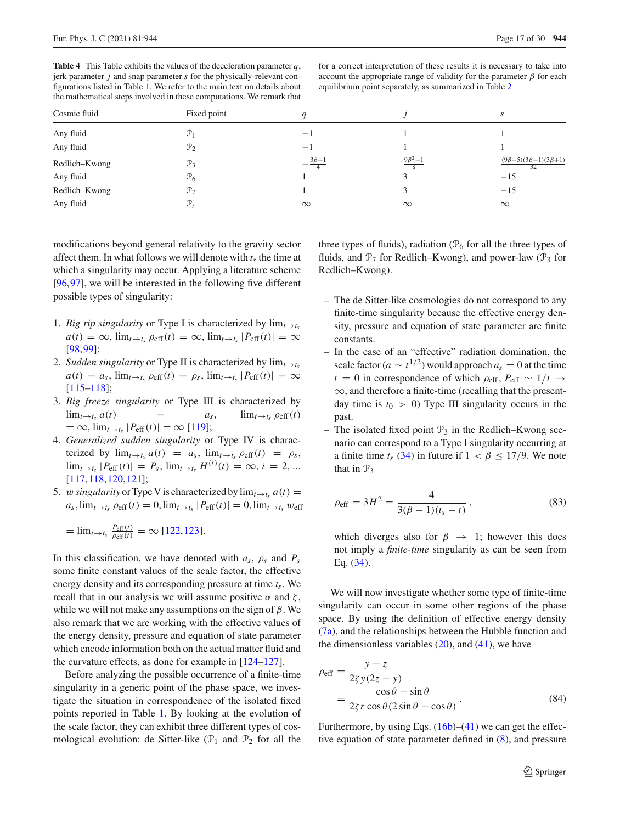<span id="page-16-0"></span>

| <b>Table 4</b> This Table exhibits the values of the deceleration parameter $q$ ,    |
|--------------------------------------------------------------------------------------|
| jerk parameter <i>j</i> and snap parameter <i>s</i> for the physically-relevant con- |
| figurations listed in Table 1. We refer to the main text on details about            |
| the mathematical steps involved in these computations. We remark that                |

for a correct interpretation of these results it is necessary to take into account the appropriate range of validity for the parameter  $\beta$  for each equilibrium point separately, as summarized in Table [2](#page-9-0)

| Cosmic fluid  | Fixed point     | q                     |                | J.                                     |
|---------------|-----------------|-----------------------|----------------|----------------------------------------|
| Any fluid     | $\mathcal{P}_1$ |                       |                |                                        |
| Any fluid     | $\mathcal{P}_2$ | $-1$                  |                |                                        |
| Redlich-Kwong | $\mathcal{P}_3$ | $-\frac{3\beta+1}{4}$ | $9\beta^2 - 1$ | $(9\beta-5)(3\beta-1)(3\beta+1)$<br>32 |
| Any fluid     | $\mathcal{P}_6$ |                       |                | $-15$                                  |
| Redlich-Kwong | $\mathcal{P}_7$ |                       |                | $-15$                                  |
| Any fluid     | $\mathcal{P}_i$ | $\infty$              | $\infty$       | $\infty$                               |

modifications beyond general relativity to the gravity sector affect them. In what follows we will denote with  $t<sub>s</sub>$  the time at which a singularity may occur. Applying a literature scheme [\[96](#page-27-27),[97\]](#page-27-36), we will be interested in the following five different possible types of singularity:

- 1. *Big rip singularity* or Type I is characterized by  $\lim_{t \to t_s}$  $a(t) = \infty$ ,  $\lim_{t \to t_s} \rho_{\text{eff}}(t) = \infty$ ,  $\lim_{t \to t_s} |P_{\text{eff}}(t)| = \infty$ [\[98](#page-27-37)[,99\]](#page-27-28);
- 2. *Sudden singularity* or Type II is characterized by  $\lim_{t\to t_s}$  $a(t) = a_s$ ,  $\lim_{t \to t_s} \rho_{\text{eff}}(t) = \rho_s$ ,  $\lim_{t \to t_s} |P_{\text{eff}}(t)| = \infty$ [\[115](#page-28-6)[–118\]](#page-28-7);
- 3. *Big freeze singularity* or Type III is characterized by  $\lim_{t \to t_s} a(t) = a_s, \qquad \lim_{t \to t_s} \rho_{\text{eff}}(t)$  $=$  ∞,  $\lim_{t\to t_s}$   $|P_{\text{eff}}(t)| = \infty$  [\[119\]](#page-28-8);
- 4. *Generalized sudden singularity* or Type IV is characterized by  $\lim_{t \to t_s} a(t) = a_s$ ,  $\lim_{t \to t_s} \rho_{eff}(t) = \rho_s$ ,  $\lim_{t \to t_s} |P_{\text{eff}}(t)| = P_s$ ,  $\lim_{t \to t_s} H^{(i)}(t) = \infty$ ,  $i = 2, ...$ [\[117,](#page-28-9)[118](#page-28-7)[,120](#page-28-10)[,121](#page-28-11)];
- 5. w *singularity* or Type V is characterized by  $\lim_{t\to t_s} a(t) =$  $a_s$ ,  $\lim_{t \to t_s} \rho_{\text{eff}}(t) = 0$ ,  $\lim_{t \to t_s} |P_{\text{eff}}(t)| = 0$ ,  $\lim_{t \to t_s} w_{\text{eff}}$

$$
= \lim_{t \to t_s} \frac{P_{\text{eff}}(t)}{P_{\text{eff}}(t)} = \infty \, [122, 123].
$$

In this classification, we have denoted with *as*, ρ*<sup>s</sup>* and *Ps* some finite constant values of the scale factor, the effective energy density and its corresponding pressure at time *ts*. We recall that in our analysis we will assume positive  $\alpha$  and  $\zeta$ , while we will not make any assumptions on the sign of  $\beta$ . We also remark that we are working with the effective values of the energy density, pressure and equation of state parameter which encode information both on the actual matter fluid and the curvature effects, as done for example in [\[124](#page-28-14)[–127](#page-28-15)].

Before analyzing the possible occurrence of a finite-time singularity in a generic point of the phase space, we investigate the situation in correspondence of the isolated fixed points reported in Table [1.](#page-7-0) By looking at the evolution of the scale factor, they can exhibit three different types of cosmological evolution: de Sitter-like  $(\mathcal{P}_1$  and  $\mathcal{P}_2$  for all the three types of fluids), radiation ( $\mathcal{P}_6$  for all the three types of fluids, and  $\mathcal{P}_7$  for Redlich–Kwong), and power-law ( $\mathcal{P}_3$  for Redlich–Kwong).

- The de Sitter-like cosmologies do not correspond to any finite-time singularity because the effective energy density, pressure and equation of state parameter are finite constants.
- In the case of an "effective" radiation domination, the scale factor ( $a \sim t^{1/2}$ ) would approach  $a_s = 0$  at the time  $t = 0$  in correspondence of which  $\rho_{\text{eff}}$ ,  $P_{\text{eff}} \sim 1/t \rightarrow$ ∞, and therefore a finite-time (recalling that the presentday time is  $t_0 > 0$ ) Type III singularity occurs in the past.
- The isolated fixed point  $\mathcal{P}_3$  in the Redlich–Kwong scenario can correspond to a Type I singularity occurring at a finite time  $t_s$  [\(34\)](#page-8-5) in future if  $1 < \beta \leq 17/9$ . We note that in  $\mathcal{P}_3$

$$
\rho_{\text{eff}} = 3H^2 = \frac{4}{3(\beta - 1)(t_s - t)},
$$
\n(83)

which diverges also for  $\beta \rightarrow 1$ ; however this does not imply a *finite-time* singularity as can be seen from Eq. [\(34\)](#page-8-5).

We will now investigate whether some type of finite-time singularity can occur in some other regions of the phase space. By using the definition of effective energy density [\(7a\)](#page-3-6), and the relationships between the Hubble function and the dimensionless variables  $(20)$ , and  $(41)$ , we have

<span id="page-16-1"></span>
$$
\rho_{\text{eff}} = \frac{y - z}{2\zeta y(2z - y)} \n= \frac{\cos \theta - \sin \theta}{2\zeta r \cos \theta (2\sin \theta - \cos \theta)}.
$$
\n(84)

Furthermore, by using Eqs.  $(16b)$ – $(41)$  we can get the effective equation of state parameter defined in [\(8\)](#page-3-5), and pressure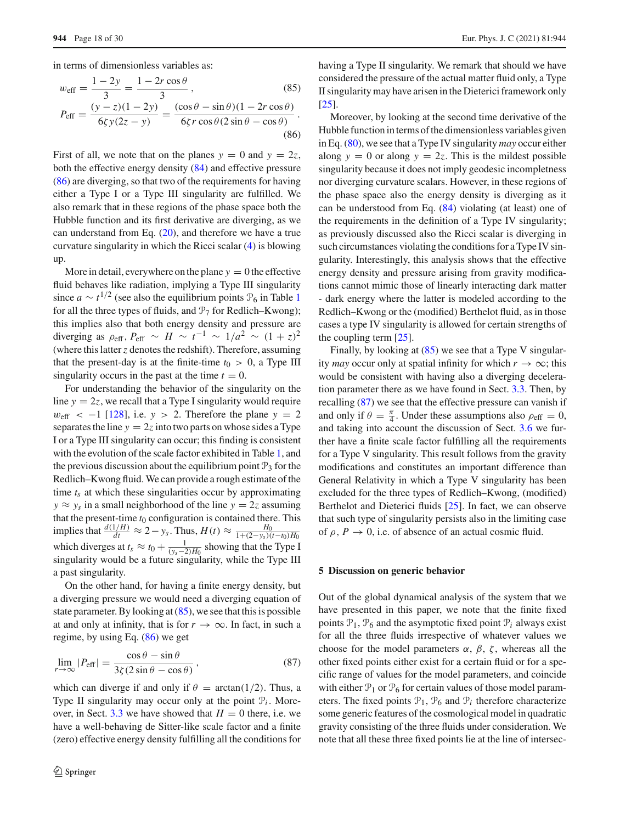in terms of dimensionless variables as:

<span id="page-17-1"></span>
$$
w_{\text{eff}} = \frac{1 - 2y}{3} = \frac{1 - 2r\cos\theta}{3},
$$
(85)  

$$
P_{\text{eff}} = \frac{(y - z)(1 - 2y)}{6\zeta y(2z - y)} = \frac{(\cos\theta - \sin\theta)(1 - 2r\cos\theta)}{6\zeta r\cos\theta(2\sin\theta - \cos\theta)}.
$$
(86)

First of all, we note that on the planes  $y = 0$  and  $y = 2z$ , both the effective energy density [\(84\)](#page-16-1) and effective pressure [\(86\)](#page-17-1) are diverging, so that two of the requirements for having either a Type I or a Type III singularity are fulfilled. We also remark that in these regions of the phase space both the Hubble function and its first derivative are diverging, as we can understand from Eq. [\(20\)](#page-5-5), and therefore we have a true curvature singularity in which the Ricci scalar [\(4\)](#page-3-2) is blowing up.

More in detail, everywhere on the plane  $y = 0$  the effective fluid behaves like radiation, implying a Type III singularity since  $a \sim t^{1/2}$  $a \sim t^{1/2}$  $a \sim t^{1/2}$  (see also the equilibrium points  $\mathcal{P}_6$  in Table 1 for all the three types of fluids, and  $\mathcal{P}_7$  for Redlich–Kwong); this implies also that both energy density and pressure are diverging as  $\rho_{\text{eff}}$ ,  $P_{\text{eff}} \sim H \sim t^{-1} \sim 1/a^2 \sim (1+z)^2$ (where this latter*z* denotes the redshift). Therefore, assuming that the present-day is at the finite-time  $t_0 > 0$ , a Type III singularity occurs in the past at the time  $t = 0$ .

For understanding the behavior of the singularity on the line  $y = 2z$ , we recall that a Type I singularity would require  $w_{\text{eff}}$  < -1 [\[128](#page-28-16)], i.e. *y* > 2. Therefore the plane *y* = 2 separates the line  $y = 2z$  into two parts on whose sides a Type I or a Type III singularity can occur; this finding is consistent with the evolution of the scale factor exhibited in Table [1,](#page-7-0) and the previous discussion about the equilibrium point  $\mathcal{P}_3$  for the Redlich–Kwong fluid. We can provide a rough estimate of the time  $t_s$  at which these singularities occur by approximating  $y \approx y_s$  in a small neighborhood of the line  $y = 2z$  assuming that the present-time  $t_0$  configuration is contained there. This implies that  $\frac{d(1/H)}{dt}$  ≈ 2 − *y<sub>s</sub>*. Thus, *H*(*t*) ≈  $\frac{H_0}{1+(2-y_s)(t-t_0)H_0}$ which diverges at  $t_s \approx t_0 + \frac{1}{(y_s-2)H_0}$  showing that the Type I singularity would be a future singularity, while the Type III a past singularity.

On the other hand, for having a finite energy density, but a diverging pressure we would need a diverging equation of state parameter. By looking at  $(85)$ , we see that this is possible at and only at infinity, that is for  $r \to \infty$ . In fact, in such a regime, by using Eq. [\(86\)](#page-17-1) we get

<span id="page-17-2"></span>
$$
\lim_{r \to \infty} |P_{\text{eff}}| = \frac{\cos \theta - \sin \theta}{3\zeta (2\sin \theta - \cos \theta)},
$$
\n(87)

which can diverge if and only if  $\theta = \arctan(1/2)$ . Thus, a Type II singularity may occur only at the point  $P_i$ . More-over, in Sect. [3.3](#page-8-0) we have showed that  $H = 0$  there, i.e. we have a well-behaving de Sitter-like scale factor and a finite (zero) effective energy density fulfilling all the conditions for having a Type II singularity. We remark that should we have considered the pressure of the actual matter fluid only, a Type II singularity may have arisen in the Dieterici framework only [\[25](#page-25-16)].

Moreover, by looking at the second time derivative of the Hubble function in terms of the dimensionless variables given in Eq. [\(80\)](#page-15-2), we see that a Type IV singularity *may* occur either along  $y = 0$  or along  $y = 2z$ . This is the mildest possible singularity because it does not imply geodesic incompletness nor diverging curvature scalars. However, in these regions of the phase space also the energy density is diverging as it can be understood from Eq. [\(84\)](#page-16-1) violating (at least) one of the requirements in the definition of a Type IV singularity; as previously discussed also the Ricci scalar is diverging in such circumstances violating the conditions for a Type IV singularity. Interestingly, this analysis shows that the effective energy density and pressure arising from gravity modifications cannot mimic those of linearly interacting dark matter - dark energy where the latter is modeled according to the Redlich–Kwong or the (modified) Berthelot fluid, as in those cases a type IV singularity is allowed for certain strengths of the coupling term [\[25](#page-25-16)].

Finally, by looking at [\(85\)](#page-17-1) we see that a Type V singularity *may* occur only at spatial infinity for which  $r \to \infty$ ; this would be consistent with having also a diverging deceleration parameter there as we have found in Sect. [3.3.](#page-8-0) Then, by recalling  $(87)$  we see that the effective pressure can vanish if and only if  $\theta = \frac{\pi}{4}$ . Under these assumptions also  $\rho_{\text{eff}} = 0$ , and taking into account the discussion of Sect. [3.6](#page-13-0) we further have a finite scale factor fulfilling all the requirements for a Type V singularity. This result follows from the gravity modifications and constitutes an important difference than General Relativity in which a Type V singularity has been excluded for the three types of Redlich–Kwong, (modified) Berthelot and Dieterici fluids [\[25\]](#page-25-16). In fact, we can observe that such type of singularity persists also in the limiting case of  $\rho$ ,  $P \rightarrow 0$ , i.e. of absence of an actual cosmic fluid.

#### <span id="page-17-0"></span>**5 Discussion on generic behavior**

Out of the global dynamical analysis of the system that we have presented in this paper, we note that the finite fixed points  $P_1$ ,  $P_6$  and the asymptotic fixed point  $P_i$  always exist for all the three fluids irrespective of whatever values we choose for the model parameters  $\alpha$ ,  $\beta$ ,  $\zeta$ , whereas all the other fixed points either exist for a certain fluid or for a specific range of values for the model parameters, and coincide with either  $\mathcal{P}_1$  or  $\mathcal{P}_6$  for certain values of those model parameters. The fixed points  $P_1$ ,  $P_6$  and  $P_i$  therefore characterize some generic features of the cosmological model in quadratic gravity consisting of the three fluids under consideration. We note that all these three fixed points lie at the line of intersec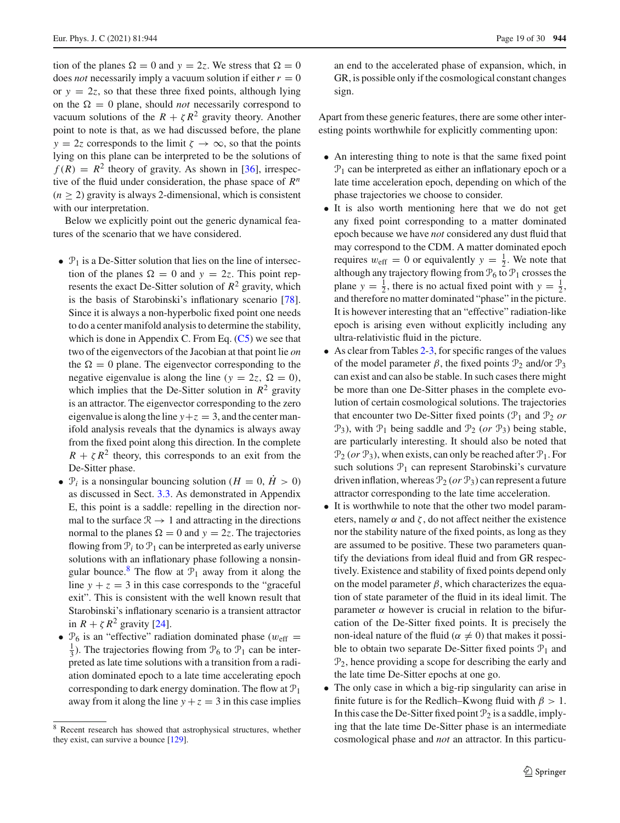tion of the planes  $\Omega = 0$  and  $y = 2z$ . We stress that  $\Omega = 0$ does *not* necessarily imply a vacuum solution if either  $r = 0$ or  $y = 2z$ , so that these three fixed points, although lying on the  $\Omega = 0$  plane, should *not* necessarily correspond to vacuum solutions of the  $R + \zeta R^2$  gravity theory. Another point to note is that, as we had discussed before, the plane  $y = 2z$  corresponds to the limit  $\zeta \to \infty$ , so that the points lying on this plane can be interpreted to be the solutions of  $f(R) = R^2$  theory of gravity. As shown in [\[36](#page-26-13)], irrespective of the fluid under consideration, the phase space of *R<sup>n</sup>*  $(n > 2)$  gravity is always 2-dimensional, which is consistent with our interpretation.

Below we explicitly point out the generic dynamical features of the scenario that we have considered.

- $\mathcal{P}_1$  is a De-Sitter solution that lies on the line of intersection of the planes  $\Omega = 0$  and  $y = 2z$ . This point represents the exact De-Sitter solution of  $R^2$  gravity, which is the basis of Starobinski's inflationary scenario [\[78](#page-27-9)]. Since it is always a non-hyperbolic fixed point one needs to do a center manifold analysis to determine the stability, which is done in Appendix C. From Eq.  $(C_5)$  we see that two of the eigenvectors of the Jacobian at that point lie *on* the  $\Omega = 0$  plane. The eigenvector corresponding to the negative eigenvalue is along the line ( $y = 2z$ ,  $\Omega = 0$ ), which implies that the De-Sitter solution in  $R^2$  gravity is an attractor. The eigenvector corresponding to the zero eigenvalue is along the line  $y + z = 3$ , and the center manifold analysis reveals that the dynamics is always away from the fixed point along this direction. In the complete  $R + \zeta R^2$  theory, this corresponds to an exit from the De-Sitter phase.
- $\mathcal{P}_i$  is a nonsingular bouncing solution ( $H = 0$ ,  $\dot{H} > 0$ ) as discussed in Sect. [3.3.](#page-8-0) As demonstrated in Appendix E, this point is a saddle: repelling in the direction normal to the surface  $\mathcal{R} \rightarrow 1$  and attracting in the directions normal to the planes  $\Omega = 0$  and  $y = 2z$ . The trajectories flowing from  $P_i$  to  $P_1$  can be interpreted as early universe solutions with an inflationary phase following a nonsin-gular bounce.<sup>[8](#page-18-0)</sup> The flow at  $\mathcal{P}_1$  away from it along the line  $y + z = 3$  in this case corresponds to the "graceful" exit". This is consistent with the well known result that Starobinski's inflationary scenario is a transient attractor in  $R + \zeta R^2$  gravity [\[24](#page-25-17)].
- $P_6$  is an "effective" radiation dominated phase ( $w_{\text{eff}}$  =  $\frac{1}{3}$ ). The trajectories flowing from  $\mathcal{P}_6$  to  $\mathcal{P}_1$  can be interpreted as late time solutions with a transition from a radiation dominated epoch to a late time accelerating epoch corresponding to dark energy domination. The flow at  $\mathcal{P}_1$ away from it along the line  $y + z = 3$  in this case implies

an end to the accelerated phase of expansion, which, in GR, is possible only if the cosmological constant changes sign.

Apart from these generic features, there are some other interesting points worthwhile for explicitly commenting upon:

- An interesting thing to note is that the same fixed point  $P_1$  can be interpreted as either an inflationary epoch or a late time acceleration epoch, depending on which of the phase trajectories we choose to consider.
- It is also worth mentioning here that we do not get any fixed point corresponding to a matter dominated epoch because we have *not* considered any dust fluid that may correspond to the CDM. A matter dominated epoch requires  $w_{\text{eff}} = 0$  or equivalently  $y = \frac{1}{2}$ . We note that although any trajectory flowing from  $P_6$  to  $P_1$  crosses the plane  $y = \frac{1}{2}$ , there is no actual fixed point with  $y = \frac{1}{2}$ , and therefore no matter dominated "phase" in the picture. It is however interesting that an "effective" radiation-like epoch is arising even without explicitly including any ultra-relativistic fluid in the picture.
- As clear from Tables [2](#page-9-0)[-3,](#page-9-1) for specific ranges of the values of the model parameter  $\beta$ , the fixed points  $\mathcal{P}_2$  and/or  $\mathcal{P}_3$ can exist and can also be stable. In such cases there might be more than one De-Sitter phases in the complete evolution of certain cosmological solutions. The trajectories that encounter two De-Sitter fixed points  $(\mathcal{P}_1$  and  $\mathcal{P}_2$  *or*  $\mathcal{P}_3$ ), with  $\mathcal{P}_1$  being saddle and  $\mathcal{P}_2$  (*or*  $\mathcal{P}_3$ ) being stable, are particularly interesting. It should also be noted that  $\mathcal{P}_2$  (*or*  $\mathcal{P}_3$ ), when exists, can only be reached after  $\mathcal{P}_1$ . For such solutions  $P_1$  can represent Starobinski's curvature driven inflation, whereas  $\mathcal{P}_2$  (*or*  $\mathcal{P}_3$ ) can represent a future attractor corresponding to the late time acceleration.
- It is worthwhile to note that the other two model parameters, namely  $\alpha$  and  $\zeta$ , do not affect neither the existence nor the stability nature of the fixed points, as long as they are assumed to be positive. These two parameters quantify the deviations from ideal fluid and from GR respectively. Existence and stability of fixed points depend only on the model parameter  $\beta$ , which characterizes the equation of state parameter of the fluid in its ideal limit. The parameter  $\alpha$  however is crucial in relation to the bifurcation of the De-Sitter fixed points. It is precisely the non-ideal nature of the fluid ( $\alpha \neq 0$ ) that makes it possible to obtain two separate De-Sitter fixed points  $P_1$  and  $\mathcal{P}_2$ , hence providing a scope for describing the early and the late time De-Sitter epochs at one go.
- The only case in which a big-rip singularity can arise in finite future is for the Redlich–Kwong fluid with  $\beta > 1$ . In this case the De-Sitter fixed point  $\mathcal{P}_2$  is a saddle, implying that the late time De-Sitter phase is an intermediate cosmological phase and *not* an attractor. In this particu-

<span id="page-18-0"></span><sup>8</sup> Recent research has showed that astrophysical structures, whether they exist, can survive a bounce [\[129](#page-28-17)].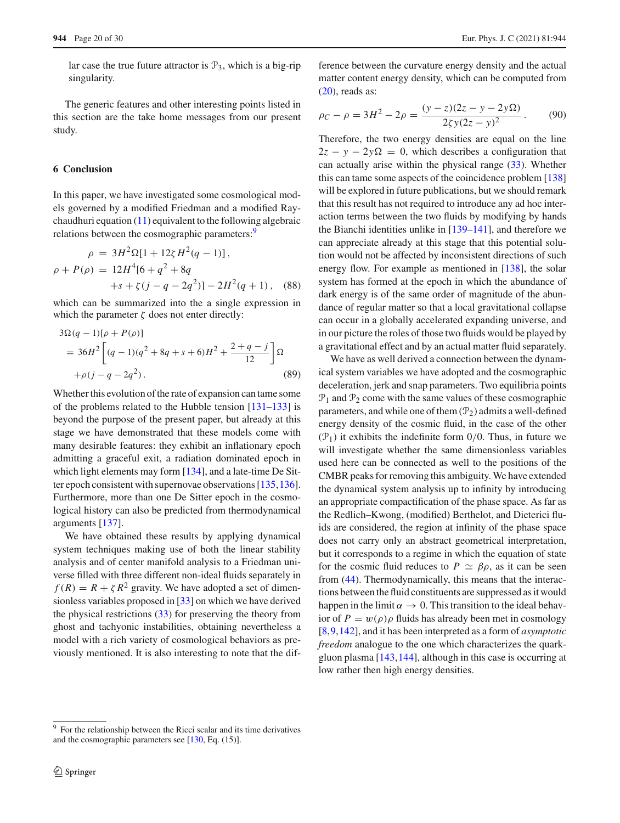lar case the true future attractor is  $\mathcal{P}_3$ , which is a big-rip singularity.

The generic features and other interesting points listed in this section are the take home messages from our present study.

# <span id="page-19-0"></span>**6 Conclusion**

In this paper, we have investigated some cosmological models governed by a modified Friedman and a modified Raychaudhuri equation [\(11\)](#page-4-5) equivalent to the following algebraic relations between the cosmographic parameters:<sup>9</sup>

$$
\rho = 3H^2\Omega[1 + 12\zeta H^2(q - 1)],
$$
  
\n
$$
\rho + P(\rho) = 12H^4[6 + q^2 + 8q
$$
  
\n
$$
+s + \zeta(j - q - 2q^2)] - 2H^2(q + 1),
$$
 (88)

which can be summarized into the a single expression in which the parameter  $\zeta$  does not enter directly:

$$
3\Omega(q-1)[\rho + P(\rho)]
$$
  
= 36H<sup>2</sup> [(q-1)(q<sup>2</sup> + 8q + s + 6)H<sup>2</sup> +  $\frac{2+q-j}{12}$ ] $\Omega$   
+ $\rho(j-q-2q2)$ . (89)

Whether this evolution of the rate of expansion can tame some of the problems related to the Hubble tension [\[131](#page-28-18)[–133](#page-28-19)] is beyond the purpose of the present paper, but already at this stage we have demonstrated that these models come with many desirable features: they exhibit an inflationary epoch admitting a graceful exit, a radiation dominated epoch in which light elements may form [\[134](#page-28-20)], and a late-time De Sitter epoch consistent with supernovae observations [\[135](#page-28-21)[,136](#page-28-22)]. Furthermore, more than one De Sitter epoch in the cosmological history can also be predicted from thermodynamical arguments [\[137](#page-28-23)].

We have obtained these results by applying dynamical system techniques making use of both the linear stability analysis and of center manifold analysis to a Friedman universe filled with three different non-ideal fluids separately in  $f(R) = R + \zeta R^2$  gravity. We have adopted a set of dimensionless variables proposed in [\[33](#page-26-2)] on which we have derived the physical restrictions [\(33\)](#page-6-3) for preserving the theory from ghost and tachyonic instabilities, obtaining nevertheless a model with a rich variety of cosmological behaviors as previously mentioned. It is also interesting to note that the dif-

ference between the curvature energy density and the actual matter content energy density, which can be computed from  $(20)$ , reads as:

$$
\rho_C - \rho = 3H^2 - 2\rho = \frac{(y - z)(2z - y - 2y\Omega)}{2\zeta y(2z - y)^2}.
$$
 (90)

Therefore, the two energy densities are equal on the line  $2z - y - 2y\Omega = 0$ , which describes a configuration that can actually arise within the physical range [\(33\)](#page-6-3). Whether this can tame some aspects of the coincidence problem [\[138\]](#page-28-25) will be explored in future publications, but we should remark that this result has not required to introduce any ad hoc interaction terms between the two fluids by modifying by hands the Bianchi identities unlike in [\[139](#page-28-26)[–141](#page-28-27)], and therefore we can appreciate already at this stage that this potential solution would not be affected by inconsistent directions of such energy flow. For example as mentioned in [\[138](#page-28-25)], the solar system has formed at the epoch in which the abundance of dark energy is of the same order of magnitude of the abundance of regular matter so that a local gravitational collapse can occur in a globally accelerated expanding universe, and in our picture the roles of those two fluids would be played by a gravitational effect and by an actual matter fluid separately.

We have as well derived a connection between the dynamical system variables we have adopted and the cosmographic deceleration, jerk and snap parameters. Two equilibria points  $P_1$  and  $P_2$  come with the same values of these cosmographic parameters, and while one of them  $(\mathcal{P}_2)$  admits a well-defined energy density of the cosmic fluid, in the case of the other  $(\mathcal{P}_1)$  it exhibits the indefinite form 0/0. Thus, in future we will investigate whether the same dimensionless variables used here can be connected as well to the positions of the CMBR peaks for removing this ambiguity. We have extended the dynamical system analysis up to infinity by introducing an appropriate compactification of the phase space. As far as the Redlich–Kwong, (modified) Berthelot, and Dieterici fluids are considered, the region at infinity of the phase space does not carry only an abstract geometrical interpretation, but it corresponds to a regime in which the equation of state for the cosmic fluid reduces to  $P \simeq \beta \rho$ , as it can be seen from [\(44\)](#page-10-1). Thermodynamically, this means that the interactions between the fluid constituents are suppressed as it would happen in the limit  $\alpha \to 0$ . This transition to the ideal behavior of  $P = w(\rho)\rho$  fluids has already been met in cosmology [\[8](#page-25-7),[9,](#page-25-8)[142\]](#page-28-28), and it has been interpreted as a form of *asymptotic freedom* analogue to the one which characterizes the quarkgluon plasma [\[143](#page-28-29),[144\]](#page-28-30), although in this case is occurring at low rather then high energy densities.

<span id="page-19-1"></span><sup>&</sup>lt;sup>9</sup> For the relationship between the Ricci scalar and its time derivatives and the cosmographic parameters see [\[130](#page-28-24), Eq. (15)].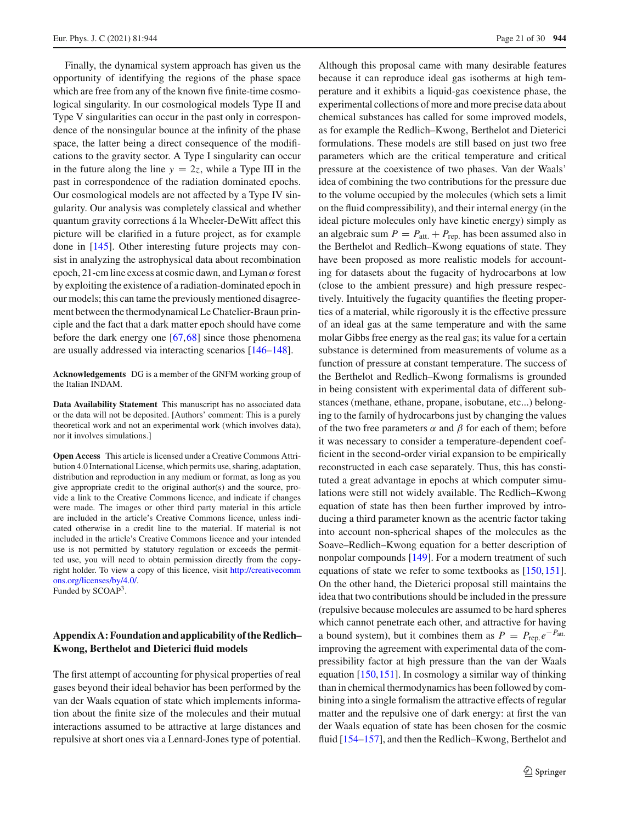Finally, the dynamical system approach has given us the opportunity of identifying the regions of the phase space which are free from any of the known five finite-time cosmological singularity. In our cosmological models Type II and Type V singularities can occur in the past only in correspondence of the nonsingular bounce at the infinity of the phase space, the latter being a direct consequence of the modifications to the gravity sector. A Type I singularity can occur in the future along the line  $y = 2z$ , while a Type III in the past in correspondence of the radiation dominated epochs. Our cosmological models are not affected by a Type IV singularity. Our analysis was completely classical and whether quantum gravity corrections á la Wheeler-DeWitt affect this picture will be clarified in a future project, as for example done in [\[145](#page-28-31)]. Other interesting future projects may consist in analyzing the astrophysical data about recombination epoch, 21-cm line excess at cosmic dawn, and Lyman  $\alpha$  forest by exploiting the existence of a radiation-dominated epoch in our models; this can tame the previously mentioned disagreement between the thermodynamical Le Chatelier-Braun principle and the fact that a dark matter epoch should have come before the dark energy one [\[67](#page-27-3)[,68](#page-27-4)] since those phenomena are usually addressed via interacting scenarios [\[146](#page-28-32)[–148](#page-29-0)].

**Acknowledgements** DG is a member of the GNFM working group of the Italian INDAM.

**Data Availability Statement** This manuscript has no associated data or the data will not be deposited. [Authors' comment: This is a purely theoretical work and not an experimental work (which involves data), nor it involves simulations.]

**Open Access** This article is licensed under a Creative Commons Attribution 4.0 International License, which permits use, sharing, adaptation, distribution and reproduction in any medium or format, as long as you give appropriate credit to the original author(s) and the source, provide a link to the Creative Commons licence, and indicate if changes were made. The images or other third party material in this article are included in the article's Creative Commons licence, unless indicated otherwise in a credit line to the material. If material is not included in the article's Creative Commons licence and your intended use is not permitted by statutory regulation or exceeds the permitted use, you will need to obtain permission directly from the copyright holder. To view a copy of this licence, visit [http://creativecomm](http://creativecommons.org/licenses/by/4.0/) [ons.org/licenses/by/4.0/.](http://creativecommons.org/licenses/by/4.0/) Funded by SCOAP3.

# **Appendix A: Foundation and applicability of the Redlich– Kwong, Berthelot and Dieterici fluid models**

The first attempt of accounting for physical properties of real gases beyond their ideal behavior has been performed by the van der Waals equation of state which implements information about the finite size of the molecules and their mutual interactions assumed to be attractive at large distances and repulsive at short ones via a Lennard-Jones type of potential.

Although this proposal came with many desirable features because it can reproduce ideal gas isotherms at high temperature and it exhibits a liquid-gas coexistence phase, the experimental collections of more and more precise data about chemical substances has called for some improved models, as for example the Redlich–Kwong, Berthelot and Dieterici formulations. These models are still based on just two free parameters which are the critical temperature and critical pressure at the coexistence of two phases. Van der Waals' idea of combining the two contributions for the pressure due to the volume occupied by the molecules (which sets a limit on the fluid compressibility), and their internal energy (in the ideal picture molecules only have kinetic energy) simply as an algebraic sum  $P = P_{\text{att.}} + P_{\text{rep.}}$  has been assumed also in the Berthelot and Redlich–Kwong equations of state. They have been proposed as more realistic models for accounting for datasets about the fugacity of hydrocarbons at low (close to the ambient pressure) and high pressure respectively. Intuitively the fugacity quantifies the fleeting properties of a material, while rigorously it is the effective pressure of an ideal gas at the same temperature and with the same molar Gibbs free energy as the real gas; its value for a certain substance is determined from measurements of volume as a function of pressure at constant temperature. The success of the Berthelot and Redlich–Kwong formalisms is grounded in being consistent with experimental data of different substances (methane, ethane, propane, isobutane, etc...) belonging to the family of hydrocarbons just by changing the values of the two free parameters  $\alpha$  and  $\beta$  for each of them; before it was necessary to consider a temperature-dependent coefficient in the second-order virial expansion to be empirically reconstructed in each case separately. Thus, this has constituted a great advantage in epochs at which computer simulations were still not widely available. The Redlich–Kwong equation of state has then been further improved by introducing a third parameter known as the acentric factor taking into account non-spherical shapes of the molecules as the Soave–Redlich–Kwong equation for a better description of nonpolar compounds [\[149\]](#page-29-1). For a modern treatment of such equations of state we refer to some textbooks as [\[150](#page-29-2),[151](#page-29-3)]. On the other hand, the Dieterici proposal still maintains the idea that two contributions should be included in the pressure (repulsive because molecules are assumed to be hard spheres which cannot penetrate each other, and attractive for having a bound system), but it combines them as  $P = P_{\text{rep.}}e^{-P_{\text{att.}}}$ improving the agreement with experimental data of the compressibility factor at high pressure than the van der Waals equation [\[150](#page-29-2)[,151](#page-29-3)]. In cosmology a similar way of thinking than in chemical thermodynamics has been followed by combining into a single formalism the attractive effects of regular matter and the repulsive one of dark energy: at first the van der Waals equation of state has been chosen for the cosmic fluid [\[154](#page-29-4)[–157](#page-29-5)], and then the Redlich–Kwong, Berthelot and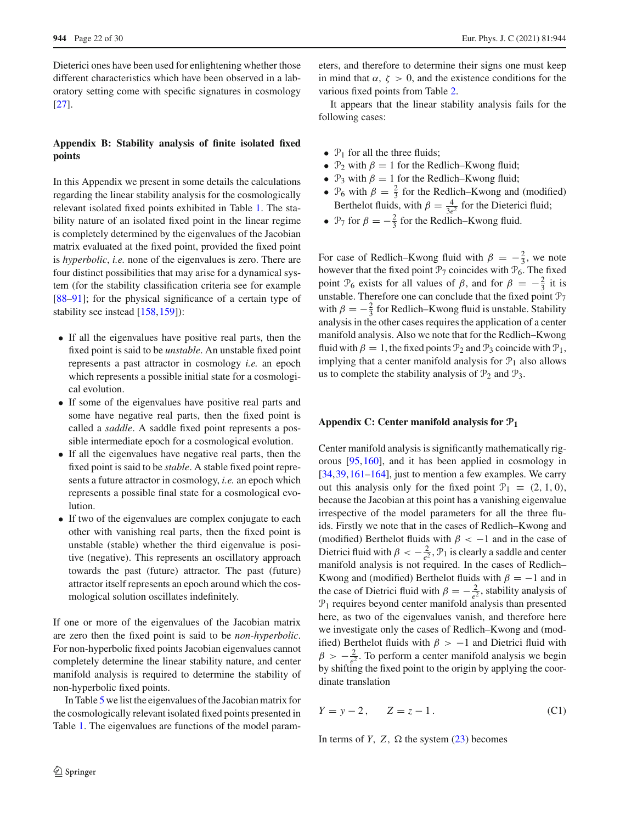Dieterici ones have been used for enlightening whether those different characteristics which have been observed in a laboratory setting come with specific signatures in cosmology [\[27](#page-25-13)].

# **Appendix B: Stability analysis of finite isolated fixed points**

In this Appendix we present in some details the calculations regarding the linear stability analysis for the cosmologically relevant isolated fixed points exhibited in Table [1.](#page-7-0) The stability nature of an isolated fixed point in the linear regime is completely determined by the eigenvalues of the Jacobian matrix evaluated at the fixed point, provided the fixed point is *hyperbolic*, *i.e.* none of the eigenvalues is zero. There are four distinct possibilities that may arise for a dynamical system (for the stability classification criteria see for example [\[88](#page-27-21)[–91](#page-27-22)]; for the physical significance of a certain type of stability see instead [\[158](#page-29-6)[,159](#page-29-7)]):

- If all the eigenvalues have positive real parts, then the fixed point is said to be *unstable*. An unstable fixed point represents a past attractor in cosmology *i.e.* an epoch which represents a possible initial state for a cosmological evolution.
- If some of the eigenvalues have positive real parts and some have negative real parts, then the fixed point is called a *saddle*. A saddle fixed point represents a possible intermediate epoch for a cosmological evolution.
- If all the eigenvalues have negative real parts, then the fixed point is said to be *stable*. A stable fixed point represents a future attractor in cosmology, *i.e.* an epoch which represents a possible final state for a cosmological evolution.
- If two of the eigenvalues are complex conjugate to each other with vanishing real parts, then the fixed point is unstable (stable) whether the third eigenvalue is positive (negative). This represents an oscillatory approach towards the past (future) attractor. The past (future) attractor itself represents an epoch around which the cosmological solution oscillates indefinitely.

If one or more of the eigenvalues of the Jacobian matrix are zero then the fixed point is said to be *non-hyperbolic*. For non-hyperbolic fixed points Jacobian eigenvalues cannot completely determine the linear stability nature, and center manifold analysis is required to determine the stability of non-hyperbolic fixed points.

In Table [5](#page-22-1) we list the eigenvalues of the Jacobian matrix for the cosmologically relevant isolated fixed points presented in Table [1.](#page-7-0) The eigenvalues are functions of the model parameters, and therefore to determine their signs one must keep in mind that  $\alpha$ ,  $\zeta > 0$ , and the existence conditions for the various fixed points from Table [2.](#page-9-0)

It appears that the linear stability analysis fails for the following cases:

- $P_1$  for all the three fluids;
- $\mathcal{P}_2$  with  $\beta = 1$  for the Redlich–Kwong fluid;
- $\mathcal{P}_3$  with  $\beta = 1$  for the Redlich–Kwong fluid;
- $\mathcal{P}_6$  with  $\beta = \frac{2}{3}$  for the Redlich–Kwong and (modified) Berthelot fluids, with  $\beta = \frac{4}{3e^2}$  for the Dieterici fluid;
- $\mathcal{P}_7$  for  $\beta = -\frac{2}{3}$  for the Redlich–Kwong fluid.

For case of Redlich–Kwong fluid with  $\beta = -\frac{2}{3}$ , we note however that the fixed point  $\mathcal{P}_7$  coincides with  $\mathcal{P}_6$ . The fixed point  $\mathcal{P}_6$  exists for all values of  $\beta$ , and for  $\beta = -\frac{2}{3}$  it is unstable. Therefore one can conclude that the fixed point  $\mathcal{P}_7$ with  $\beta = -\frac{2}{3}$  for Redlich–Kwong fluid is unstable. Stability analysis in the other cases requires the application of a center manifold analysis. Also we note that for the Redlich–Kwong fluid with  $\beta = 1$ , the fixed points  $\mathcal{P}_2$  and  $\mathcal{P}_3$  coincide with  $\mathcal{P}_1$ , implying that a center manifold analysis for  $\mathcal{P}_1$  also allows us to complete the stability analysis of  $\mathcal{P}_2$  and  $\mathcal{P}_3$ .

## **Appendix C: Center manifold analysis for P<sup>1</sup>**

Center manifold analysis is significantly mathematically rigorous [\[95](#page-27-26)[,160](#page-29-8)], and it has been applied in cosmology in [\[34](#page-26-18),[39,](#page-26-16)[161](#page-29-9)[–164\]](#page-29-10), just to mention a few examples. We carry out this analysis only for the fixed point  $\mathcal{P}_1 \equiv (2, 1, 0),$ because the Jacobian at this point has a vanishing eigenvalue irrespective of the model parameters for all the three fluids. Firstly we note that in the cases of Redlich–Kwong and (modified) Berthelot fluids with  $\beta < -1$  and in the case of Dietrici fluid with  $\beta < -\frac{2}{e^2}$ ,  $\mathcal{P}_1$  is clearly a saddle and center manifold analysis is not required. In the cases of Redlich– Kwong and (modified) Berthelot fluids with  $\beta = -1$  and in the case of Dietrici fluid with  $\beta = -\frac{2}{e^2}$ , stability analysis of  $\mathcal{P}_1$  requires beyond center manifold analysis than presented here, as two of the eigenvalues vanish, and therefore here we investigate only the cases of Redlich–Kwong and (modified) Berthelot fluids with  $\beta$  > −1 and Dietrici fluid with  $\beta > -\frac{2}{e^2}$ . To perform a center manifold analysis we begin by shifting the fixed point to the origin by applying the coordinate translation

$$
Y = y - 2
$$
,  $Z = z - 1$ . (C1)

In terms of *Y*, *Z*,  $\Omega$  the system [\(23\)](#page-5-6) becomes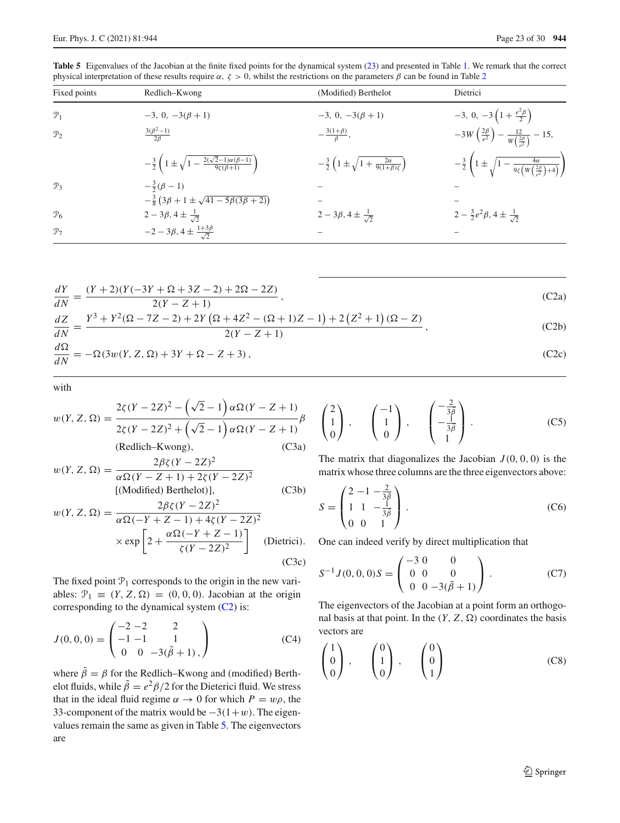<span id="page-22-1"></span>**Table 5** Eigenvalues of the Jacobian at the finite fixed points for the dynamical system [\(23\)](#page-5-6) and presented in Table [1.](#page-7-0) We remark that the correct physical interpretation of these results require  $\alpha$ ,  $\zeta > 0$ , whilst the restrictions on the parameters  $\beta$  can be found in Table [2](#page-9-0)

| Fixed points    | Redlich–Kwong                                                                                | (Modified) Berthelot                                                      | Dietrici                                                                                                           |
|-----------------|----------------------------------------------------------------------------------------------|---------------------------------------------------------------------------|--------------------------------------------------------------------------------------------------------------------|
| $\mathcal{P}_1$ | $-3, 0, -3(\beta + 1)$                                                                       | $-3, 0, -3(\beta + 1)$                                                    | $-3, 0, -3\left(1+\frac{e^2\beta}{2}\right)$                                                                       |
| $\mathcal{P}_2$ | $\frac{3(\beta^2-1)}{2\beta}$                                                                | $-\frac{3(1+\beta)}{8},$                                                  | $-3W\left(\frac{2\beta}{e^2}\right)-\frac{12}{W\left(\frac{2\beta}{2}\right)}-15,$                                 |
|                 | $-\frac{3}{2}\left(1\pm\sqrt{1-\frac{2(\sqrt{2}-1)\alpha(\beta-1)}{9\zeta(\beta+1)}}\right)$ | $-\frac{3}{2}\left(1 \pm \sqrt{1+\frac{2\alpha}{9(1+\beta)\zeta}}\right)$ | $-\frac{3}{2}\left(1\pm\sqrt{1-\frac{4\alpha}{9\zeta\left(W\left(\frac{2\beta}{\sigma^2}\right)+4\right)}}\right)$ |
| $\mathcal{P}_3$ | $-\frac{3}{2}(\beta - 1)$                                                                    |                                                                           |                                                                                                                    |
|                 | $-\frac{3}{8}(3\beta+1\pm\sqrt{41-5\beta(3\beta+2)})$                                        |                                                                           |                                                                                                                    |
| $\mathcal{P}_6$ | $2-3\beta$ , $4\pm\frac{1}{\sqrt{2}}$                                                        | $2-3\beta$ , $4\pm\frac{1}{\sqrt{2}}$                                     | $2-\frac{3}{2}e^2\beta$ , $4\pm\frac{1}{\sqrt{2}}$                                                                 |
| $\mathcal{P}_7$ | $-2-3\beta$ , $4\pm\frac{1+3\beta}{\sqrt{2}}$                                                |                                                                           |                                                                                                                    |

$$
\frac{dY}{dN} = \frac{(Y+2)(Y(-3Y+ \Omega + 3Z - 2) + 2\Omega - 2Z)}{2(Y-Z+1)},
$$
\n(C2a)\n
$$
\frac{dZ}{dN} = \frac{Y^3 + Y^2(\Omega - 7Z - 2) + 2Y(\Omega + 4Z^2 - (\Omega + 1)Z - 1) + 2(Z^2 + 1)(\Omega - Z)}{2(Y-Z+1)},
$$
\n(C2b)\n(C2c)

$$
\frac{d\Omega}{dN} = -\Omega(3w(Y, Z, \Omega) + 3Y + \Omega - Z + 3),\tag{C2c}
$$

with

$$
w(Y, Z, \Omega) = \frac{2\zeta(Y - 2Z)^2 - (\sqrt{2} - 1)\alpha\Omega(Y - Z + 1)}{2\zeta(Y - 2Z)^2 + (\sqrt{2} - 1)\alpha\Omega(Y - Z + 1)}\beta
$$
  
(Redlich-Kwong), (C3a)

$$
w(Y, Z, \Omega) = \frac{2\beta\zeta(Y - 2Z)^2}{\alpha\Omega(Y - Z + 1) + 2\zeta(Y - 2Z)^2}
$$
  
[(Modified) Berthelot)], (C3b)

$$
w(Y, Z, \Omega) = \frac{2\beta\zeta(Y - 2Z)^2}{\alpha\Omega(-Y + Z - 1) + 4\zeta(Y - 2Z)^2}
$$

$$
\times \exp\left[2 + \frac{\alpha\Omega(-Y + Z - 1)}{\zeta(Y - 2Z)^2}\right] \text{ (Dietrici).}
$$
(C3c)

The fixed point  $P_1$  corresponds to the origin in the new variables:  $\mathcal{P}_1 \equiv (Y, Z, \Omega) = (0, 0, 0)$ . Jacobian at the origin corresponding to the dynamical system [\(C2\)](#page-22-2) is:

$$
J(0,0,0) = \begin{pmatrix} -2 & -2 & 2 \\ -1 & -1 & 1 \\ 0 & 0 & -3(\tilde{\beta} + 1) \end{pmatrix}
$$
 (C4)

where  $\tilde{\beta} = \beta$  for the Redlich–Kwong and (modified) Berthelot fluids, while  $\tilde{\beta} = e^2 \beta / 2$  for the Dieterici fluid. We stress that in the ideal fluid regime  $\alpha \rightarrow 0$  for which  $P = w\rho$ , the 33-component of the matrix would be  $-3(1+w)$ . The eigenvalues remain the same as given in Table [5.](#page-22-1) The eigenvectors are

<span id="page-22-2"></span><span id="page-22-0"></span>
$$
\begin{pmatrix} 2 \\ 1 \\ 0 \end{pmatrix}, \quad \begin{pmatrix} -1 \\ 1 \\ 0 \end{pmatrix}, \quad \begin{pmatrix} -\frac{2}{3\overline{\beta}} \\ -\frac{1}{3\overline{\beta}} \\ 1 \end{pmatrix}.
$$
 (C5)

The matrix that diagonalizes the Jacobian  $J(0, 0, 0)$  is the matrix whose three columns are the three eigenvectors above:

$$
S = \begin{pmatrix} 2 & -1 & -\frac{2}{3\bar{\beta}} \\ 1 & 1 & -\frac{1}{3\bar{\beta}} \\ 0 & 0 & 1 \end{pmatrix} .
$$
 (C6)

One can indeed verify by direct multiplication that

$$
S^{-1}J(0,0,0)S = \begin{pmatrix} -3 & 0 & 0 \\ 0 & 0 & 0 \\ 0 & 0 & -3(\tilde{\beta} + 1) \end{pmatrix}.
$$
 (C7)

The eigenvectors of the Jacobian at a point form an orthogonal basis at that point. In the  $(Y, Z, \Omega)$  coordinates the basis vectors are

$$
\begin{pmatrix} 1 \\ 0 \\ 0 \end{pmatrix}, \qquad \begin{pmatrix} 0 \\ 1 \\ 0 \end{pmatrix}, \qquad \begin{pmatrix} 0 \\ 0 \\ 1 \end{pmatrix}
$$
 (C8)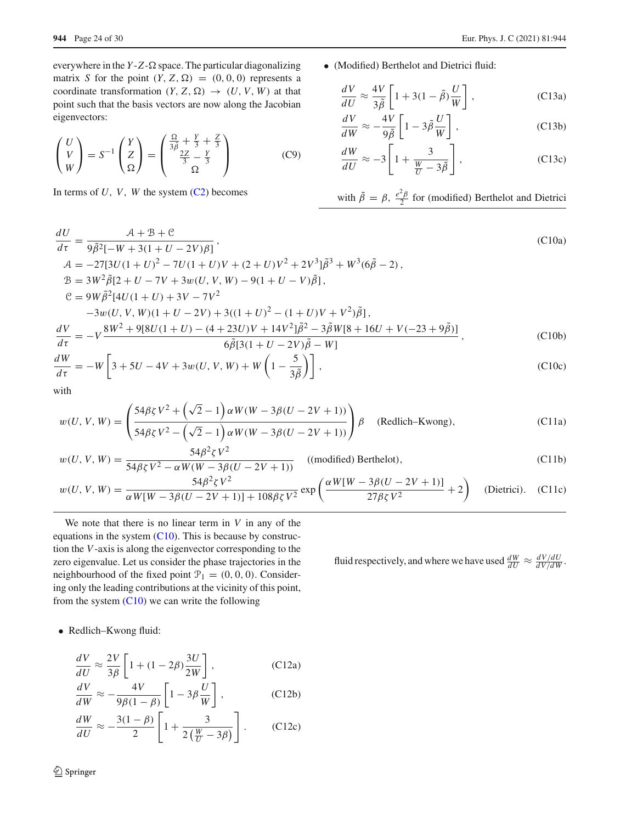everywhere in the  $Y - Z - \Omega$  space. The particular diagonalizing matrix *S* for the point  $(Y, Z, \Omega) = (0, 0, 0)$  represents a coordinate transformation  $(Y, Z, \Omega) \rightarrow (U, V, W)$  at that point such that the basis vectors are now along the Jacobian eigenvectors:

$$
\begin{pmatrix} U \\ V \\ W \end{pmatrix} = S^{-1} \begin{pmatrix} Y \\ Z \\ \Omega \end{pmatrix} = \begin{pmatrix} \frac{\Omega}{3\bar{\beta}} + \frac{Y}{3} + \frac{Z}{3} \\ \frac{2Z}{3} - \frac{Y}{3} \\ \Omega \end{pmatrix}
$$
 (C9)

<span id="page-23-0"></span>In terms of  $U$ ,  $V$ ,  $W$  the system  $(C2)$  becomes

- **944** Page 24 of 30 Eur. Phys. J. C (2021) 81:944
	- (Modified) Berthelot and Dietrici fluid:

<span id="page-23-2"></span>
$$
\frac{dV}{dU} \approx \frac{4V}{3\tilde{\beta}} \left[ 1 + 3(1 - \tilde{\beta}) \frac{U}{W} \right],
$$
 (C13a)

$$
\frac{dV}{dW} \approx -\frac{4V}{9\tilde{\beta}} \left[ 1 - 3\tilde{\beta} \frac{U}{W} \right],
$$
 (C13b)

$$
\frac{dW}{dU} \approx -3 \left[ 1 + \frac{3}{\frac{W}{U} - 3\tilde{\beta}} \right],
$$
 (C13c)

with 
$$
\tilde{\beta} = \beta
$$
,  $\frac{e^2 \beta}{2}$  for (modified) Berthelot and Dietrici

$$
\frac{dU}{d\tau} = \frac{A + B + C}{9\tilde{\beta}^2[-W + 3(1 + U - 2V)\beta]},
$$
\n
$$
A = -27[3U(1 + U)^2 - 7U(1 + U)V + (2 + U)V^2 + 2V^3]\tilde{\beta}^3 + W^3(6\tilde{\beta} - 2),
$$
\n
$$
B = 3W^2\tilde{\beta}[2 + U - 7V + 3w(U, V, W) - 9(1 + U - V)\tilde{\beta}],
$$
\n
$$
C = 9W\tilde{\beta}^2[4U(1 + U) + 3V - 7V^2
$$
\n
$$
-3w(U, V, W)(1 + U - 2V) + 3((1 + U)^2 - (1 + U)V + V^2)\tilde{\beta}],
$$
\n
$$
\frac{dV}{d\tau} = -V\frac{8W^2 + 9[8U(1 + U) - (4 + 23U)V + 14V^2]\tilde{\beta}^2 - 3\tilde{\beta}W[8 + 16U + V(-23 + 9\tilde{\beta})]}{6\tilde{\beta}[3(1 + U - 2V)\tilde{\beta} - W]}
$$
\n
$$
\frac{dW}{d\tau} = -W\left[3 + 5U - 4V + 3w(U, V, W) + W\left(1 - \frac{5}{3\tilde{\beta}}\right)\right],
$$
\n(C10c)

with

$$
w(U, V, W) = \left(\frac{54\beta\zeta V^2 + (\sqrt{2} - 1)\alpha W(W - 3\beta(U - 2V + 1))}{54\beta\zeta V^2 - (\sqrt{2} - 1)\alpha W(W - 3\beta(U - 2V + 1))}\right)\beta
$$
 (Redlich-Kwong), (C11a)

$$
w(U, V, W) = \frac{54\beta^2 \zeta V^2}{54\beta \zeta V^2 - \alpha W(W - 3\beta(U - 2V + 1))}
$$
 ((modified) Berthelot), (C11b)

$$
w(U, V, W) = \frac{54\beta^2 \zeta V^2}{\alpha W[W - 3\beta (U - 2V + 1)] + 108\beta \zeta V^2} \exp\left(\frac{\alpha W[W - 3\beta (U - 2V + 1)]}{27\beta \zeta V^2} + 2\right) \quad \text{(Dietrici)}.
$$
 (C11c)

We note that there is no linear term in *V* in any of the equations in the system [\(C10\)](#page-23-0). This is because by construction the *V*-axis is along the eigenvector corresponding to the zero eigenvalue. Let us consider the phase trajectories in the neighbourhood of the fixed point  $\mathcal{P}_1 = (0, 0, 0)$ . Considering only the leading contributions at the vicinity of this point, from the system  $(C10)$  we can write the following

fluid respectively, and where we have used  $\frac{dW}{dU} \approx \frac{dV/dU}{dV/dW}$ .

• Redlich–Kwong fluid:

<span id="page-23-1"></span>
$$
\frac{dV}{dU} \approx \frac{2V}{3\beta} \left[ 1 + (1 - 2\beta) \frac{3U}{2W} \right],
$$
 (C12a)

$$
\frac{dV}{dW} \approx -\frac{4V}{9\beta(1-\beta)} \left[ 1 - 3\beta \frac{U}{W} \right],
$$
 (C12b)

$$
\frac{dW}{dU} \approx -\frac{3(1-\beta)}{2} \left[ 1 + \frac{3}{2\left(\frac{W}{U} - 3\beta\right)} \right].
$$
 (C12c)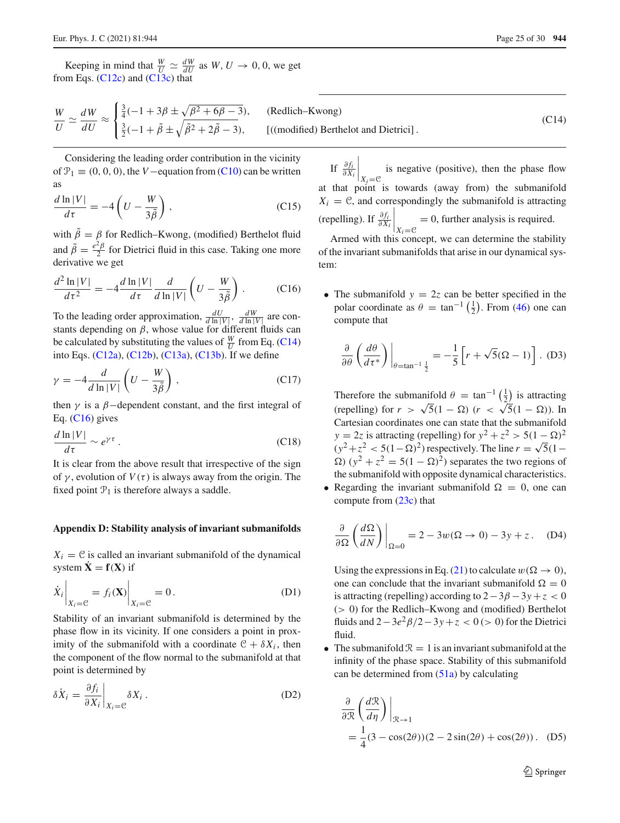Keeping in mind that  $\frac{W}{U} \simeq \frac{dW}{dU}$  as  $W, U \to 0, 0$ , we get from Eqs. [\(C12c\)](#page-23-1) and [\(C13c\)](#page-23-2) that

<span id="page-24-0"></span>
$$
\frac{W}{U} \simeq \frac{dW}{dU} \approx \begin{cases} \frac{3}{4}(-1+3\beta \pm \sqrt{\beta^2 + 6\beta - 3}), & (\text{Redlich-Kwong})\\ \frac{3}{2}(-1+\tilde{\beta} \pm \sqrt{\tilde{\beta}^2 + 2\tilde{\beta} - 3}), & ((\text{modified}) \text{ Berthelot and Dietrici}). \end{cases}
$$
(C14)

Considering the leading order contribution in the vicinity of  $\mathcal{P}_1 \equiv (0, 0, 0)$ , the *V* − equation from [\(C10\)](#page-23-0) can be written as

$$
\frac{d\ln|V|}{d\tau} = -4\left(U - \frac{W}{3\tilde{\beta}}\right),\tag{C15}
$$

with  $\beta = \beta$  for Redlich–Kwong, (modified) Berthelot fluid and  $\tilde{\beta} = \frac{e^2 \beta}{2}$  for Dietrici fluid in this case. Taking one more derivative we get

<span id="page-24-1"></span>
$$
\frac{d^2\ln|V|}{d\tau^2} = -4\frac{d\ln|V|}{d\tau}\frac{d}{d\ln|V|}\left(U - \frac{W}{3\tilde{\beta}}\right). \tag{C16}
$$

To the leading order approximation,  $\frac{dU}{d \ln |V|}$ ,  $\frac{dW}{d \ln |V|}$  are constants depending on  $\beta$ , whose value for different fluids can be calculated by substituting the values of  $\frac{W}{U}$  from Eq. [\(C14\)](#page-24-0) into Eqs. [\(C12a\)](#page-23-1), [\(C12b\)](#page-23-1), [\(C13a\)](#page-23-2), [\(C13b\)](#page-23-2). If we define

$$
\gamma = -4 \frac{d}{d \ln |V|} \left( U - \frac{W}{3\tilde{\beta}} \right), \tag{C17}
$$

then  $\gamma$  is a  $\beta$ -dependent constant, and the first integral of Eq.  $(C16)$  gives

$$
\frac{d\ln|V|}{d\tau} \sim e^{\gamma\tau} \,. \tag{C18}
$$

It is clear from the above result that irrespective of the sign of  $\gamma$ , evolution of  $V(\tau)$  is always away from the origin. The fixed point  $P_1$  is therefore always a saddle.

#### **Appendix D: Stability analysis of invariant submanifolds**

 $X_i = C$  is called an invariant submanifold of the dynamical system  $\dot{\mathbf{X}} = \mathbf{f}(\mathbf{X})$  if

$$
\dot{X}_i \bigg|_{X_i = \mathcal{C}} = f_i(\mathbf{X}) \bigg|_{X_i = \mathcal{C}} = 0. \tag{D1}
$$

Stability of an invariant submanifold is determined by the phase flow in its vicinity. If one considers a point in proximity of the submanifold with a coordinate  $C + \delta X_i$ , then the component of the flow normal to the submanifold at that point is determined by

$$
\delta \dot{X}_i = \frac{\partial f_i}{\partial X_i} \bigg|_{X_i = \mathcal{C}} \delta X_i \,. \tag{D2}
$$

If  $\frac{\partial f_i}{\partial X_i}$  $\Big|_{X_i=0}$ is negative (positive), then the phase flow at that point is towards (away from) the submanifold  $X_i = \mathcal{C}$ , and correspondingly the submanifold is attracting (repelling). If  $\frac{\partial f_i}{\partial X_i}$  $\bigg|_{X_i=\mathcal{C}}$  $= 0$ , further analysis is required.

Armed with this concept, we can determine the stability of the invariant submanifolds that arise in our dynamical system:

• The submanifold  $y = 2z$  can be better specified in the polar coordinate as  $\theta = \tan^{-1}(\frac{1}{2})$ . From [\(46\)](#page-10-3) one can compute that

$$
\frac{\partial}{\partial \theta} \left( \frac{d\theta}{d\tau^*} \right) \Big|_{\theta = \tan^{-1} \frac{1}{2}} = -\frac{1}{5} \left[ r + \sqrt{5} (\Omega - 1) \right]. \tag{D3}
$$

Therefore the submanifold  $\theta = \tan^{-1}(\frac{1}{2})$  is attracting (repelling) for  $r > \sqrt{5}(1 - \Omega)$  ( $r < \sqrt{5}(1 - \Omega)$ ). In Cartesian coordinates one can state that the submanifold *y* = 2*z* is attracting (repelling) for  $y^2 + z^2 > 5(1 - \Omega)^2$  $(y^2+z^2 < 5(1-\Omega)^2)$  respectively. The line  $r = \sqrt{5}(1-\Omega)^2$  $\Omega$ ) ( $y^2 + z^2 = 5(1 - \Omega)^2$ ) separates the two regions of the submanifold with opposite dynamical characteristics.

• Regarding the invariant submanifold  $\Omega = 0$ , one can compute from [\(23c\)](#page-5-9) that

$$
\frac{\partial}{\partial \Omega} \left( \frac{d\Omega}{dN} \right) \Big|_{\Omega = 0} = 2 - 3w(\Omega \to 0) - 3y + z. \quad (D4)
$$

Using the expressions in Eq. [\(21\)](#page-5-3) to calculate  $w(\Omega \to 0)$ . one can conclude that the invariant submanifold  $\Omega = 0$ is attracting (repelling) according to  $2-3\beta-3\gamma+z<0$ (> 0) for the Redlich–Kwong and (modified) Berthelot fluids and  $2-3e^2\frac{\beta}{2}-3y+z < 0$  (> 0) for the Dietrici fluid.

• The submanifold  $\mathcal{R} = 1$  is an invariant submanifold at the infinity of the phase space. Stability of this submanifold can be determined from  $(51a)$  by calculating

$$
\frac{\partial}{\partial \mathcal{R}} \left( \frac{d\mathcal{R}}{d\eta} \right) \Big|_{\mathcal{R} \to 1}
$$
  
=  $\frac{1}{4} (3 - \cos(2\theta))(2 - 2\sin(2\theta) + \cos(2\theta))$ . (D5)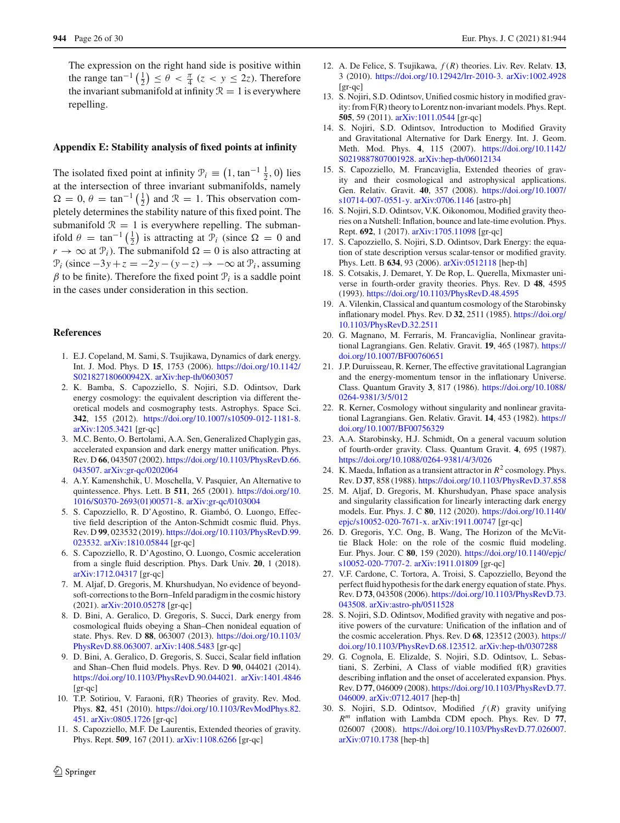The expression on the right hand side is positive within the range  $\tan^{-1}\left(\frac{1}{2}\right) \leq \theta < \frac{\pi}{4}$  ( $z < y \leq 2z$ ). Therefore the invariant submanifold at infinity  $\mathcal{R} = 1$  is everywhere repelling.

## **Appendix E: Stability analysis of fixed points at infinity**

The isolated fixed point at infinity  $\mathcal{P}_i \equiv (1, \tan^{-1} \frac{1}{2}, 0)$  lies at the intersection of three invariant submanifolds, namely  $\Omega = 0$ ,  $\theta = \tan^{-1}(\frac{1}{2})$  and  $\mathcal{R} = 1$ . This observation completely determines the stability nature of this fixed point. The submanifold  $\mathcal{R} = 1$  is everywhere repelling. The submanifold  $\theta = \tan^{-1}(\frac{1}{2})$  is attracting at  $\mathcal{P}_i$  (since  $\Omega = 0$  and  $r \to \infty$  at  $\mathcal{P}_i$ ). The submanifold  $\Omega = 0$  is also attracting at  $\mathcal{P}_i$  (since  $-3y + z = -2y - (y - z) \rightarrow -\infty$  at  $\mathcal{P}_i$ , assuming  $β$  to be finite). Therefore the fixed point  $P_i$  is a saddle point in the cases under consideration in this section.

#### **References**

- <span id="page-25-0"></span>1. E.J. Copeland, M. Sami, S. Tsujikawa, Dynamics of dark energy. Int. J. Mod. Phys. D **15**, 1753 (2006). [https://doi.org/10.1142/](https://doi.org/10.1142/S021827180600942X) [S021827180600942X.](https://doi.org/10.1142/S021827180600942X) [arXiv:hep-th/0603057](http://arxiv.org/abs/hep-th/0603057)
- <span id="page-25-1"></span>2. K. Bamba, S. Capozziello, S. Nojiri, S.D. Odintsov, Dark energy cosmology: the equivalent description via different theoretical models and cosmography tests. Astrophys. Space Sci. **342**, 155 (2012). [https://doi.org/10.1007/s10509-012-1181-8.](https://doi.org/10.1007/s10509-012-1181-8) [arXiv:1205.3421](http://arxiv.org/abs/1205.3421) [gr-qc]
- <span id="page-25-2"></span>3. M.C. Bento, O. Bertolami, A.A. Sen, Generalized Chaplygin gas, accelerated expansion and dark energy matter unification. Phys. Rev. D **66**, 043507 (2002). [https://doi.org/10.1103/PhysRevD.66.](https://doi.org/10.1103/PhysRevD.66.043507) [043507.](https://doi.org/10.1103/PhysRevD.66.043507) [arXiv:gr-qc/0202064](http://arxiv.org/abs/gr-qc/0202064)
- <span id="page-25-3"></span>4. A.Y. Kamenshchik, U. Moschella, V. Pasquier, An Alternative to quintessence. Phys. Lett. B **511**, 265 (2001). [https://doi.org/10.](https://doi.org/10.1016/S0370-2693(01)00571-8) [1016/S0370-2693\(01\)00571-8.](https://doi.org/10.1016/S0370-2693(01)00571-8) [arXiv:gr-qc/0103004](http://arxiv.org/abs/gr-qc/0103004)
- <span id="page-25-4"></span>5. S. Capozziello, R. D'Agostino, R. Giambó, O. Luongo, Effective field description of the Anton-Schmidt cosmic fluid. Phys. Rev. D **99**, 023532 (2019). [https://doi.org/10.1103/PhysRevD.99.](https://doi.org/10.1103/PhysRevD.99.023532) [023532.](https://doi.org/10.1103/PhysRevD.99.023532) [arXiv:1810.05844](http://arxiv.org/abs/1810.05844) [gr-qc]
- <span id="page-25-5"></span>6. S. Capozziello, R. D'Agostino, O. Luongo, Cosmic acceleration from a single fluid description. Phys. Dark Univ. **20**, 1 (2018). [arXiv:1712.04317](http://arxiv.org/abs/1712.04317) [gr-qc]
- <span id="page-25-6"></span>7. M. Aljaf, D. Gregoris, M. Khurshudyan, No evidence of beyondsoft-corrections to the Born–Infeld paradigm in the cosmic history (2021). [arXiv:2010.05278](http://arxiv.org/abs/2010.05278) [gr-qc]
- <span id="page-25-7"></span>8. D. Bini, A. Geralico, D. Gregoris, S. Succi, Dark energy from cosmological fluids obeying a Shan–Chen nonideal equation of state. Phys. Rev. D **88**, 063007 (2013). [https://doi.org/10.1103/](https://doi.org/10.1103/PhysRevD.88.063007) [PhysRevD.88.063007.](https://doi.org/10.1103/PhysRevD.88.063007) [arXiv:1408.5483](http://arxiv.org/abs/1408.5483) [gr-qc]
- <span id="page-25-8"></span>9. D. Bini, A. Geralico, D. Gregoris, S. Succi, Scalar field inflation and Shan–Chen fluid models. Phys. Rev. D **90**, 044021 (2014). [https://doi.org/10.1103/PhysRevD.90.044021.](https://doi.org/10.1103/PhysRevD.90.044021) [arXiv:1401.4846](http://arxiv.org/abs/1401.4846) [gr-qc]
- <span id="page-25-9"></span>10. T.P. Sotiriou, V. Faraoni, f(R) Theories of gravity. Rev. Mod. Phys. **82**, 451 (2010). [https://doi.org/10.1103/RevModPhys.82.](https://doi.org/10.1103/RevModPhys.82.451) [451.](https://doi.org/10.1103/RevModPhys.82.451) [arXiv:0805.1726](http://arxiv.org/abs/0805.1726) [gr-qc]
- 11. S. Capozziello, M.F. De Laurentis, Extended theories of gravity. Phys. Rept. **509**, 167 (2011). [arXiv:1108.6266](http://arxiv.org/abs/1108.6266) [gr-qc]
- <span id="page-25-18"></span>12. A. De Felice, S. Tsujikawa, *f* (*R*) theories. Liv. Rev. Relatv. **13**, 3 (2010). [https://doi.org/10.12942/lrr-2010-3.](https://doi.org/10.12942/lrr-2010-3) [arXiv:1002.4928](http://arxiv.org/abs/1002.4928) [gr-qc]
- <span id="page-25-19"></span>13. S. Nojiri, S.D. Odintsov, Unified cosmic history in modified gravity: from F(R) theory to Lorentz non-invariant models. Phys. Rept. **505**, 59 (2011). [arXiv:1011.0544](http://arxiv.org/abs/1011.0544) [gr-qc]
- 14. S. Nojiri, S.D. Odintsov, Introduction to Modified Gravity and Gravitational Alternative for Dark Energy. Int. J. Geom. Meth. Mod. Phys. **4**, 115 (2007). [https://doi.org/10.1142/](https://doi.org/10.1142/S0219887807001928) [S0219887807001928.](https://doi.org/10.1142/S0219887807001928) [arXiv:hep-th/06012134](http://arxiv.org/abs/hep-th/06012134)
- 15. S. Capozziello, M. Francaviglia, Extended theories of gravity and their cosmological and astrophysical applications. Gen. Relativ. Gravit. **40**, 357 (2008). [https://doi.org/10.1007/](https://doi.org/10.1007/s10714-007-0551-y) [s10714-007-0551-y.](https://doi.org/10.1007/s10714-007-0551-y) [arXiv:0706.1146](http://arxiv.org/abs/0706.1146) [astro-ph]
- <span id="page-25-10"></span>16. S. Nojiri, S.D. Odintsov, V.K. Oikonomou, Modified gravity theories on a Nutshell: Inflation, bounce and late-time evolution. Phys. Rept. **692**, 1 (2017). [arXiv:1705.11098](http://arxiv.org/abs/1705.11098) [gr-qc]
- <span id="page-25-11"></span>17. S. Capozziello, S. Nojiri, S.D. Odintsov, Dark Energy: the equation of state description versus scalar-tensor or modified gravity. Phys. Lett. B **634**, 93 (2006). [arXiv:0512118](http://arxiv.org/abs/0512118) [hep-th]
- <span id="page-25-12"></span>18. S. Cotsakis, J. Demaret, Y. De Rop, L. Querella, Mixmaster universe in fourth-order gravity theories. Phys. Rev. D **48**, 4595 (1993). <https://doi.org/10.1103/PhysRevD.48.4595>
- 19. A. Vilenkin, Classical and quantum cosmology of the Starobinsky inflationary model. Phys. Rev. D **32**, 2511 (1985). [https://doi.org/](https://doi.org/10.1103/PhysRevD.32.2511) [10.1103/PhysRevD.32.2511](https://doi.org/10.1103/PhysRevD.32.2511)
- 20. G. Magnano, M. Ferraris, M. Francaviglia, Nonlinear gravitational Lagrangians. Gen. Relativ. Gravit. **19**, 465 (1987). [https://](https://doi.org/10.1007/BF00760651) [doi.org/10.1007/BF00760651](https://doi.org/10.1007/BF00760651)
- 21. J.P. Duruisseau, R. Kerner, The effective gravitational Lagrangian and the energy-momentum tensor in the inflationary Universe. Class. Quantum Gravity **3**, 817 (1986). [https://doi.org/10.1088/](https://doi.org/10.1088/0264-9381/3/5/012) [0264-9381/3/5/012](https://doi.org/10.1088/0264-9381/3/5/012)
- 22. R. Kerner, Cosmology without singularity and nonlinear gravitational Lagrangians. Gen. Relativ. Gravit. **14**, 453 (1982). [https://](https://doi.org/10.1007/BF00756329) [doi.org/10.1007/BF00756329](https://doi.org/10.1007/BF00756329)
- 23. A.A. Starobinsky, H.J. Schmidt, On a general vacuum solution of fourth-order gravity. Class. Quantum Gravit. **4**, 695 (1987). <https://doi.org/10.1088/0264-9381/4/3/026>
- <span id="page-25-17"></span>24. K. Maeda, Inflation as a transient attractor in *R*<sup>2</sup> cosmology. Phys. Rev. D **37**, 858 (1988). <https://doi.org/10.1103/PhysRevD.37.858>
- <span id="page-25-16"></span>25. M. Aljaf, D. Gregoris, M. Khurshudyan, Phase space analysis and singularity classification for linearly interacting dark energy models. Eur. Phys. J. C **80**, 112 (2020). [https://doi.org/10.1140/](https://doi.org/10.1140/epjc/s10052-020-7671-x) [epjc/s10052-020-7671-x.](https://doi.org/10.1140/epjc/s10052-020-7671-x) [arXiv:1911.00747](http://arxiv.org/abs/1911.00747) [gr-qc]
- 26. D. Gregoris, Y.C. Ong, B. Wang, The Horizon of the McVittie Black Hole: on the role of the cosmic fluid modeling. Eur. Phys. Jour. C **80**, 159 (2020). [https://doi.org/10.1140/epjc/](https://doi.org/10.1140/epjc/s10052-020-7707-2) [s10052-020-7707-2.](https://doi.org/10.1140/epjc/s10052-020-7707-2) [arXiv:1911.01809](http://arxiv.org/abs/1911.01809) [gr-qc]
- <span id="page-25-13"></span>27. V.F. Cardone, C. Tortora, A. Troisi, S. Capozziello, Beyond the perfect fluid hypothesis for the dark energy equation of state. Phys. Rev. D **73**, 043508 (2006). [https://doi.org/10.1103/PhysRevD.73.](https://doi.org/10.1103/PhysRevD.73.043508) [043508.](https://doi.org/10.1103/PhysRevD.73.043508) [arXiv:astro-ph/0511528](http://arxiv.org/abs/astro-ph/0511528)
- <span id="page-25-14"></span>28. S. Nojiri, S.D. Odintsov, Modified gravity with negative and positive powers of the curvature: Unification of the inflation and of the cosmic acceleration. Phys. Rev. D **68**, 123512 (2003). [https://](https://doi.org/10.1103/PhysRevD.68.123512) [doi.org/10.1103/PhysRevD.68.123512.](https://doi.org/10.1103/PhysRevD.68.123512) [arXiv:hep-th/0307288](http://arxiv.org/abs/hep-th/0307288)
- 29. G. Cognola, E. Elizalde, S. Nojiri, S.D. Odintsov, L. Sebastiani, S. Zerbini, A Class of viable modified f(R) gravities describing inflation and the onset of accelerated expansion. Phys. Rev. D **77**, 046009 (2008). [https://doi.org/10.1103/PhysRevD.77.](https://doi.org/10.1103/PhysRevD.77.046009) [046009.](https://doi.org/10.1103/PhysRevD.77.046009) [arXiv:0712.4017](http://arxiv.org/abs/0712.4017) [hep-th]
- <span id="page-25-15"></span>30. S. Nojiri, S.D. Odintsov, Modified *f* (*R*) gravity unifying *R<sup>m</sup>* inflation with Lambda CDM epoch. Phys. Rev. D **77**, 026007 (2008). [https://doi.org/10.1103/PhysRevD.77.026007.](https://doi.org/10.1103/PhysRevD.77.026007) [arXiv:0710.1738](http://arxiv.org/abs/0710.1738) [hep-th]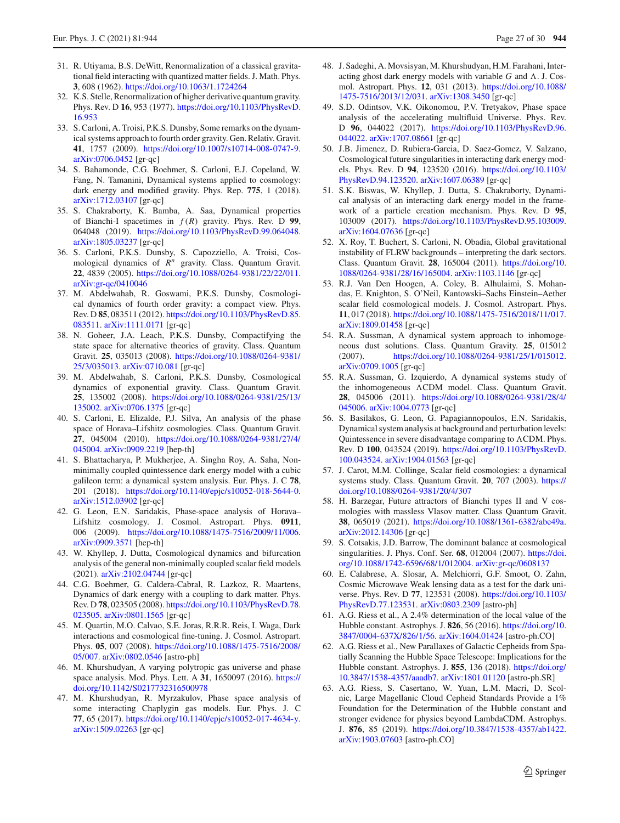- <span id="page-26-0"></span>31. R. Utiyama, B.S. DeWitt, Renormalization of a classical gravitational field interacting with quantized matter fields. J. Math. Phys. **3**, 608 (1962). <https://doi.org/10.1063/1.1724264>
- <span id="page-26-1"></span>32. K.S. Stelle, Renormalization of higher derivative quantum gravity. Phys. Rev. D **16**, 953 (1977). [https://doi.org/10.1103/PhysRevD.](https://doi.org/10.1103/PhysRevD.16.953) [16.953](https://doi.org/10.1103/PhysRevD.16.953)
- <span id="page-26-2"></span>33. S. Carloni, A. Troisi, P.K.S. Dunsby, Some remarks on the dynamical systems approach to fourth order gravity. Gen. Relativ. Gravit. **41**, 1757 (2009). [https://doi.org/10.1007/s10714-008-0747-9.](https://doi.org/10.1007/s10714-008-0747-9) [arXiv:0706.0452](http://arxiv.org/abs/0706.0452) [gr-qc]
- <span id="page-26-18"></span>34. S. Bahamonde, C.G. Boehmer, S. Carloni, E.J. Copeland, W. Fang, N. Tamanini, Dynamical systems applied to cosmology: dark energy and modified gravity. Phys. Rep. **775**, 1 (2018). [arXiv:1712.03107](http://arxiv.org/abs/1712.03107) [gr-qc]
- 35. S. Chakraborty, K. Bamba, A. Saa, Dynamical properties of Bianchi-I spacetimes in *f* (*R*) gravity. Phys. Rev. D **99**, 064048 (2019). [https://doi.org/10.1103/PhysRevD.99.064048.](https://doi.org/10.1103/PhysRevD.99.064048) [arXiv:1805.03237](http://arxiv.org/abs/1805.03237) [gr-qc]
- <span id="page-26-13"></span>36. S. Carloni, P.K.S. Dunsby, S. Capozziello, A. Troisi, Cosmological dynamics of *R<sup>n</sup>* gravity. Class. Quantum Gravit. **22**, 4839 (2005). [https://doi.org/10.1088/0264-9381/22/22/011.](https://doi.org/10.1088/0264-9381/22/22/011) [arXiv:gr-qc/0410046](http://arxiv.org/abs/gr-qc/0410046)
- <span id="page-26-14"></span>37. M. Abdelwahab, R. Goswami, P.K.S. Dunsby, Cosmological dynamics of fourth order gravity: a compact view. Phys. Rev. D **85**, 083511 (2012). [https://doi.org/10.1103/PhysRevD.85.](https://doi.org/10.1103/PhysRevD.85.083511) [083511.](https://doi.org/10.1103/PhysRevD.85.083511) [arXiv:1111.0171](http://arxiv.org/abs/1111.0171) [gr-qc]
- <span id="page-26-15"></span>38. N. Goheer, J.A. Leach, P.K.S. Dunsby, Compactifying the state space for alternative theories of gravity. Class. Quantum Gravit. **25**, 035013 (2008). [https://doi.org/10.1088/0264-9381/](https://doi.org/10.1088/0264-9381/25/3/035013) [25/3/035013.](https://doi.org/10.1088/0264-9381/25/3/035013) [arXiv:0710.081](http://arxiv.org/abs/0710.081) [gr-qc]
- <span id="page-26-16"></span>39. M. Abdelwahab, S. Carloni, P.K.S. Dunsby, Cosmological dynamics of exponential gravity. Class. Quantum Gravit. **25**, 135002 (2008). [https://doi.org/10.1088/0264-9381/25/13/](https://doi.org/10.1088/0264-9381/25/13/135002) [135002.](https://doi.org/10.1088/0264-9381/25/13/135002) [arXiv:0706.1375](http://arxiv.org/abs/0706.1375) [gr-qc]
- <span id="page-26-17"></span>40. S. Carloni, E. Elizalde, P.J. Silva, An analysis of the phase space of Horava–Lifshitz cosmologies. Class. Quantum Gravit. **27**, 045004 (2010). [https://doi.org/10.1088/0264-9381/27/4/](https://doi.org/10.1088/0264-9381/27/4/045004) [045004.](https://doi.org/10.1088/0264-9381/27/4/045004) [arXiv:0909.2219](http://arxiv.org/abs/0909.2219) [hep-th]
- 41. S. Bhattacharya, P. Mukherjee, A. Singha Roy, A. Saha, Nonminimally coupled quintessence dark energy model with a cubic galileon term: a dynamical system analysis. Eur. Phys. J. C **78**, 201 (2018). [https://doi.org/10.1140/epjc/s10052-018-5644-0.](https://doi.org/10.1140/epjc/s10052-018-5644-0) [arXiv:1512.03902](http://arxiv.org/abs/1512.03902) [gr-qc]
- 42. G. Leon, E.N. Saridakis, Phase-space analysis of Horava– Lifshitz cosmology. J. Cosmol. Astropart. Phys. **0911**, 006 (2009). [https://doi.org/10.1088/1475-7516/2009/11/006.](https://doi.org/10.1088/1475-7516/2009/11/006) [arXiv:0909.3571](http://arxiv.org/abs/0909.3571) [hep-th]
- <span id="page-26-3"></span>43. W. Khyllep, J. Dutta, Cosmological dynamics and bifurcation analysis of the general non-minimally coupled scalar field models (2021). [arXiv:2102.04744](http://arxiv.org/abs/2102.04744) [gr-qc]
- <span id="page-26-4"></span>44. C.G. Boehmer, G. Caldera-Cabral, R. Lazkoz, R. Maartens, Dynamics of dark energy with a coupling to dark matter. Phys. Rev. D **78**, 023505 (2008). [https://doi.org/10.1103/PhysRevD.78.](https://doi.org/10.1103/PhysRevD.78.023505) [023505.](https://doi.org/10.1103/PhysRevD.78.023505) [arXiv:0801.1565](http://arxiv.org/abs/0801.1565) [gr-qc]
- 45. M. Quartin, M.O. Calvao, S.E. Joras, R.R.R. Reis, I. Waga, Dark interactions and cosmological fine-tuning. J. Cosmol. Astropart. Phys. **05**, 007 (2008). [https://doi.org/10.1088/1475-7516/2008/](https://doi.org/10.1088/1475-7516/2008/05/007) [05/007.](https://doi.org/10.1088/1475-7516/2008/05/007) [arXiv:0802.0546](http://arxiv.org/abs/0802.0546) [astro-ph]
- 46. M. Khurshudyan, A varying polytropic gas universe and phase space analysis. Mod. Phys. Lett. A **31**, 1650097 (2016). [https://](https://doi.org/10.1142/S0217732316500978) [doi.org/10.1142/S0217732316500978](https://doi.org/10.1142/S0217732316500978)
- 47. M. Khurshudyan, R. Myrzakulov, Phase space analysis of some interacting Chaplygin gas models. Eur. Phys. J. C **77**, 65 (2017). [https://doi.org/10.1140/epjc/s10052-017-4634-y.](https://doi.org/10.1140/epjc/s10052-017-4634-y) [arXiv:1509.02263](http://arxiv.org/abs/1509.02263) [gr-qc]
- 48. J. Sadeghi, A. Movsisyan, M. Khurshudyan, H.M. Farahani, Interacting ghost dark energy models with variable  $G$  and  $\Lambda$ . J. Cosmol. Astropart. Phys. **12**, 031 (2013). [https://doi.org/10.1088/](https://doi.org/10.1088/1475-7516/2013/12/031) [1475-7516/2013/12/031.](https://doi.org/10.1088/1475-7516/2013/12/031) [arXiv:1308.3450](http://arxiv.org/abs/1308.3450) [gr-qc]
- 49. S.D. Odintsov, V.K. Oikonomou, P.V. Tretyakov, Phase space analysis of the accelerating multifluid Universe. Phys. Rev. D **96**, 044022 (2017). [https://doi.org/10.1103/PhysRevD.96.](https://doi.org/10.1103/PhysRevD.96.044022) [044022.](https://doi.org/10.1103/PhysRevD.96.044022) [arXiv:1707.08661](http://arxiv.org/abs/1707.08661) [gr-qc]
- 50. J.B. Jimenez, D. Rubiera-Garcia, D. Saez-Gomez, V. Salzano, Cosmological future singularities in interacting dark energy models. Phys. Rev. D **94**, 123520 (2016). [https://doi.org/10.1103/](https://doi.org/10.1103/PhysRevD.94.123520) [PhysRevD.94.123520.](https://doi.org/10.1103/PhysRevD.94.123520) [arXiv:1607.06389](http://arxiv.org/abs/1607.06389) [gr-qc]
- <span id="page-26-5"></span>51. S.K. Biswas, W. Khyllep, J. Dutta, S. Chakraborty, Dynamical analysis of an interacting dark energy model in the framework of a particle creation mechanism. Phys. Rev. D **95**, 103009 (2017). [https://doi.org/10.1103/PhysRevD.95.103009.](https://doi.org/10.1103/PhysRevD.95.103009) [arXiv:1604.07636](http://arxiv.org/abs/1604.07636) [gr-qc]
- <span id="page-26-6"></span>52. X. Roy, T. Buchert, S. Carloni, N. Obadia, Global gravitational instability of FLRW backgrounds – interpreting the dark sectors. Class. Quantum Gravit. **28**, 165004 (2011). [https://doi.org/10.](https://doi.org/10.1088/0264-9381/28/16/165004) [1088/0264-9381/28/16/165004.](https://doi.org/10.1088/0264-9381/28/16/165004) [arXiv:1103.1146](http://arxiv.org/abs/1103.1146) [gr-qc]
- <span id="page-26-12"></span>53. R.J. Van Den Hoogen, A. Coley, B. Alhulaimi, S. Mohandas, E. Knighton, S. O'Neil, Kantowski–Sachs Einstein–Aether scalar field cosmological models. J. Cosmol. Astropart. Phys. **11**, 017 (2018). [https://doi.org/10.1088/1475-7516/2018/11/017.](https://doi.org/10.1088/1475-7516/2018/11/017) [arXiv:1809.01458](http://arxiv.org/abs/1809.01458) [gr-qc]
- 54. R.A. Sussman, A dynamical system approach to inhomogeneous dust solutions. Class. Quantum Gravity. **25**, 015012 (2007). [https://doi.org/10.1088/0264-9381/25/1/015012.](https://doi.org/10.1088/0264-9381/25/1/015012) [arXiv:0709.1005](http://arxiv.org/abs/0709.1005) [gr-qc]
- 55. R.A. Sussman, G. Izquierdo, A dynamical systems study of the inhomogeneous ACDM model. Class. Quantum Gravit. **28**, 045006 (2011). [https://doi.org/10.1088/0264-9381/28/4/](https://doi.org/10.1088/0264-9381/28/4/045006) [045006.](https://doi.org/10.1088/0264-9381/28/4/045006) [arXiv:1004.0773](http://arxiv.org/abs/1004.0773) [gr-qc]
- 56. S. Basilakos, G. Leon, G. Papagiannopoulos, E.N. Saridakis, Dynamical system analysis at background and perturbation levels: Quintessence in severe disadvantage comparing to  $\Lambda$ CDM. Phys. Rev. D **100**, 043524 (2019). [https://doi.org/10.1103/PhysRevD.](https://doi.org/10.1103/PhysRevD.100.043524) [100.043524.](https://doi.org/10.1103/PhysRevD.100.043524) [arXiv:1904.01563](http://arxiv.org/abs/1904.01563) [gr-qc]
- 57. J. Carot, M.M. Collinge, Scalar field cosmologies: a dynamical systems study. Class. Quantum Gravit. **20**, 707 (2003). [https://](https://doi.org/10.1088/0264-9381/20/4/307) [doi.org/10.1088/0264-9381/20/4/307](https://doi.org/10.1088/0264-9381/20/4/307)
- <span id="page-26-7"></span>58. H. Barzegar, Future attractors of Bianchi types II and V cosmologies with massless Vlasov matter. Class Quantum Gravit. **38**, 065019 (2021). [https://doi.org/10.1088/1361-6382/abe49a.](https://doi.org/10.1088/1361-6382/abe49a) [arXiv:2012.14306](http://arxiv.org/abs/2012.14306) [gr-qc]
- <span id="page-26-8"></span>59. S. Cotsakis, J.D. Barrow, The dominant balance at cosmological singularities. J. Phys. Conf. Ser. **68**, 012004 (2007). [https://doi.](https://doi.org/10.1088/1742-6596/68/1/012004) [org/10.1088/1742-6596/68/1/012004.](https://doi.org/10.1088/1742-6596/68/1/012004) [arXiv:gr-qc/0608137](http://arxiv.org/abs/gr-qc/0608137)
- <span id="page-26-9"></span>60. E. Calabrese, A. Slosar, A. Melchiorri, G.F. Smoot, O. Zahn, Cosmic Microwave Weak lensing data as a test for the dark universe. Phys. Rev. D **77**, 123531 (2008). [https://doi.org/10.1103/](https://doi.org/10.1103/PhysRevD.77.123531) [PhysRevD.77.123531.](https://doi.org/10.1103/PhysRevD.77.123531) [arXiv:0803.2309](http://arxiv.org/abs/0803.2309) [astro-ph]
- <span id="page-26-10"></span>61. A.G. Riess et al., A 2.4% determination of the local value of the Hubble constant. Astrophys. J. **826**, 56 (2016). [https://doi.org/10.](https://doi.org/10.3847/0004-637X/826/1/56) [3847/0004-637X/826/1/56.](https://doi.org/10.3847/0004-637X/826/1/56) [arXiv:1604.01424](http://arxiv.org/abs/1604.01424) [astro-ph.CO]
- 62. A.G. Riess et al., New Parallaxes of Galactic Cepheids from Spatially Scanning the Hubble Space Telescope: Implications for the Hubble constant. Astrophys. J. **855**, 136 (2018). [https://doi.org/](https://doi.org/10.3847/1538-4357/aaadb7) [10.3847/1538-4357/aaadb7.](https://doi.org/10.3847/1538-4357/aaadb7) [arXiv:1801.01120](http://arxiv.org/abs/1801.01120) [astro-ph.SR]
- <span id="page-26-11"></span>63. A.G. Riess, S. Casertano, W. Yuan, L.M. Macri, D. Scolnic, Large Magellanic Cloud Cepheid Standards Provide a 1% Foundation for the Determination of the Hubble constant and stronger evidence for physics beyond LambdaCDM. Astrophys. J. **876**, 85 (2019). [https://doi.org/10.3847/1538-4357/ab1422.](https://doi.org/10.3847/1538-4357/ab1422) [arXiv:1903.07603](http://arxiv.org/abs/1903.07603) [astro-ph.CO]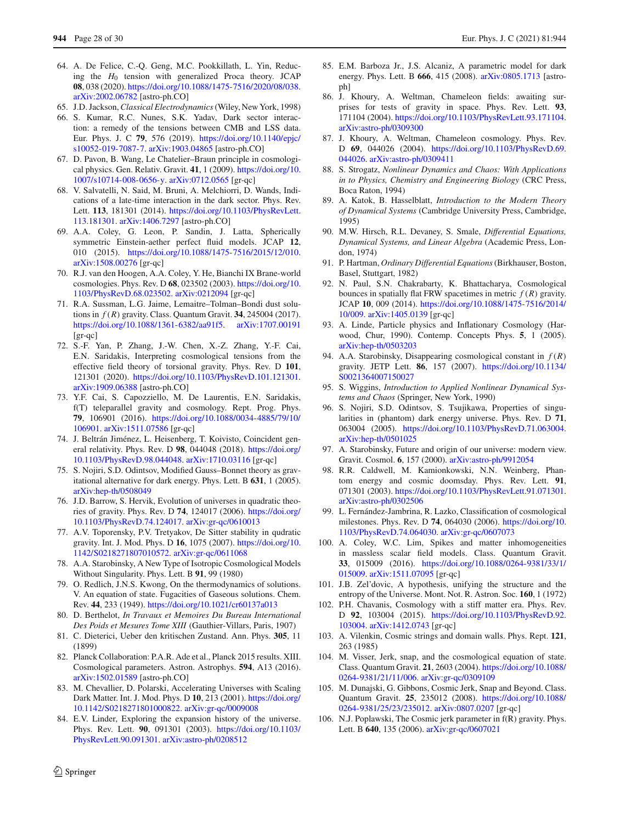- <span id="page-27-0"></span>64. A. De Felice, C.-Q. Geng, M.C. Pookkillath, L. Yin, Reducing the *H*<sup>0</sup> tension with generalized Proca theory. JCAP **08**, 038 (2020). [https://doi.org/10.1088/1475-7516/2020/08/038.](https://doi.org/10.1088/1475-7516/2020/08/038) [arXiv:2002.06782](http://arxiv.org/abs/2002.06782) [astro-ph.CO]
- <span id="page-27-1"></span>65. J.D. Jackson,*Classical Electrodynamics*(Wiley, New York, 1998)
- <span id="page-27-2"></span>66. S. Kumar, R.C. Nunes, S.K. Yadav, Dark sector interaction: a remedy of the tensions between CMB and LSS data. Eur. Phys. J. C **79**, 576 (2019). [https://doi.org/10.1140/epjc/](https://doi.org/10.1140/epjc/s10052-019-7087-7) [s10052-019-7087-7.](https://doi.org/10.1140/epjc/s10052-019-7087-7) [arXiv:1903.04865](http://arxiv.org/abs/1903.04865) [astro-ph.CO]
- <span id="page-27-3"></span>67. D. Pavon, B. Wang, Le Chatelier–Braun principle in cosmological physics. Gen. Relativ. Gravit. **41**, 1 (2009). [https://doi.org/10.](https://doi.org/10.1007/s10714-008-0656-y) [1007/s10714-008-0656-y.](https://doi.org/10.1007/s10714-008-0656-y) [arXiv:0712.0565](http://arxiv.org/abs/0712.0565) [gr-qc]
- <span id="page-27-4"></span>68. V. Salvatelli, N. Said, M. Bruni, A. Melchiorri, D. Wands, Indications of a late-time interaction in the dark sector. Phys. Rev. Lett. **113**, 181301 (2014). [https://doi.org/10.1103/PhysRevLett.](https://doi.org/10.1103/PhysRevLett.113.181301) [113.181301.](https://doi.org/10.1103/PhysRevLett.113.181301) [arXiv:1406.7297](http://arxiv.org/abs/1406.7297) [astro-ph.CO]
- <span id="page-27-5"></span>69. A.A. Coley, G. Leon, P. Sandin, J. Latta, Spherically symmetric Einstein-aether perfect fluid models. JCAP **12**, 010 (2015). [https://doi.org/10.1088/1475-7516/2015/12/010.](https://doi.org/10.1088/1475-7516/2015/12/010) [arXiv:1508.00276](http://arxiv.org/abs/1508.00276) [gr-qc]
- <span id="page-27-6"></span>70. R.J. van den Hoogen, A.A. Coley, Y. He, Bianchi IX Brane-world cosmologies. Phys. Rev. D **68**, 023502 (2003). [https://doi.org/10.](https://doi.org/10.1103/PhysRevD.68.023502) [1103/PhysRevD.68.023502.](https://doi.org/10.1103/PhysRevD.68.023502) [arXiv:0212094](http://arxiv.org/abs/0212094) [gr-qc]
- <span id="page-27-7"></span>71. R.A. Sussman, L.G. Jaime, Lemaitre–Tolman–Bondi dust solutions in *f* (*R*) gravity. Class. Quantum Gravit. **34**, 245004 (2017). [https://doi.org/10.1088/1361-6382/aa91f5.](https://doi.org/10.1088/1361-6382/aa91f5) [arXiv:1707.00191](http://arxiv.org/abs/1707.00191) [gr-qc]
- <span id="page-27-8"></span>72. S.-F. Yan, P. Zhang, J.-W. Chen, X.-Z. Zhang, Y.-F. Cai, E.N. Saridakis, Interpreting cosmological tensions from the effective field theory of torsional gravity. Phys. Rev. D **101**, 121301 (2020). [https://doi.org/10.1103/PhysRevD.101.121301.](https://doi.org/10.1103/PhysRevD.101.121301) [arXiv:1909.06388](http://arxiv.org/abs/1909.06388) [astro-ph.CO]
- <span id="page-27-10"></span>73. Y.F. Cai, S. Capozziello, M. De Laurentis, E.N. Saridakis, f(T) teleparallel gravity and cosmology. Rept. Prog. Phys. **79**, 106901 (2016). [https://doi.org/10.1088/0034-4885/79/10/](https://doi.org/10.1088/0034-4885/79/10/106901) [106901.](https://doi.org/10.1088/0034-4885/79/10/106901) [arXiv:1511.07586](http://arxiv.org/abs/1511.07586) [gr-qc]
- <span id="page-27-11"></span>74. J. Beltrán Jiménez, L. Heisenberg, T. Koivisto, Coincident general relativity. Phys. Rev. D **98**, 044048 (2018). [https://doi.org/](https://doi.org/10.1103/PhysRevD.98.044048) [10.1103/PhysRevD.98.044048.](https://doi.org/10.1103/PhysRevD.98.044048) [arXiv:1710.03116](http://arxiv.org/abs/1710.03116) [gr-qc]
- <span id="page-27-12"></span>75. S. Nojiri, S.D. Odintsov, Modified Gauss–Bonnet theory as gravitational alternative for dark energy. Phys. Lett. B **631**, 1 (2005). [arXiv:hep-th/0508049](http://arxiv.org/abs/hep-th/0508049)
- <span id="page-27-13"></span>76. J.D. Barrow, S. Hervik, Evolution of universes in quadratic theories of gravity. Phys. Rev. D **74**, 124017 (2006). [https://doi.org/](https://doi.org/10.1103/PhysRevD.74.124017) [10.1103/PhysRevD.74.124017.](https://doi.org/10.1103/PhysRevD.74.124017) [arXiv:gr-qc/0610013](http://arxiv.org/abs/gr-qc/0610013)
- <span id="page-27-14"></span>77. A.V. Toporensky, P.V. Tretyakov, De Sitter stability in qudratic gravity. Int. J. Mod. Phys. D **16**, 1075 (2007). [https://doi.org/10.](https://doi.org/10.1142/S0218271807010572) [1142/S0218271807010572.](https://doi.org/10.1142/S0218271807010572) [arXiv:gr-qc/0611068](http://arxiv.org/abs/gr-qc/0611068)
- <span id="page-27-9"></span>78. A.A. Starobinsky, A New Type of Isotropic Cosmological Models Without Singularity. Phys. Lett. B **91**, 99 (1980)
- 79. O. Redlich, J.N.S. Kwong, On the thermodynamics of solutions. V. An equation of state. Fugacities of Gaseous solutions. Chem. Rev. **44**, 233 (1949). <https://doi.org/10.1021/cr60137a013>
- 80. D. Berthelot, *In Travaux et Memoires Du Bureau International Des Poids et Mesures Tome XIII* (Gauthier-Villars, Paris, 1907)
- 81. C. Dieterici, Ueber den kritischen Zustand. Ann. Phys. **305**, 11 (1899)
- <span id="page-27-15"></span>82. Planck Collaboration: P.A.R. Ade et al., Planck 2015 results. XIII. Cosmological parameters. Astron. Astrophys. **594**, A13 (2016). [arXiv:1502.01589](http://arxiv.org/abs/1502.01589) [astro-ph.CO]
- <span id="page-27-16"></span>83. M. Chevallier, D. Polarski, Accelerating Universes with Scaling Dark Matter. Int. J. Mod. Phys. D **10**, 213 (2001). [https://doi.org/](https://doi.org/10.1142/S0218271801000822) [10.1142/S0218271801000822.](https://doi.org/10.1142/S0218271801000822) [arXiv:gr-qc/0009008](http://arxiv.org/abs/gr-qc/0009008)
- <span id="page-27-17"></span>84. E.V. Linder, Exploring the expansion history of the universe. Phys. Rev. Lett. **90**, 091301 (2003). [https://doi.org/10.1103/](https://doi.org/10.1103/PhysRevLett.90.091301) [PhysRevLett.90.091301.](https://doi.org/10.1103/PhysRevLett.90.091301) [arXiv:astro-ph/0208512](http://arxiv.org/abs/astro-ph/0208512)
- <span id="page-27-18"></span>85. E.M. Barboza Jr., J.S. Alcaniz, A parametric model for dark energy. Phys. Lett. B **666**, 415 (2008). [arXiv:0805.1713](http://arxiv.org/abs/0805.1713) [astroph]
- <span id="page-27-19"></span>86. J. Khoury, A. Weltman, Chameleon fields: awaiting surprises for tests of gravity in space. Phys. Rev. Lett. **93**, 171104 (2004). [https://doi.org/10.1103/PhysRevLett.93.171104.](https://doi.org/10.1103/PhysRevLett.93.171104) [arXiv:astro-ph/0309300](http://arxiv.org/abs/astro-ph/0309300)
- <span id="page-27-20"></span>87. J. Khoury, A. Weltman, Chameleon cosmology. Phys. Rev. D **69**, 044026 (2004). [https://doi.org/10.1103/PhysRevD.69.](https://doi.org/10.1103/PhysRevD.69.044026) [044026.](https://doi.org/10.1103/PhysRevD.69.044026) [arXiv:astro-ph/0309411](http://arxiv.org/abs/astro-ph/0309411)
- <span id="page-27-21"></span>88. S. Strogatz, *Nonlinear Dynamics and Chaos: With Applications in to Physics, Chemistry and Engineering Biology* (CRC Press, Boca Raton, 1994)
- 89. A. Katok, B. Hasselblatt, *Introduction to the Modern Theory of Dynamical Systems* (Cambridge University Press, Cambridge, 1995)
- 90. M.W. Hirsch, R.L. Devaney, S. Smale, *Differential Equations, Dynamical Systems, and Linear Algebra* (Academic Press, London, 1974)
- <span id="page-27-22"></span>91. P. Hartman, *Ordinary Differential Equations*(Birkhauser, Boston, Basel, Stuttgart, 1982)
- <span id="page-27-24"></span>92. N. Paul, S.N. Chakrabarty, K. Bhattacharya, Cosmological bounces in spatially flat FRW spacetimes in metric  $f(R)$  gravity. JCAP **10**, 009 (2014). [https://doi.org/10.1088/1475-7516/2014/](https://doi.org/10.1088/1475-7516/2014/10/009) [10/009.](https://doi.org/10.1088/1475-7516/2014/10/009) [arXiv:1405.0139](http://arxiv.org/abs/1405.0139) [gr-qc]
- <span id="page-27-23"></span>93. A. Linde, Particle physics and Inflationary Cosmology (Harwood, Chur, 1990). Contemp. Concepts Phys. **5**, 1 (2005). [arXiv:hep-th/0503203](http://arxiv.org/abs/hep-th/0503203)
- <span id="page-27-25"></span>94. A.A. Starobinsky, Disappearing cosmological constant in  $f(R)$ gravity. JETP Lett. **86**, 157 (2007). [https://doi.org/10.1134/](https://doi.org/10.1134/S0021364007150027) [S0021364007150027](https://doi.org/10.1134/S0021364007150027)
- <span id="page-27-26"></span>95. S. Wiggins, *Introduction to Applied Nonlinear Dynamical Systems and Chaos* (Springer, New York, 1990)
- <span id="page-27-27"></span>96. S. Nojiri, S.D. Odintsov, S. Tsujikawa, Properties of singularities in (phantom) dark energy universe. Phys. Rev. D **71**, 063004 (2005). [https://doi.org/10.1103/PhysRevD.71.063004.](https://doi.org/10.1103/PhysRevD.71.063004) [arXiv:hep-th/0501025](http://arxiv.org/abs/hep-th/0501025)
- <span id="page-27-36"></span>97. A. Starobinsky, Future and origin of our universe: modern view. Gravit. Cosmol. **6**, 157 (2000). [arXiv:astro-ph/9912054](http://arxiv.org/abs/astro-ph/9912054)
- <span id="page-27-37"></span>98. R.R. Caldwell, M. Kamionkowski, N.N. Weinberg, Phantom energy and cosmic doomsday. Phys. Rev. Lett. **91**, 071301 (2003). [https://doi.org/10.1103/PhysRevLett.91.071301.](https://doi.org/10.1103/PhysRevLett.91.071301) [arXiv:astro-ph/0302506](http://arxiv.org/abs/astro-ph/0302506)
- <span id="page-27-28"></span>99. L. Fernández-Jambrina, R. Lazko, Classification of cosmological milestones. Phys. Rev. D **74**, 064030 (2006). [https://doi.org/10.](https://doi.org/10.1103/PhysRevD.74.064030) [1103/PhysRevD.74.064030.](https://doi.org/10.1103/PhysRevD.74.064030) [arXiv:gr-qc/0607073](http://arxiv.org/abs/gr-qc/0607073)
- <span id="page-27-29"></span>100. A. Coley, W.C. Lim, Spikes and matter inhomogeneities in massless scalar field models. Class. Quantum Gravit. **33**, 015009 (2016). [https://doi.org/10.1088/0264-9381/33/1/](https://doi.org/10.1088/0264-9381/33/1/015009) [015009.](https://doi.org/10.1088/0264-9381/33/1/015009) [arXiv:1511.07095](http://arxiv.org/abs/1511.07095) [gr-qc]
- <span id="page-27-30"></span>101. J.B. Zel'dovic, A hypothesis, unifying the structure and the entropy of the Universe. Mont. Not. R. Astron. Soc. **160**, 1 (1972)
- <span id="page-27-31"></span>102. P.H. Chavanis, Cosmology with a stiff matter era. Phys. Rev. D **92**, 103004 (2015). [https://doi.org/10.1103/PhysRevD.92.](https://doi.org/10.1103/PhysRevD.92.103004) [103004.](https://doi.org/10.1103/PhysRevD.92.103004) [arXiv:1412.0743](http://arxiv.org/abs/1412.0743) [gr-qc]
- <span id="page-27-32"></span>103. A. Vilenkin, Cosmic strings and domain walls. Phys. Rept. **121**, 263 (1985)
- <span id="page-27-33"></span>104. M. Visser, Jerk, snap, and the cosmological equation of state. Class. Quantum Gravit. **21**, 2603 (2004). [https://doi.org/10.1088/](https://doi.org/10.1088/0264-9381/21/11/006) [0264-9381/21/11/006.](https://doi.org/10.1088/0264-9381/21/11/006) [arXiv:gr-qc/0309109](http://arxiv.org/abs/gr-qc/0309109)
- <span id="page-27-34"></span>105. M. Dunajski, G. Gibbons, Cosmic Jerk, Snap and Beyond. Class. Quantum Gravit. **25**, 235012 (2008). [https://doi.org/10.1088/](https://doi.org/10.1088/0264-9381/25/23/235012) [0264-9381/25/23/235012.](https://doi.org/10.1088/0264-9381/25/23/235012) [arXiv:0807.0207](http://arxiv.org/abs/0807.0207) [gr-qc]
- <span id="page-27-35"></span>106. N.J. Poplawski, The Cosmic jerk parameter in f(R) gravity. Phys. Lett. B **640**, 135 (2006). [arXiv:gr-qc/0607021](http://arxiv.org/abs/gr-qc/0607021)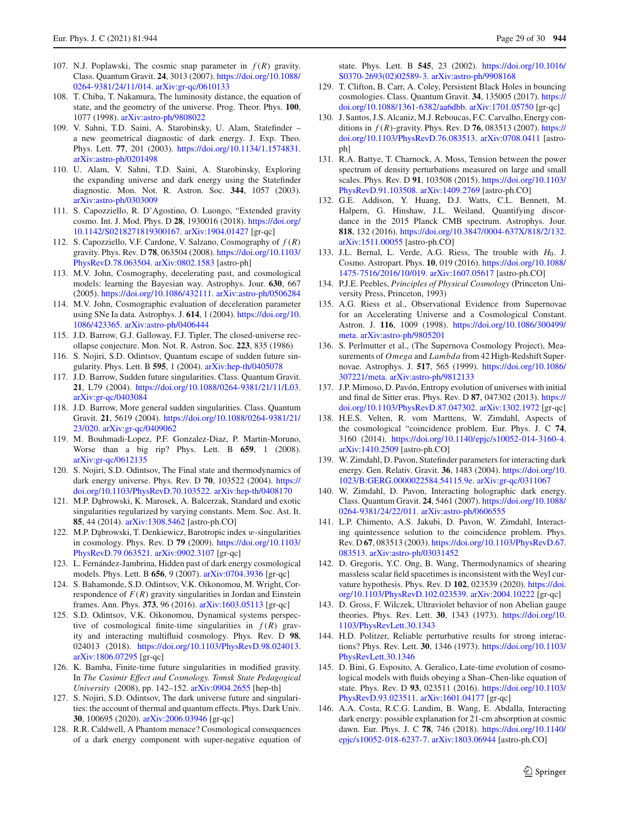- <span id="page-28-0"></span>107. N.J. Poplawski, The cosmic snap parameter in *f* (*R*) gravity. Class. Quantum Gravit. **24**, 3013 (2007). [https://doi.org/10.1088/](https://doi.org/10.1088/0264-9381/24/11/014) [0264-9381/24/11/014.](https://doi.org/10.1088/0264-9381/24/11/014) [arXiv:gr-qc/0610133](http://arxiv.org/abs/gr-qc/0610133)
- <span id="page-28-1"></span>108. T. Chiba, T. Nakamura, The luminosity distance, the equation of state, and the geometry of the universe. Prog. Theor. Phys. **100**, 1077 (1998). [arXiv:astro-ph/9808022](http://arxiv.org/abs/astro-ph/9808022)
- 109. V. Sahni, T.D. Saini, A. Starobinsky, U. Alam, Statefinder a new geometrical diagnostic of dark energy. J. Exp. Theo. Phys. Lett. **77**, 201 (2003). [https://doi.org/10.1134/1.1574831.](https://doi.org/10.1134/1.1574831) [arXiv:astro-ph/0201498](http://arxiv.org/abs/astro-ph/0201498)
- 110. U. Alam, V. Sahni, T.D. Saini, A. Starobinsky, Exploring the expanding universe and dark energy using the Statefinder diagnostic. Mon. Not. R. Astron. Soc. **344**, 1057 (2003). [arXiv:astro-ph/0303009](http://arxiv.org/abs/astro-ph/0303009)
- <span id="page-28-2"></span>111. S. Capozziello, R. D'Agostino, O. Luongo, "Extended gravity cosmo. Int. J. Mod. Phys. D **28**, 1930016 (2018). [https://doi.org/](https://doi.org/10.1142/S0218271819300167) [10.1142/S0218271819300167.](https://doi.org/10.1142/S0218271819300167) [arXiv:1904.01427](http://arxiv.org/abs/1904.01427) [gr-qc]
- <span id="page-28-3"></span>112. S. Capozziello, V.F. Cardone, V. Salzano, Cosmography of *f* (*R*) gravity. Phys. Rev. D **78**, 063504 (2008). [https://doi.org/10.1103/](https://doi.org/10.1103/PhysRevD.78.063504) [PhysRevD.78.063504.](https://doi.org/10.1103/PhysRevD.78.063504) [arXiv:0802.1583](http://arxiv.org/abs/0802.1583) [astro-ph]
- <span id="page-28-4"></span>113. M.V. John, Cosmography, decelerating past, and cosmological models: learning the Bayesian way. Astrophys. Jour. **630**, 667 (2005). [https://doi.org/10.1086/432111.](https://doi.org/10.1086/432111) [arXiv:astro-ph/0506284](http://arxiv.org/abs/astro-ph/0506284)
- <span id="page-28-5"></span>114. M.V. John, Cosmographic evaluation of deceleration parameter using SNe Ia data. Astrophys. J. **614**, 1 (2004). [https://doi.org/10.](https://doi.org/10.1086/423365) [1086/423365.](https://doi.org/10.1086/423365) [arXiv:astro-ph/0406444](http://arxiv.org/abs/astro-ph/0406444)
- <span id="page-28-6"></span>115. J.D. Barrow, G.J. Galloway, F.J. Tipler, The closed-universe recollapse conjecture. Mon. Not. R. Astron. Soc. **223**, 835 (1986)
- 116. S. Nojiri, S.D. Odintsov, Quantum escape of sudden future singularity. Phys. Lett. B **595**, 1 (2004). [arXiv:hep-th/0405078](http://arxiv.org/abs/hep-th/0405078)
- <span id="page-28-9"></span>117. J.D. Barrow, Sudden future singularities. Class. Quantum Gravit. **21**, L79 (2004). [https://doi.org/10.1088/0264-9381/21/11/L03.](https://doi.org/10.1088/0264-9381/21/11/L03) [arXiv:gr-qc/0403084](http://arxiv.org/abs/gr-qc/0403084)
- <span id="page-28-7"></span>118. J.D. Barrow, More general sudden singularities. Class. Quantum Gravit. **21**, 5619 (2004). [https://doi.org/10.1088/0264-9381/21/](https://doi.org/10.1088/0264-9381/21/23/020) [23/020.](https://doi.org/10.1088/0264-9381/21/23/020) [arXiv:gr-qc/0409062](http://arxiv.org/abs/gr-qc/0409062)
- <span id="page-28-8"></span>119. M. Bouhmadi-Lopez, P.F. Gonzalez-Diaz, P. Martin-Moruno, Worse than a big rip? Phys. Lett. B **659**, 1 (2008). [arXiv:gr-qc/0612135](http://arxiv.org/abs/gr-qc/0612135)
- <span id="page-28-10"></span>120. S. Nojiri, S.D. Odintsov, The Final state and thermodynamics of dark energy universe. Phys. Rev. D **70**, 103522 (2004). [https://](https://doi.org/10.1103/PhysRevD.70.103522) [doi.org/10.1103/PhysRevD.70.103522.](https://doi.org/10.1103/PhysRevD.70.103522) [arXiv:hep-th/0408170](http://arxiv.org/abs/hep-th/0408170)
- <span id="page-28-11"></span>121. M.P. Dąbrowski, K. Marosek, A. Balcerzak, Standard and exotic singularities regularized by varying constants. Mem. Soc. Ast. It. **85**, 44 (2014). [arXiv:1308.5462](http://arxiv.org/abs/1308.5462) [astro-ph.CO]
- <span id="page-28-12"></span>122. M.P. Dąbrowski, T. Denkiewicz, Barotropic index w-singularities in cosmology. Phys. Rev. D **79** (2009). [https://doi.org/10.1103/](https://doi.org/10.1103/PhysRevD.79.063521) [PhysRevD.79.063521.](https://doi.org/10.1103/PhysRevD.79.063521) [arXiv:0902.3107](http://arxiv.org/abs/0902.3107) [gr-qc]
- <span id="page-28-13"></span>123. L. Fernández-Jambrina, Hidden past of dark energy cosmological models. Phys. Lett. B **656**, 9 (2007). [arXiv:0704.3936](http://arxiv.org/abs/0704.3936) [gr-qc]
- <span id="page-28-14"></span>124. S. Bahamonde, S.D. Odintsov, V.K. Oikonomou, M. Wright, Correspondence of  $F(R)$  gravity singularities in Jordan and Einstein frames. Ann. Phys. **373**, 96 (2016). [arXiv:1603.05113](http://arxiv.org/abs/1603.05113) [gr-qc]
- 125. S.D. Odintsov, V.K. Oikonomou, Dynamical systems perspective of cosmological finite-time singularities in  $f(R)$  gravity and interacting multifluid cosmology. Phys. Rev. D **98**, 024013 (2018). [https://doi.org/10.1103/PhysRevD.98.024013.](https://doi.org/10.1103/PhysRevD.98.024013) [arXiv:1806.07295](http://arxiv.org/abs/1806.07295) [gr-qc]
- 126. K. Bamba, Finite-time future singularities in modified gravity. In *The Casimir Effect and Cosmology. Tomsk State Pedagogical University* (2008), pp. 142–152. [arXiv:0904.2655](http://arxiv.org/abs/0904.2655) [hep-th]
- <span id="page-28-15"></span>127. S. Nojiri, S.D. Odintsov, The dark universe future and singularities: the account of thermal and quantum effects. Phys. Dark Univ. **30**, 100695 (2020). [arXiv:2006.03946](http://arxiv.org/abs/2006.03946) [gr-qc]
- <span id="page-28-16"></span>128. R.R. Caldwell, A Phantom menace? Cosmological consequences of a dark energy component with super-negative equation of

state. Phys. Lett. B **545**, 23 (2002). [https://doi.org/10.1016/](https://doi.org/10.1016/S0370-2693(02)02589-3) [S0370-2693\(02\)02589-3.](https://doi.org/10.1016/S0370-2693(02)02589-3) [arXiv:astro-ph/9908168](http://arxiv.org/abs/astro-ph/9908168)

- <span id="page-28-17"></span>129. T. Clifton, B. Carr, A. Coley, Persistent Black Holes in bouncing cosmologies. Class. Quantum Gravit. **34**, 135005 (2017). [https://](https://doi.org/10.1088/1361-6382/aa6dbb) [doi.org/10.1088/1361-6382/aa6dbb.](https://doi.org/10.1088/1361-6382/aa6dbb) [arXiv:1701.05750](http://arxiv.org/abs/1701.05750) [gr-qc]
- <span id="page-28-24"></span>130. J. Santos, J.S. Alcaniz, M.J. Reboucas, F.C. Carvalho, Energy conditions in *f* (*R*)-gravity. Phys. Rev. D **76**, 083513 (2007). [https://](https://doi.org/10.1103/PhysRevD.76.083513) [doi.org/10.1103/PhysRevD.76.083513.](https://doi.org/10.1103/PhysRevD.76.083513) [arXiv:0708.0411](http://arxiv.org/abs/0708.0411) [astroph]
- <span id="page-28-18"></span>131. R.A. Battye, T. Charnock, A. Moss, Tension between the power spectrum of density perturbations measured on large and small scales. Phys. Rev. D **91**, 103508 (2015). [https://doi.org/10.1103/](https://doi.org/10.1103/PhysRevD.91.103508) [PhysRevD.91.103508.](https://doi.org/10.1103/PhysRevD.91.103508) [arXiv:1409.2769](http://arxiv.org/abs/1409.2769) [astro-ph.CO]
- 132. G.E. Addison, Y. Huang, D.J. Watts, C.L. Bennett, M. Halpern, G. Hinshaw, J.L. Weiland, Quantifying discordance in the 2015 Planck CMB spectrum. Astrophys. Jour. **818**, 132 (2016). [https://doi.org/10.3847/0004-637X/818/2/132.](https://doi.org/10.3847/0004-637X/818/2/132) [arXiv:1511.00055](http://arxiv.org/abs/1511.00055) [astro-ph.CO]
- <span id="page-28-19"></span>133. J.L. Bernal, L. Verde, A.G. Riess, The trouble with  $H_0$ . J. Cosmo. Astropart. Phys. **10**, 019 (2016). [https://doi.org/10.1088/](https://doi.org/10.1088/1475-7516/2016/10/019) [1475-7516/2016/10/019.](https://doi.org/10.1088/1475-7516/2016/10/019) [arXiv:1607.05617](http://arxiv.org/abs/1607.05617) [astro-ph.CO]
- <span id="page-28-20"></span>134. P.J.E. Peebles, *Principles of Physical Cosmology* (Princeton University Press, Princeton, 1993)
- <span id="page-28-21"></span>135. A.G. Riess et al., Observational Evidence from Supernovae for an Accelerating Universe and a Cosmological Constant. Astron. J. **116**, 1009 (1998). [https://doi.org/10.1086/300499/](https://doi.org/10.1086/300499/meta) [meta.](https://doi.org/10.1086/300499/meta) [arXiv:astro-ph/9805201](http://arxiv.org/abs/astro-ph/9805201)
- <span id="page-28-22"></span>136. S. Perlmutter et al., (The Supernova Cosmology Project), Measurements of *Omega* and *Lambda* from 42 High-Redshift Supernovae. Astrophys. J. **517**, 565 (1999). [https://doi.org/10.1086/](https://doi.org/10.1086/307221/meta) [307221/meta.](https://doi.org/10.1086/307221/meta) [arXiv:astro-ph/9812133](http://arxiv.org/abs/astro-ph/9812133)
- <span id="page-28-23"></span>137. J.P. Mimoso, D. Pavón, Entropy evolution of universes with initial and final de Sitter eras. Phys. Rev. D **87**, 047302 (2013). [https://](https://doi.org/10.1103/PhysRevD.87.047302) [doi.org/10.1103/PhysRevD.87.047302.](https://doi.org/10.1103/PhysRevD.87.047302) [arXiv:1302.1972](http://arxiv.org/abs/1302.1972) [gr-qc]
- <span id="page-28-25"></span>138. H.E.S. Velten, R. vom Marttens, W. Zimdahl, Aspects of the cosmological "coincidence problem. Eur. Phys. J. C **74**, 3160 (2014). [https://doi.org/10.1140/epjc/s10052-014-3160-4.](https://doi.org/10.1140/epjc/s10052-014-3160-4) [arXiv:1410.2509](http://arxiv.org/abs/1410.2509) [astro-ph.CO]
- <span id="page-28-26"></span>139. W. Zimdahl, D. Pavon, Statefinder parameters for interacting dark energy. Gen. Relativ. Gravit. **36**, 1483 (2004). [https://doi.org/10.](https://doi.org/10.1023/B:GERG.0000022584.54115.9e) [1023/B:GERG.0000022584.54115.9e.](https://doi.org/10.1023/B:GERG.0000022584.54115.9e) [arXiv:gr-qc/0311067](http://arxiv.org/abs/gr-qc/0311067)
- 140. W. Zimdahl, D. Pavon, Interacting holographic dark energy. Class. Quantum Gravit. **24**, 5461 (2007). [https://doi.org/10.1088/](https://doi.org/10.1088/0264-9381/24/22/011) [0264-9381/24/22/011.](https://doi.org/10.1088/0264-9381/24/22/011) [arXiv:astro-ph/0606555](http://arxiv.org/abs/astro-ph/0606555)
- <span id="page-28-27"></span>141. L.P. Chimento, A.S. Jakubi, D. Pavon, W. Zimdahl, Interacting quintessence solution to the coincidence problem. Phys. Rev. D **67**, 083513 (2003). [https://doi.org/10.1103/PhysRevD.67.](https://doi.org/10.1103/PhysRevD.67.083513) [083513.](https://doi.org/10.1103/PhysRevD.67.083513) [arXiv:astro-ph/03031452](http://arxiv.org/abs/astro-ph/03031452)
- <span id="page-28-28"></span>142. D. Gregoris, Y.C. Ong, B. Wang, Thermodynamics of shearing massless scalar field spacetimes is inconsistent with the Weyl curvature hypothesis. Phys. Rev. D **102**, 023539 (2020). [https://doi.](https://doi.org/10.1103/PhysRevD.102.023539) [org/10.1103/PhysRevD.102.023539.](https://doi.org/10.1103/PhysRevD.102.023539) [arXiv:2004.10222](http://arxiv.org/abs/2004.10222) [gr-qc]
- <span id="page-28-29"></span>143. D. Gross, F. Wilczek, Ultraviolet behavior of non Abelian gauge theories. Phys. Rev. Lett. **30**, 1343 (1973). [https://doi.org/10.](https://doi.org/10.1103/PhysRevLett.30.1343) [1103/PhysRevLett.30.1343](https://doi.org/10.1103/PhysRevLett.30.1343)
- <span id="page-28-30"></span>144. H.D. Politzer, Reliable perturbative results for strong interactions? Phys. Rev. Lett. **30**, 1346 (1973). [https://doi.org/10.1103/](https://doi.org/10.1103/PhysRevLett.30.1346) [PhysRevLett.30.1346](https://doi.org/10.1103/PhysRevLett.30.1346)
- <span id="page-28-31"></span>145. D. Bini, G. Esposito, A. Geralico, Late-time evolution of cosmological models with fluids obeying a Shan–Chen-like equation of state. Phys. Rev. D **93**, 023511 (2016). [https://doi.org/10.1103/](https://doi.org/10.1103/PhysRevD.93.023511) [PhysRevD.93.023511.](https://doi.org/10.1103/PhysRevD.93.023511) [arXiv:1601.04177](http://arxiv.org/abs/1601.04177) [gr-qc]
- <span id="page-28-32"></span>146. A.A. Costa, R.C.G. Landim, B. Wang, E. Abdalla, Interacting dark energy: possible explanation for 21-cm absorption at cosmic dawn. Eur. Phys. J. C **78**, 746 (2018). [https://doi.org/10.1140/](https://doi.org/10.1140/epjc/s10052-018-6237-7) [epjc/s10052-018-6237-7.](https://doi.org/10.1140/epjc/s10052-018-6237-7) [arXiv:1803.06944](http://arxiv.org/abs/1803.06944) [astro-ph.CO]